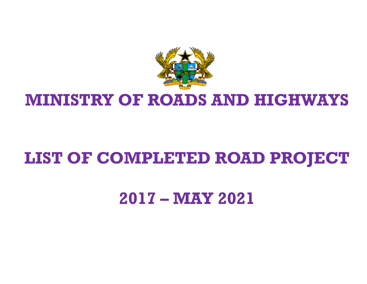

## **LIST OF COMPLETED ROAD PROJECT**

### **2017 – MAY 2021**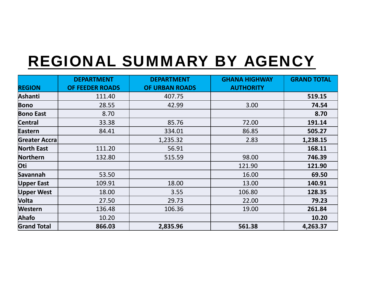# REGIONAL SUMMARY BY AGENCY

|                      | <b>DEPARTMENT</b>      | <b>DEPARTMENT</b> | <b>GHANA HIGHWAY</b> | <b>GRAND TOTAL</b> |
|----------------------|------------------------|-------------------|----------------------|--------------------|
| <b>REGION</b>        | <b>OF FEEDER ROADS</b> | OF URBAN ROADS    | <b>AUTHORITY</b>     |                    |
| <b>Ashanti</b>       | 111.40                 | 407.75            |                      | 519.15             |
| <b>Bono</b>          | 28.55                  | 42.99             | 3.00                 | 74.54              |
| <b>Bono East</b>     | 8.70                   |                   |                      | 8.70               |
| <b>Central</b>       | 33.38                  | 85.76             | 72.00                | 191.14             |
| <b>Eastern</b>       | 84.41                  | 334.01            | 86.85                | 505.27             |
| <b>Greater Accra</b> |                        | 1,235.32          | 2.83                 | 1,238.15           |
| <b>North East</b>    | 111.20                 | 56.91             |                      | 168.11             |
| Northern             | 132.80                 | 515.59            | 98.00                | 746.39             |
| Oti                  |                        |                   | 121.90               | 121.90             |
| Savannah             | 53.50                  |                   | 16.00                | 69.50              |
| <b>Upper East</b>    | 109.91                 | 18.00             | 13.00                | 140.91             |
| <b>Upper West</b>    | 18.00                  | 3.55              | 106.80               | 128.35             |
| Volta                | 27.50                  | 29.73             | 22.00                | 79.23              |
| <b>Western</b>       | 136.48                 | 106.36            | 19.00                | 261.84             |
| Ahafo                | 10.20                  |                   |                      | 10.20              |
| <b>Grand Total</b>   | 866.03                 | 2,835.96          | 561.38               | 4,263.37           |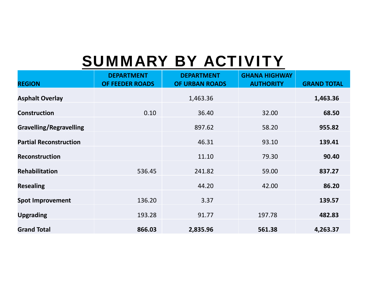# SUMMARY BY ACTIVITY

| <b>REGION</b>                  | <b>DEPARTMENT</b><br>OF FEEDER ROADS | <b>DEPARTMENT</b><br>OF URBAN ROADS | <b>GHANA HIGHWAY</b><br><b>AUTHORITY</b> | <b>GRAND TOTAL</b> |
|--------------------------------|--------------------------------------|-------------------------------------|------------------------------------------|--------------------|
| <b>Asphalt Overlay</b>         |                                      | 1,463.36                            |                                          | 1,463.36           |
| <b>Construction</b>            | 0.10                                 | 36.40                               | 32.00                                    | 68.50              |
| <b>Gravelling/Regravelling</b> |                                      | 897.62                              | 58.20                                    | 955.82             |
| <b>Partial Reconstruction</b>  |                                      | 46.31                               | 93.10                                    | 139.41             |
| <b>Reconstruction</b>          |                                      | 11.10                               | 79.30                                    | 90.40              |
| <b>Rehabilitation</b>          | 536.45                               | 241.82                              | 59.00                                    | 837.27             |
| <b>Resealing</b>               |                                      | 44.20                               | 42.00                                    | 86.20              |
| <b>Spot Improvement</b>        | 136.20                               | 3.37                                |                                          | 139.57             |
| <b>Upgrading</b>               | 193.28                               | 91.77                               | 197.78                                   | 482.83             |
| <b>Grand Total</b>             | 866.03                               | 2,835.96                            | 561.38                                   | 4,263.37           |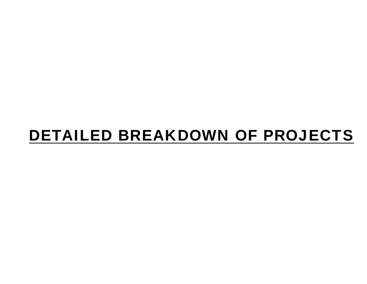## DETAILED BREAKDOWN OF PROJECTS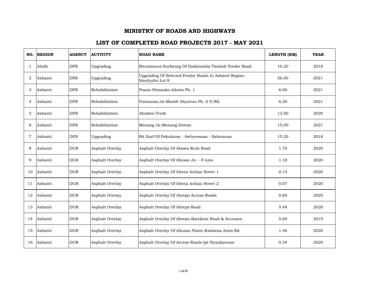| NO.            | <b>REGION</b> | <b>AGENCY</b> | <b>ACTIVITY</b> | <b>ROAD NAME</b>                                                          | LENGTH (KM) | <b>YEAR</b> |
|----------------|---------------|---------------|-----------------|---------------------------------------------------------------------------|-------------|-------------|
| -1             | Ahafo         | <b>DFR</b>    | Upgrading       | Bituminous Surfacing Of Dadiesoaba-Twabidi Feeder Road                    | 10.20       | 2018        |
| 2              | Ashanti       | <b>DFR</b>    | Upgrading       | Upgrading Of Selected Feeder Roads In Ashanti Region -<br>Sinohydro Lot 8 | 56.00       | 2021        |
| 3              | Ashanti       | <b>DFR</b>    | Rehabilitation  | Poano-Ntinanko-Adowa Ph. 1                                                | 6.00        | 2021        |
| 4              | Ashanti       | <b>DFR</b>    | Rehabilitation  | Formanso Jn-Mamfe Ahyiresu Ph. Ii F/Rd                                    | 6.20        | 2021        |
| 5              | Ashanti       | <b>DFR</b>    | Rehabilitation  | Ahodwo-Trede                                                              | 13.00       | 2020        |
| 6              | Ashanti       | <b>DFR</b>    | Rehabilitation  | Menang Jn-Menang-Dotom                                                    | 15.00       | 2021        |
| $\overline{7}$ | Ashanti       | <b>DFR</b>    | Upgrading       | Bit Surf Of Pokukrom - Awherewam - Sabronum                               | 15.20       | 2018        |
| 8              | Ashanti       | <b>DUR</b>    | Asphalt Overlay | Asphalt Overlay Of Abawa Ruth Road                                        | 1.70        | 2020        |
| 9              | Ashanti       | <b>DUR</b>    | Asphalt Overlay | Asphalt Overlay Of Abease Jn. - F-Line                                    | 1.18        | 2020        |
| 10             | Ashanti       | <b>DUR</b>    | Asphalt Overlay | Asphalt Overlay Of Abena Achiaa Street 1                                  | 0.15        | 2020        |
| 11             | Ashanti       | <b>DUR</b>    | Asphalt Overlay | Asphalt Overlay Of Abena Achiaa Street 2                                  | 0.07        | 2020        |
| 12             | Ashanti       | <b>DUR</b>    | Asphalt Overlay | Asphalt Overlay Of Abrepo Access Roads                                    | 0.60        | 2020        |
| 13             | Ashanti       | <b>DUR</b>    | Asphalt Overlay | Asphalt Overlay Of Abrepo Road                                            | 5.48        | 2020        |
| 14             | Ashanti       | <b>DUR</b>    | Asphalt Overlay | Asphalt Overlay Of Abrepo-Barekese Road & Accesses                        | 5.69        | 2019        |
| 15             | Ashanti       | <b>DUR</b>    | Asphalt Overlay | Asphalt Overlay Of Abusau Panin Kwabena Anim Rd                           | 1.46        | 2020        |
| 16             | Ashanti       | <b>DUR</b>    | Asphalt Overlay | Asphalt Overlay Of Access Roads Ipt-Nyankyerase                           | 0.34        | 2020        |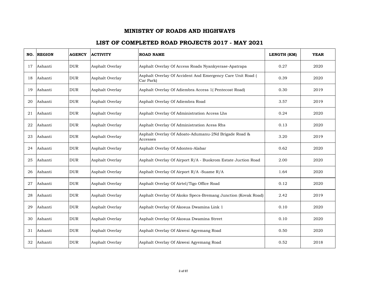|    | NO. REGION | <b>AGENCY</b> | <b>ACTIVITY</b> | <b>ROAD NAME</b>                                                        | LENGTH (KM) | <b>YEAR</b> |
|----|------------|---------------|-----------------|-------------------------------------------------------------------------|-------------|-------------|
| 17 | Ashanti    | <b>DUR</b>    | Asphalt Overlay | Asphalt Overlay Of Access Roads Nyankyerase-Apatrapa                    | 0.27        | 2020        |
| 18 | Ashanti    | <b>DUR</b>    | Asphalt Overlay | Asphalt Overlay Of Accident And Emergency Care Unit Road (<br>Car Park) | 0.39        | 2020        |
| 19 | Ashanti    | <b>DUR</b>    | Asphalt Overlay | Asphalt Overlay Of Adiembra Access 1(Pentecost Road)                    | 0.30        | 2019        |
| 20 | Ashanti    | <b>DUR</b>    | Asphalt Overlay | Asphalt Overlay Of Adiembra Road                                        | 3.57        | 2019        |
| 21 | Ashanti    | <b>DUR</b>    | Asphalt Overlay | Asphalt Overlay Of Administration Access Lhs                            | 0.24        | 2020        |
| 22 | Ashanti    | <b>DUR</b>    | Asphalt Overlay | Asphalt Overlay Of Administration Acess Rhs                             | 0.13        | 2020        |
| 23 | Ashanti    | <b>DUR</b>    | Asphalt Overlay | Asphalt Overlay Of Adoato-Adumanu-2Nd Brigade Road &<br>Accesses        | 3.20        | 2019        |
| 24 | Ashanti    | <b>DUR</b>    | Asphalt Overlay | Asphalt Overlay Of Adonten-Alabar                                       | 0.62        | 2020        |
| 25 | Ashanti    | <b>DUR</b>    | Asphalt Overlay | Asphalt Overlay Of Airport R/A - Buokrom Estate Juction Road            | 2.00        | 2020        |
| 26 | Ashanti    | <b>DUR</b>    | Asphalt Overlay | Asphalt Overlay Of Airport R/A -Suame R/A                               | 1.64        | 2020        |
| 27 | Ashanti    | <b>DUR</b>    | Asphalt Overlay | Asphalt Overlay Of Airtel/Tigo Office Road                              | 0.12        | 2020        |
| 28 | Ashanti    | <b>DUR</b>    | Asphalt Overlay | Asphalt Overlay Of Akoko Specs-Bremang Junction (Kovak Road)            | 2.42        | 2019        |
| 29 | Ashanti    | <b>DUR</b>    | Asphalt Overlay | Asphalt Overlay Of Akosua Dwamina Link 1                                | 0.10        | 2020        |
| 30 | Ashanti    | <b>DUR</b>    | Asphalt Overlay | Asphalt Overlay Of Akosua Dwamina Street                                | 0.10        | 2020        |
| 31 | Ashanti    | <b>DUR</b>    | Asphalt Overlay | Asphalt Overlay Of Akwesi Agyemang Road                                 | 0.50        | 2020        |
| 32 | Ashanti    | <b>DUR</b>    | Asphalt Overlay | Asphalt Overlay Of Akwesi Agyemang Road                                 | 0.52        | 2018        |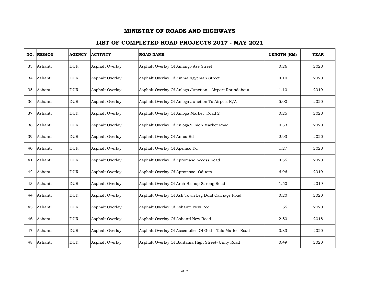| NO. | <b>REGION</b> | <b>AGENCY</b> | <b>ACTIVITY</b> | <b>ROAD NAME</b>                                        | LENGTH (KM) | <b>YEAR</b> |
|-----|---------------|---------------|-----------------|---------------------------------------------------------|-------------|-------------|
| 33  | Ashanti       | <b>DUR</b>    | Asphalt Overlay | Asphalt Overlay Of Amango Ase Street                    | 0.26        | 2020        |
| 34  | Ashanti       | <b>DUR</b>    | Asphalt Overlay | Asphalt Overlay Of Amma Agyeman Street                  | 0.10        | 2020        |
| 35  | Ashanti       | <b>DUR</b>    | Asphalt Overlay | Asphalt Overlay Of Anloga Junction - Airport Roundabout | 1.10        | 2019        |
| 36  | Ashanti       | <b>DUR</b>    | Asphalt Overlay | Asphalt Overlay Of Anloga Junction To Airport R/A       | 5.00        | 2020        |
| 37  | Ashanti       | <b>DUR</b>    | Asphalt Overlay | Asphalt Overlay Of Anloga Market Road 2                 | 0.25        | 2020        |
| 38  | Ashanti       | <b>DUR</b>    | Asphalt Overlay | Asphalt Overlay Of Anloga/Onion Market Road             | 0.33        | 2020        |
| 39  | Ashanti       | <b>DUR</b>    | Asphalt Overlay | Asphalt Overlay Of Antoa Rd                             | 2.93        | 2020        |
| 40  | Ashanti       | <b>DUR</b>    | Asphalt Overlay | Asphalt Overlay Of Apemso Rd                            | 1.27        | 2020        |
| 41  | Ashanti       | <b>DUR</b>    | Asphalt Overlay | Asphalt Overlay Of Apromase Access Road                 | 0.55        | 2020        |
| 42  | Ashanti       | <b>DUR</b>    | Asphalt Overlay | Asphalt Overlay Of Apromase- Oduom                      | 6.96        | 2019        |
| 43  | Ashanti       | <b>DUR</b>    | Asphalt Overlay | Asphalt Overlay Of Arch Bishop Sarong Road              | 1.50        | 2019        |
| 44  | Ashanti       | <b>DUR</b>    | Asphalt Overlay | Asphalt Overlay Of Ash Town Leg Dual Carriage Road      | 0.20        | 2020        |
| 45  | Ashanti       | <b>DUR</b>    | Asphalt Overlay | Asphalt Overlay Of Ashante New Rod                      | 1.55        | 2020        |
| 46  | Ashanti       | <b>DUR</b>    | Asphalt Overlay | Asphalt Overlay Of Ashanti New Road                     | 2.50        | 2018        |
| 47  | Ashanti       | <b>DUR</b>    | Asphalt Overlay | Asphalt Overlay Of Assemblies Of God - Tafo Market Road | 0.83        | 2020        |
| 48  | Ashanti       | <b>DUR</b>    | Asphalt Overlay | Asphalt Overlay Of Bantama High Street~Unity Road       | 0.49        | 2020        |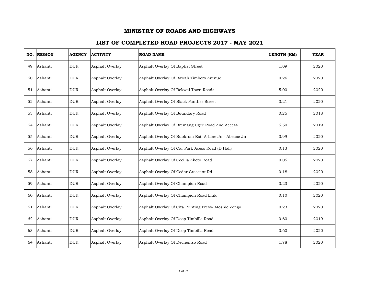| NO. | <b>REGION</b> | <b>AGENCY</b> | <b>ACTIVITY</b> | <b>ROAD NAME</b>                                      | LENGTH (KM) | <b>YEAR</b> |
|-----|---------------|---------------|-----------------|-------------------------------------------------------|-------------|-------------|
| 49  | Ashanti       | <b>DUR</b>    | Asphalt Overlay | Asphalt Overlay Of Baptist Street                     | 1.09        | 2020        |
| 50  | Ashanti       | <b>DUR</b>    | Asphalt Overlay | Asphalt Overlay Of Bawah Timbers Avenue               | 0.26        | 2020        |
| 51  | Ashanti       | <b>DUR</b>    | Asphalt Overlay | Asphalt Overlay Of Bekwai Town Roads                  | 5.00        | 2020        |
| 52  | Ashanti       | <b>DUR</b>    | Asphalt Overlay | Asphalt Overlay Of Black Panther Street               | 0.21        | 2020        |
| 53  | Ashanti       | <b>DUR</b>    | Asphalt Overlay | Asphalt Overlay Of Boundary Road                      | 0.25        | 2018        |
| 54  | Ashanti       | <b>DUR</b>    | Asphalt Overlay | Asphalt Overlay Of Bremang Ugcc Road And Access       | 5.50        | 2019        |
| 55  | Ashanti       | <b>DUR</b>    | Asphalt Overlay | Asphalt Overlay Of Buokrom Est. A-Line Jn - Abease Jn | 0.99        | 2020        |
| 56  | Ashanti       | <b>DUR</b>    | Asphalt Overlay | Asphalt Overlay Of Car Park Acess Road (D Hall)       | 0.13        | 2020        |
| 57  | Ashanti       | <b>DUR</b>    | Asphalt Overlay | Asphalt Overlay Of Cecilia Akoto Road                 | 0.05        | 2020        |
| 58  | Ashanti       | <b>DUR</b>    | Asphalt Overlay | Asphalt Overlay Of Cedar Crescent Rd                  | 0.18        | 2020        |
| 59  | Ashanti       | <b>DUR</b>    | Asphalt Overlay | Asphalt Overlay Of Champion Road                      | 0.23        | 2020        |
| 60  | Ashanti       | <b>DUR</b>    | Asphalt Overlay | Asphalt Overlay Of Champion Road Link                 | 0.10        | 2020        |
| 61  | Ashanti       | <b>DUR</b>    | Asphalt Overlay | Asphalt Overlay Of Cita Printing Press- Moshie Zongo  | 0.23        | 2020        |
| 62  | Ashanti       | <b>DUR</b>    | Asphalt Overlay | Asphalt Overlay Of Dcop Timbilla Road                 | 0.60        | 2019        |
| 63  | Ashanti       | <b>DUR</b>    | Asphalt Overlay | Asphalt Overlay Of Dcop Timbilla Road                 | 0.60        | 2020        |
| 64  | Ashanti       | <b>DUR</b>    | Asphalt Overlay | Asphalt Overlay Of Dechemso Road                      | 1.78        | 2020        |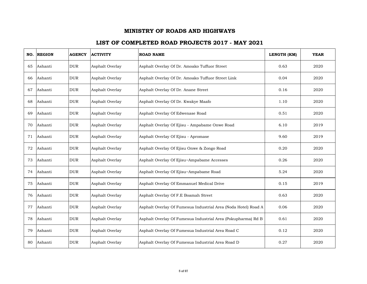| NO. | <b>REGION</b> | <b>AGENCY</b> | <b>ACTIVITY</b> | <b>ROAD NAME</b>                                               | LENGTH (KM) | <b>YEAR</b> |
|-----|---------------|---------------|-----------------|----------------------------------------------------------------|-------------|-------------|
| 65  | Ashanti       | <b>DUR</b>    | Asphalt Overlay | Asphalt Overlay Of Dr. Amoako Tuffuor Street                   | 0.63        | 2020        |
| 66  | Ashanti       | <b>DUR</b>    | Asphalt Overlay | Asphalt Overlay Of Dr. Amoako Tuffuor Street Link              | 0.04        | 2020        |
| 67  | Ashanti       | <b>DUR</b>    | Asphalt Overlay | Asphalt Overlay Of Dr. Anane Street                            | 0.16        | 2020        |
| 68  | Ashanti       | <b>DUR</b>    | Asphalt Overlay | Asphalt Overlay Of Dr. Kwakye Maafo                            | 1.10        | 2020        |
| 69  | Ashanti       | <b>DUR</b>    | Asphalt Overlay | Asphalt Overlay Of Edwenase Road                               | 0.51        | 2020        |
| 70  | Ashanti       | <b>DUR</b>    | Asphalt Overlay | Asphalt Overlay Of Ejisu - Ampabame Onwe Road                  | 6.10        | 2019        |
| 71  | Ashanti       | <b>DUR</b>    | Asphalt Overlay | Asphalt Overlay Of Ejisu - Apromase                            | 9.60        | 2019        |
| 72  | Ashanti       | <b>DUR</b>    | Asphalt Overlay | Asphalt Overlay Of Ejisu Onwe & Zongo Road                     | 0.20        | 2020        |
| 73  | Ashanti       | <b>DUR</b>    | Asphalt Overlay | Asphalt Overlay Of Ejisu~Ampabame Accesses                     | 0.26        | 2020        |
| 74  | Ashanti       | <b>DUR</b>    | Asphalt Overlay | Asphalt Overlay Of Ejisu~Ampabame Road                         | 5.24        | 2020        |
| 75  | Ashanti       | <b>DUR</b>    | Asphalt Overlay | Asphalt Overlay Of Emmanuel Medical Drive                      | 0.15        | 2019        |
| 76  | Ashanti       | <b>DUR</b>    | Asphalt Overlay | Asphalt Overlay Of F.E Boamah Street                           | 0.63        | 2020        |
| 77  | Ashanti       | <b>DUR</b>    | Asphalt Overlay | Asphalt Overlay Of Fumesua Industrial Area (Noda Hotel) Road A | 0.06        | 2020        |
| 78  | Ashanti       | <b>DUR</b>    | Asphalt Overlay | Asphalt Overlay Of Fumesua Industrial Area (Pokupharma) Rd B   | 0.61        | 2020        |
| 79  | Ashanti       | <b>DUR</b>    | Asphalt Overlay | Asphalt Overlay Of Fumesua Industrial Area Road C              | 0.12        | 2020        |
| 80  | Ashanti       | <b>DUR</b>    | Asphalt Overlay | Asphalt Overlay Of Fumesua Industrial Area Road D              | 0.27        | 2020        |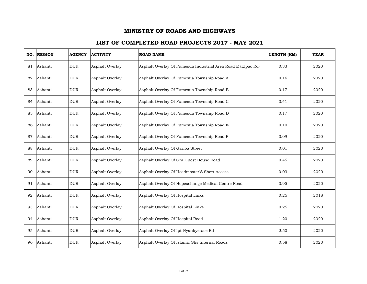| NO. | <b>REGION</b> | <b>AGENCY</b> | <b>ACTIVITY</b> | <b>ROAD NAME</b>                                             | LENGTH (KM) | <b>YEAR</b> |
|-----|---------------|---------------|-----------------|--------------------------------------------------------------|-------------|-------------|
| 81  | Ashanti       | <b>DUR</b>    | Asphalt Overlay | Asphalt Overlay Of Fumesua Industrial Area Road E (Efpac Rd) | 0.33        | 2020        |
| 82  | Ashanti       | <b>DUR</b>    | Asphalt Overlay | Asphalt Overlay Of Fumesua Township Road A                   | 0.16        | 2020        |
| 83  | Ashanti       | <b>DUR</b>    | Asphalt Overlay | Asphalt Overlay Of Fumesua Township Road B                   | 0.17        | 2020        |
| 84  | Ashanti       | <b>DUR</b>    | Asphalt Overlay | Asphalt Overlay Of Fumesua Township Road C                   | 0.41        | 2020        |
| 85  | Ashanti       | <b>DUR</b>    | Asphalt Overlay | Asphalt Overlay Of Fumesua Township Road D                   | 0.17        | 2020        |
| 86  | Ashanti       | <b>DUR</b>    | Asphalt Overlay | Asphalt Overlay Of Fumesua Township Road E                   | 0.10        | 2020        |
| 87  | Ashanti       | <b>DUR</b>    | Asphalt Overlay | Asphalt Overlay Of Fumesua Township Road F                   | 0.09        | 2020        |
| 88  | Ashanti       | <b>DUR</b>    | Asphalt Overlay | Asphalt Overlay Of Gariba Street                             | 0.01        | 2020        |
| 89  | Ashanti       | <b>DUR</b>    | Asphalt Overlay | Asphalt Overlay Of Gra Guest House Road                      | 0.45        | 2020        |
| 90  | Ashanti       | <b>DUR</b>    | Asphalt Overlay | Asphalt Overlay Of Headmaster'S Short Access                 | 0.03        | 2020        |
| 91  | Ashanti       | <b>DUR</b>    | Asphalt Overlay | Asphalt Overlay Of Hopexchange Medical Centre Road           | 0.95        | 2020        |
| 92  | Ashanti       | <b>DUR</b>    | Asphalt Overlay | Asphalt Overlay Of Hospital Links                            | 0.25        | 2018        |
| 93  | Ashanti       | <b>DUR</b>    | Asphalt Overlay | Asphalt Overlay Of Hospital Links                            | 0.25        | 2020        |
| 94  | Ashanti       | <b>DUR</b>    | Asphalt Overlay | Asphalt Overlay Of Hospital Road                             | 1.20        | 2020        |
| 95  | Ashanti       | <b>DUR</b>    | Asphalt Overlay | Asphalt Overlay Of Ipt-Nyankyerase Rd                        | 2.50        | 2020        |
| 96  | Ashanti       | <b>DUR</b>    | Asphalt Overlay | Asphalt Overlay Of Islamic Shs Internal Roads                | 0.58        | 2020        |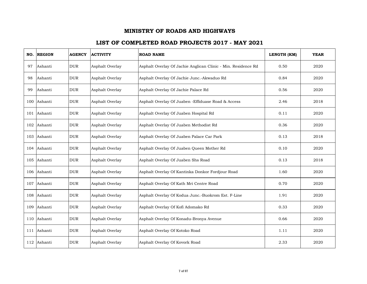| NO. | <b>REGION</b> | <b>AGENCY</b> | <b>ACTIVITY</b> | <b>ROAD NAME</b>                                              | LENGTH (KM) | <b>YEAR</b> |
|-----|---------------|---------------|-----------------|---------------------------------------------------------------|-------------|-------------|
| 97  | Ashanti       | <b>DUR</b>    | Asphalt Overlay | Asphalt Overlay Of Jachie Anglican Clinic - Min. Residence Rd | 0.50        | 2020        |
| 98  | Ashanti       | <b>DUR</b>    | Asphalt Overlay | Asphalt Overlay Of Jachie Junc.-Akwaduo Rd                    | 0.84        | 2020        |
| 99  | Ashanti       | <b>DUR</b>    | Asphalt Overlay | Asphalt Overlay Of Jachie Palace Rd                           | 0.56        | 2020        |
|     | 100 Ashanti   | <b>DUR</b>    | Asphalt Overlay | Asphalt Overlay Of Juaben - Effiduase Road & Access           | 2.46        | 2018        |
|     | 101 Ashanti   | <b>DUR</b>    | Asphalt Overlay | Asphalt Overlay Of Juaben Hospital Rd                         | 0.11        | 2020        |
|     | 102 Ashanti   | <b>DUR</b>    | Asphalt Overlay | Asphalt Overlay Of Juaben Methodist Rd                        | 0.36        | 2020        |
|     | 103 Ashanti   | <b>DUR</b>    | Asphalt Overlay | Asphalt Overlay Of Juaben Palace Car Park                     | 0.13        | 2018        |
|     | 104 Ashanti   | <b>DUR</b>    | Asphalt Overlay | Asphalt Overlay Of Juaben Queen Mother Rd                     | 0.10        | 2020        |
|     | 105 Ashanti   | <b>DUR</b>    | Asphalt Overlay | Asphalt Overlay Of Juaben Shs Road                            | 0.13        | 2018        |
|     | 106 Ashanti   | <b>DUR</b>    | Asphalt Overlay | Asphalt Overlay Of Kantinka Donkor Fordjour Road              | 1.60        | 2020        |
|     | 107 Ashanti   | <b>DUR</b>    | Asphalt Overlay | Asphalt Overlay Of Kath Mri Centre Road                       | 0.70        | 2020        |
|     | 108 Ashanti   | <b>DUR</b>    | Asphalt Overlay | Asphalt Overlay Of Kodua Junc.-Buokrom Est. F-Line            | 1.91        | 2020        |
|     | 109 Ashanti   | <b>DUR</b>    | Asphalt Overlay | Asphalt Overlay Of Kofi Adomako Rd                            | 0.33        | 2020        |
|     | 110 Ashanti   | <b>DUR</b>    | Asphalt Overlay | Asphalt Overlay Of Konadu-Bronya Avenue                       | 0.66        | 2020        |
|     | 111 Ashanti   | <b>DUR</b>    | Asphalt Overlay | Asphalt Overlay Of Kotoko Road                                | 1.11        | 2020        |
|     | 112 Ashanti   | <b>DUR</b>    | Asphalt Overlay | Asphalt Overlay Of Kovork Road                                | 2.33        | 2020        |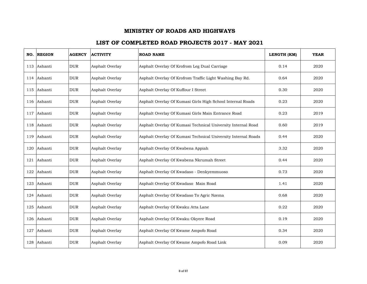|     | NO. REGION  | <b>AGENCY</b> | <b>ACTIVITY</b> | <b>ROAD NAME</b>                                              | LENGTH (KM) | <b>YEAR</b> |
|-----|-------------|---------------|-----------------|---------------------------------------------------------------|-------------|-------------|
|     | 113 Ashanti | <b>DUR</b>    | Asphalt Overlay | Asphalt Overlay Of Krofrom Leg Dual Carriage                  | 0.14        | 2020        |
|     | 114 Ashanti | $_{\rm DUR}$  | Asphalt Overlay | Asphalt Overlay Of Krofrom Traffic Light Washing Bay Rd.      | 0.64        | 2020        |
|     | 115 Ashanti | <b>DUR</b>    | Asphalt Overlay | Asphalt Overlay Of Kuffour I Street                           | 0.30        | 2020        |
|     | 116 Ashanti | <b>DUR</b>    | Asphalt Overlay | Asphalt Overlay Of Kumasi Girls High School Internal Roads    | 0.23        | 2020        |
| 117 | Ashanti     | <b>DUR</b>    | Asphalt Overlay | Asphalt Overlay Of Kumasi Girls Main Entrance Road            | 0.23        | 2019        |
|     | 118 Ashanti | <b>DUR</b>    | Asphalt Overlay | Asphalt Overlay Of Kumasi Technical University Internal Road  | 0.60        | 2019        |
|     | 119 Ashanti | <b>DUR</b>    | Asphalt Overlay | Asphalt Overlay Of Kumasi Technical University Internal Roads | 0.44        | 2020        |
|     | 120 Ashanti | <b>DUR</b>    | Asphalt Overlay | Asphalt Overlay Of Kwabena Appiah                             | 3.32        | 2020        |
|     | 121 Ashanti | <b>DUR</b>    | Asphalt Overlay | Asphalt Overlay Of Kwabena Nkrumah Street                     | 0.44        | 2020        |
| 122 | Ashanti     | <b>DUR</b>    | Asphalt Overlay | Asphalt Overlay Of Kwadaso - Denkyemmuoso                     | 0.73        | 2020        |
|     | 123 Ashanti | <b>DUR</b>    | Asphalt Overlay | Asphalt Overlay Of Kwadaso Main Road                          | 1.41        | 2020        |
|     | 124 Ashanti | <b>DUR</b>    | Asphalt Overlay | Asphalt Overlay Of Kwadaso To Agric Nzema                     | 0.68        | 2020        |
| 125 | Ashanti     | <b>DUR</b>    | Asphalt Overlay | Asphalt Overlay Of Kwaku Atta Lane                            | 0.22        | 2020        |
|     | 126 Ashanti | <b>DUR</b>    | Asphalt Overlay | Asphalt Overlay Of Kwaku Okyere Road                          | 0.19        | 2020        |
| 127 | Ashanti     | <b>DUR</b>    | Asphalt Overlay | Asphalt Overlay Of Kwame Ampofo Road                          | 0.34        | 2020        |
|     | 128 Ashanti | <b>DUR</b>    | Asphalt Overlay | Asphalt Overlay Of Kwame Ampofo Road Link                     | 0.09        | 2020        |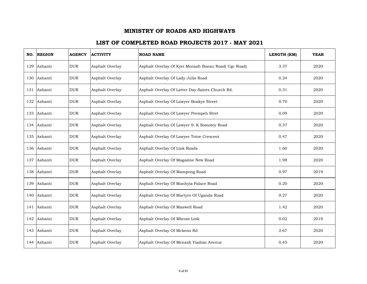| NO. | <b>REGION</b> | <b>AGENCY</b> | <b>ACTIVITY</b> | <b>ROAD NAME</b>                                     | LENGTH (KM) | <b>YEAR</b> |
|-----|---------------|---------------|-----------------|------------------------------------------------------|-------------|-------------|
| 129 | Ashanti       | <b>DUR</b>    | Asphalt Overlay | Asphalt Overlay Of Kyei Mensah Bonsu Road( Ugc Road) | 3.37        | 2020        |
|     | 130 Ashanti   | <b>DUR</b>    | Asphalt Overlay | Asphalt Overlay Of Lady Julia Road                   | 0.24        | 2020        |
|     | 131 Ashanti   | <b>DUR</b>    | Asphalt Overlay | Asphalt Overlay Of Latter Day Saints Church Rd.      | 0.31        | 2020        |
|     | 132 Ashanti   | <b>DUR</b>    | Asphalt Overlay | Asphalt Overlay Of Lawyer Boakye Street              | 0.70        | 2020        |
|     | 133 Ashanti   | <b>DUR</b>    | Asphalt Overlay | Asphalt Overlay Of Lawyer Prempeh Stret              | 0.09        | 2020        |
|     | 134 Ashanti   | <b>DUR</b>    | Asphalt Overlay | Asphalt Overlay Of Lawyer S. K Somotey Road          | 0.37        | 2020        |
|     | 135 Ashanti   | <b>DUR</b>    | Asphalt Overlay | Asphalt Overlay Of Lawyer Totoe Crescent             | 0.47        | 2020        |
|     | 136 Ashanti   | <b>DUR</b>    | Asphalt Overlay | Asphalt Overlay Of Link Roads                        | 1.60        | 2020        |
|     | 137 Ashanti   | <b>DUR</b>    | Asphalt Overlay | Asphalt Overlay Of Magazine New Road                 | 1.98        | 2020        |
|     | 138 Ashanti   | <b>DUR</b>    | Asphalt Overlay | Asphalt Overlay Of Mampong Road                      | 0.97        | 2019        |
|     | 139 Ashanti   | <b>DUR</b>    | Asphalt Overlay | Asphalt Overlay Of Manhyia Palace Road               | 0.20        | 2020        |
|     | 140 Ashanti   | <b>DUR</b>    | Asphalt Overlay | Asphalt Overlay Of Martyrs Of Uganda Road            | 0.27        | 2020        |
|     | 141 Ashanti   | <b>DUR</b>    | Asphalt Overlay | Asphalt Overlay Of Maxwell Road                      | 1.42        | 2020        |
|     | 142 Ashanti   | <b>DUR</b>    | Asphalt Overlay | Asphalt Overlay Of Mbrom Link                        | 0.02        | 2019        |
| 143 | Ashanti       | <b>DUR</b>    | Asphalt Overlay | Asphalt Overlay Of Mckeon Rd                         | 2.67        | 2020        |
|     | 144 Ashanti   | <b>DUR</b>    | Asphalt Overlay | Asphalt Overlay Of Mensah Yiadom Avenue              | 0.45        | 2020        |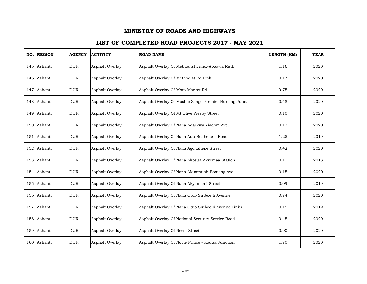|     | NO. REGION  | <b>AGENCY</b> | <b>ACTIVITY</b> | <b>ROAD NAME</b>                                      | LENGTH (KM) | <b>YEAR</b> |
|-----|-------------|---------------|-----------------|-------------------------------------------------------|-------------|-------------|
|     | 145 Ashanti | <b>DUR</b>    | Asphalt Overlay | Asphalt Overlay Of Methodist Junc.-Abaawa Ruth        | 1.16        | 2020        |
|     | 146 Ashanti | <b>DUR</b>    | Asphalt Overlay | Asphalt Overlay Of Methodist Rd Link 1                | 0.17        | 2020        |
| 147 | Ashanti     | <b>DUR</b>    | Asphalt Overlay | Asphalt Overlay Of Moro Market Rd                     | 0.75        | 2020        |
|     | 148 Ashanti | <b>DUR</b>    | Asphalt Overlay | Asphalt Overlay Of Moshie Zongo-Premier Nursing Junc. | 0.48        | 2020        |
| 149 | Ashanti     | <b>DUR</b>    | Asphalt Overlay | Asphalt Overlay Of Mt Olive Presby Street             | 0.10        | 2020        |
|     | 150 Ashanti | <b>DUR</b>    | Asphalt Overlay | Asphalt Overlay Of Nana Adarkwa Yiadom Ave.           | 0.12        | 2020        |
|     | 151 Ashanti | <b>DUR</b>    | Asphalt Overlay | Asphalt Overlay Of Nana Adu Boahene Ii Road           | 1.25        | 2019        |
|     | 152 Ashanti | <b>DUR</b>    | Asphalt Overlay | Asphalt Overlay Of Nana Agonahene Street              | 0.42        | 2020        |
|     | 153 Ashanti | <b>DUR</b>    | Asphalt Overlay | Asphalt Overlay Of Nana Akosua Akyemaa Station        | 0.11        | 2018        |
|     | 154 Ashanti | <b>DUR</b>    | Asphalt Overlay | Asphalt Overlay Of Nana Akuamuah Boateng Ave          | 0.15        | 2020        |
|     | 155 Ashanti | <b>DUR</b>    | Asphalt Overlay | Asphalt Overlay Of Nana Akyamaa I Street              | 0.09        | 2019        |
|     | 156 Ashanti | <b>DUR</b>    | Asphalt Overlay | Asphalt Overlay Of Nana Otuo Siriboe Ii Avenue        | 0.74        | 2020        |
| 157 | Ashanti     | <b>DUR</b>    | Asphalt Overlay | Asphalt Overlay Of Nana Otuo Siriboe Ii Avenue Links  | 0.15        | 2019        |
|     | 158 Ashanti | <b>DUR</b>    | Asphalt Overlay | Asphalt Overlay Of National Security Service Road     | 0.45        | 2020        |
| 159 | Ashanti     | <b>DUR</b>    | Asphalt Overlay | Asphalt Overlay Of Neem Street                        | 0.90        | 2020        |
|     | 160 Ashanti | <b>DUR</b>    | Asphalt Overlay | Asphalt Overlay Of Noble Prince - Kodua Junction      | 1.70        | 2020        |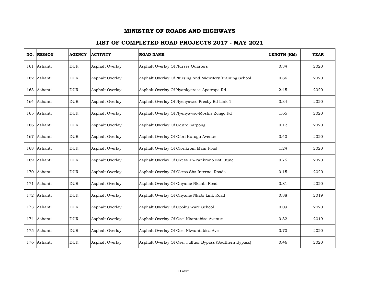| NO. | <b>REGION</b> | <b>AGENCY</b> | <b>ACTIVITY</b> | <b>ROAD NAME</b>                                         | LENGTH (KM) | <b>YEAR</b> |
|-----|---------------|---------------|-----------------|----------------------------------------------------------|-------------|-------------|
|     | 161 Ashanti   | <b>DUR</b>    | Asphalt Overlay | Asphalt Overlay Of Nurses Quarters                       | 0.34        | 2020        |
|     | 162 Ashanti   | <b>DUR</b>    | Asphalt Overlay | Asphalt Overlay Of Nursing And Midwifery Training School | 0.86        | 2020        |
|     | 163 Ashanti   | <b>DUR</b>    | Asphalt Overlay | Asphalt Overlay Of Nyankyerase-Apatrapa Rd               | 2.45        | 2020        |
|     | 164 Ashanti   | <b>DUR</b>    | Asphalt Overlay | Asphalt Overlay Of Nyenyawso Presby Rd Link 1            | 0.34        | 2020        |
|     | 165 Ashanti   | <b>DUR</b>    | Asphalt Overlay | Asphalt Overlay Of Nyenyawso-Moshie Zongo Rd             | 1.65        | 2020        |
|     | 166 Ashanti   | <b>DUR</b>    | Asphalt Overlay | Asphalt Overlay Of Oduro Sarpong                         | 0.12        | 2020        |
|     | 167 Ashanti   | <b>DUR</b>    | Asphalt Overlay | Asphalt Overlay Of Ofori Kuragu Avenue                   | 0.40        | 2020        |
|     | 168 Ashanti   | <b>DUR</b>    | Asphalt Overlay | Asphalt Overlay Of Oforikrom Main Road                   | 1.24        | 2020        |
|     | 169 Ashanti   | <b>DUR</b>    | Asphalt Overlay | Asphalt Overlay Of Okess Jn-Pankrono Est. Junc.          | 0.75        | 2020        |
|     | 170 Ashanti   | <b>DUR</b>    | Asphalt Overlay | Asphalt Overlay Of Okess Shs Internal Roads              | 0.15        | 2020        |
|     | 171 Ashanti   | <b>DUR</b>    | Asphalt Overlay | Asphalt Overlay Of Onyame Nkaabi Road                    | 0.81        | 2020        |
|     | 172 Ashanti   | <b>DUR</b>    | Asphalt Overlay | Asphalt Overlay Of Onyame Nkabi Link Road                | 0.88        | 2019        |
|     | 173 Ashanti   | <b>DUR</b>    | Asphalt Overlay | Asphalt Overlay Of Opoku Ware School                     | 0.09        | 2020        |
|     | 174 Ashanti   | <b>DUR</b>    | Asphalt Overlay | Asphalt Overlay Of Osei Nkantabisa Avenue                | 0.32        | 2019        |
| 175 | Ashanti       | <b>DUR</b>    | Asphalt Overlay | Asphalt Overlay Of Osei Nkwantabisa Ave                  | 0.70        | 2020        |
|     | 176 Ashanti   | <b>DUR</b>    | Asphalt Overlay | Asphalt Overlay Of Osei Tuffuor Bypass (Southern Bypass) | 0.46        | 2020        |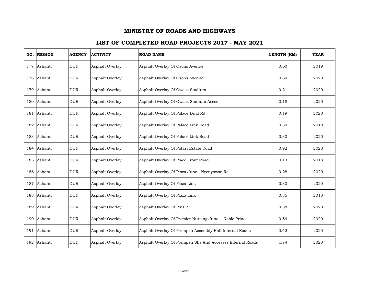|     | NO. REGION  | <b>AGENCY</b> | <b>ACTIVITY</b> | <b>ROAD NAME</b>                                           | LENGTH (KM) | <b>YEAR</b> |
|-----|-------------|---------------|-----------------|------------------------------------------------------------|-------------|-------------|
| 177 | Ashanti     | <b>DUR</b>    | Asphalt Overlay | Asphalt Overlay Of Osons Avenue                            | 0.60        | 2019        |
| 178 | Ashanti     | <b>DUR</b>    | Asphalt Overlay | Asphalt Overlay Of Osons Avenue                            | 0.60        | 2020        |
| 179 | Ashanti     | <b>DUR</b>    | Asphalt Overlay | Asphalt Overlay Of Owass Stadium                           | 0.21        | 2020        |
|     | 180 Ashanti | <b>DUR</b>    | Asphalt Overlay | Asphalt Overlay Of Owass Stadium Acess                     | 0.18        | 2020        |
|     | 181 Ashanti | <b>DUR</b>    | Asphalt Overlav | Asphalt Overlay Of Palace Dual Rd                          | 0.19        | 2020        |
|     | 182 Ashanti | <b>DUR</b>    | Asphalt Overlay | Asphalt Overlay Of Palace Link Road                        | 0.30        | 2018        |
| 183 | Ashanti     | <b>DUR</b>    | Asphalt Overlay | Asphalt Overlay Of Palace Link Road                        | 0.30        | 2020        |
| 184 | Ashanti     | <b>DUR</b>    | Asphalt Overlay | Asphalt Overlay Of Patasi Estate Road                      | 0.92        | 2020        |
|     | 185 Ashanti | <b>DUR</b>    | Asphalt Overlay | Asphalt Overlay Of Place Front Road                        | 0.13        | 2018        |
|     | 186 Ashanti | <b>DUR</b>    | Asphalt Overlay | Asphalt Overlay Of Plaza Junc. -Nyenyawso Rd               | 0.28        | 2020        |
| 187 | Ashanti     | <b>DUR</b>    | Asphalt Overlay | Asphalt Overlay Of Plaza Link                              | 0.30        | 2020        |
| 188 | Ashanti     | <b>DUR</b>    | Asphalt Overlay | Asphalt Overlay Of Plaza Link                              | 0.35        | 2018        |
| 189 | Ashanti     | $_{\rm DUR}$  | Asphalt Overlay | Asphalt Overlay Of Plus 2                                  | 0.38        | 2020        |
|     | 190 Ashanti | <b>DUR</b>    | Asphalt Overlay | Asphalt Overlay Of Premier Nursing Junc. - Noble Prince    | 0.54        | 2020        |
| 191 | Ashanti     | <b>DUR</b>    | Asphalt Overlay | Asphalt Overlay Of Prempeh Assembly Hall Internal Roads    | 0.42        | 2020        |
|     | 192 Ashanti | <b>DUR</b>    | Asphalt Overlay | Asphalt Overlay Of Prempeh Shs And Accesses Internal Roads | 1.74        | 2020        |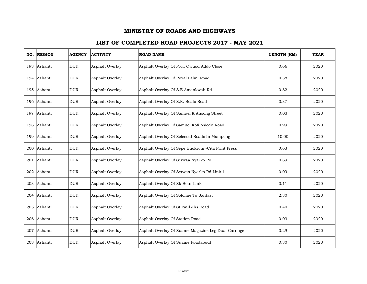| NO. | <b>REGION</b> | <b>AGENCY</b> | <b>ACTIVITY</b> | <b>ROAD NAME</b>                                    | LENGTH (KM) | <b>YEAR</b> |
|-----|---------------|---------------|-----------------|-----------------------------------------------------|-------------|-------------|
|     | 193 Ashanti   | <b>DUR</b>    | Asphalt Overlay | Asphalt Overlay Of Prof. Owusu Addo Close           | 0.66        | 2020        |
| 194 | Ashanti       | <b>DUR</b>    | Asphalt Overlay | Asphalt Overlay Of Royal Palm Road                  | 0.38        | 2020        |
| 195 | Ashanti       | $_{\rm DUR}$  | Asphalt Overlay | Asphalt Overlay Of S.E Amankwah Rd                  | 0.82        | 2020        |
|     | 196 Ashanti   | <b>DUR</b>    | Asphalt Overlay | Asphalt Overlay Of S.K. Boafo Road                  | 0.37        | 2020        |
| 197 | Ashanti       | <b>DUR</b>    | Asphalt Overlay | Asphalt Overlay Of Samuel K Ansong Street           | 0.03        | 2020        |
|     | 198 Ashanti   | <b>DUR</b>    | Asphalt Overlay | Asphalt Overlay Of Samuel Kofi Asiedu Road          | 0.99        | 2020        |
| 199 | Ashanti       | <b>DUR</b>    | Asphalt Overlay | Asphalt Overlay Of Selected Roads In Mampong        | 10.00       | 2020        |
| 200 | Ashanti       | <b>DUR</b>    | Asphalt Overlay | Asphalt Overlay Of Sepe Buokrom - Cita Print Press  | 0.63        | 2020        |
| 201 | Ashanti       | <b>DUR</b>    | Asphalt Overlay | Asphalt Overlay Of Serwaa Nyarko Rd                 | 0.89        | 2020        |
| 202 | Ashanti       | <b>DUR</b>    | Asphalt Overlay | Asphalt Overlay Of Serwaa Nyarko Rd Link 1          | 0.09        | 2020        |
| 203 | Ashanti       | <b>DUR</b>    | Asphalt Overlay | Asphalt Overlay Of Sk Bour Link                     | 0.11        | 2020        |
| 204 | Ashanti       | <b>DUR</b>    | Asphalt Overlay | Asphalt Overlay Of Sofoline To Santasi              | 2.30        | 2020        |
| 205 | Ashanti       | <b>DUR</b>    | Asphalt Overlay | Asphalt Overlay Of St Paul Jhs Road                 | 0.40        | 2020        |
|     | 206 Ashanti   | <b>DUR</b>    | Asphalt Overlay | Asphalt Overlay Of Station Road                     | 0.03        | 2020        |
| 207 | Ashanti       | <b>DUR</b>    | Asphalt Overlay | Asphalt Overlay Of Suame Magazine Leg Dual Carriage | 0.29        | 2020        |
|     | 208 Ashanti   | <b>DUR</b>    | Asphalt Overlay | Asphalt Overlay Of Suame Roadabout                  | 0.30        | 2020        |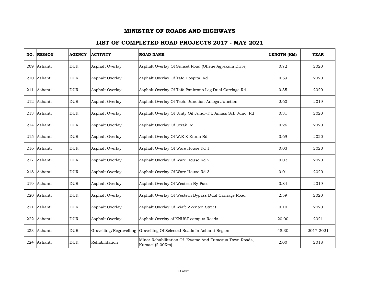|     | NO. REGION  | <b>AGENCY</b> | <b>ACTIVITY</b>         | <b>ROAD NAME</b>                                                         | LENGTH (KM) | <b>YEAR</b> |
|-----|-------------|---------------|-------------------------|--------------------------------------------------------------------------|-------------|-------------|
|     | 209 Ashanti | <b>DUR</b>    | Asphalt Overlay         | Asphalt Overlay Of Sunset Road (Ohene Agyekum Drive)                     | 0.72        | 2020        |
|     | 210 Ashanti | <b>DUR</b>    | Asphalt Overlay         | Asphalt Overlay Of Tafo Hospital Rd                                      | 0.59        | 2020        |
| 211 | Ashanti     | <b>DUR</b>    | Asphalt Overlay         | Asphalt Overlay Of Tafo Pankrono Leg Dual Carriage Rd                    | 0.35        | 2020        |
|     | 212 Ashanti | <b>DUR</b>    | Asphalt Overlay         | Asphalt Overlay Of Tech. Junction-Anloga Junction                        | 2.60        | 2019        |
|     | 213 Ashanti | <b>DUR</b>    | Asphalt Overlay         | Asphalt Overlay Of Unity Oil Junc.-T.I. Amass Sch Junc. Rd               | 0.31        | 2020        |
|     | 214 Ashanti | <b>DUR</b>    | Asphalt Overlay         | Asphalt Overlay Of Utrak Rd                                              | 0.26        | 2020        |
|     | 215 Ashanti | <b>DUR</b>    | Asphalt Overlay         | Asphalt Overlay Of W.E K Ennin Rd                                        | 0.69        | 2020        |
|     | 216 Ashanti | <b>DUR</b>    | Asphalt Overlay         | Asphalt Overlay Of Ware House Rd 1                                       | 0.03        | 2020        |
|     | 217 Ashanti | <b>DUR</b>    | Asphalt Overlay         | Asphalt Overlay Of Ware House Rd 2                                       | 0.02        | 2020        |
| 218 | Ashanti     | <b>DUR</b>    | Asphalt Overlay         | Asphalt Overlay Of Ware House Rd 3                                       | 0.01        | 2020        |
|     | 219 Ashanti | <b>DUR</b>    | Asphalt Overlay         | Asphalt Overlay Of Western By-Pass                                       | 0.84        | 2019        |
| 220 | Ashanti     | <b>DUR</b>    | Asphalt Overlay         | Asphalt Overlay Of Western Bypass Dual Carriage Road                     | 2.59        | 2020        |
| 221 | Ashanti     | <b>DUR</b>    | Asphalt Overlay         | Asphalt Overlay Of Wiafe Akenten Street                                  | 0.10        | 2020        |
|     | 222 Ashanti | <b>DUR</b>    | Asphalt Overlay         | Asphalt Overlay of KNUST campus Roads                                    | 20.00       | 2021        |
| 223 | Ashanti     | <b>DUR</b>    | Gravelling/Regravelling | Gravelling Of Selected Roads In Ashanti Region                           | 48.30       | 2017-2021   |
|     | 224 Ashanti | <b>DUR</b>    | Rehabilitation          | Minor Rehabilitation Of Kwamo And Fumesua Town Roads,<br>Kumasi (2.00Km) | 2.00        | 2018        |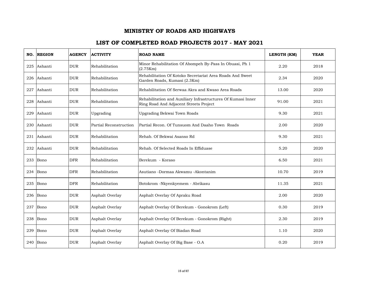| NO. | <b>REGION</b> | <b>AGENCY</b> | <b>ACTIVITY</b>        | <b>ROAD NAME</b>                                                                                       | LENGTH (KM) | <b>YEAR</b> |
|-----|---------------|---------------|------------------------|--------------------------------------------------------------------------------------------------------|-------------|-------------|
|     | 225 Ashanti   | <b>DUR</b>    | Rehabilitation         | Minor Rehabilitation Of Abompeh By-Pass In Obuasi, Ph 1<br>(2.75Km)                                    | 2.20        | 2018        |
| 226 | Ashanti       | <b>DUR</b>    | Rehabilitation         | Rehabilitation Of Kotoko Secretariat Area Roads And Sweet<br>Garden Roads, Kumasi (2.3Km)              | 2.34        | 2020        |
| 227 | Ashanti       | <b>DUR</b>    | Rehabilitation         | Rehabilitation Of Serwaa Akra and Kwaso Area Roads                                                     | 13.00       | 2020        |
| 228 | Ashanti       | <b>DUR</b>    | Rehabilitation         | Rehabilitation and Auxiliary Infrastructures Of Kumasi Inner<br>Ring Road And Adjacent Streets Project | 91.00       | 2021        |
| 229 | Ashanti       | <b>DUR</b>    | Upgrading              | Upgrading Bekwai Town Roads                                                                            | 9.30        | 2021        |
|     | 230 Ashanti   | <b>DUR</b>    | Partial Reconstruction | Partial Recon. Of Tunsuom And Daaho Town Roads                                                         | 2.00        | 2020        |
| 231 | Ashanti       | <b>DUR</b>    | Rehabilitation         | Rehab. Of Bekwai Asanso Rd                                                                             | 9.30        | 2021        |
| 232 | Ashanti       | <b>DUR</b>    | Rehabilitation         | Rehab. Of Selected Roads In Effiduase                                                                  | 5.20        | 2020        |
| 233 | Bono          | <b>DFR</b>    | Rehabilitation         | Berekum - Koraso                                                                                       | 6.50        | 2021        |
| 234 | Bono          | <b>DFR</b>    | Rehabilitation         | Asutiano -Dormaa Akwamu -Akontanim                                                                     | 10.70       | 2019        |
|     | $235$ Bono    | <b>DFR</b>    | Rehabilitation         | Botokrom -Nkyenkyemem - Abrikasu                                                                       | 11.35       | 2021        |
| 236 | Bono          | <b>DUR</b>    | Asphalt Overlay        | Asphalt Overlay Of Apraku Road                                                                         | 2.00        | 2020        |
| 237 | Bono          | <b>DUR</b>    | Asphalt Overlay        | Asphalt Overlay Of Berekum - Gonokrom (Left)                                                           | 0.30        | 2019        |
| 238 | Bono          | <b>DUR</b>    | Asphalt Overlay        | Asphalt Overlay Of Berekum - Gonokrom (Right)                                                          | 2.30        | 2019        |
| 239 | Bono          | <b>DUR</b>    | Asphalt Overlay        | Asphalt Overlay Of Biadan Road                                                                         | 1.10        | 2020        |
|     | 240 Bono      | <b>DUR</b>    | Asphalt Overlay        | Asphalt Overlay Of Big Base - O.A                                                                      | 0.20        | 2019        |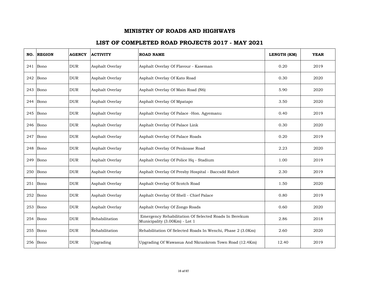| NO. | <b>REGION</b> | <b>AGENCY</b> | <b>ACTIVITY</b> | <b>ROAD NAME</b>                                                                       | LENGTH (KM) | <b>YEAR</b> |
|-----|---------------|---------------|-----------------|----------------------------------------------------------------------------------------|-------------|-------------|
|     | $241$ Bono    | <b>DUR</b>    | Asphalt Overlay | Asphalt Overlay Of Flavour - Kaseman                                                   | 0.20        | 2019        |
| 242 | Bono          | <b>DUR</b>    | Asphalt Overlay | Asphalt Overlay Of Kato Road                                                           | 0.30        | 2020        |
| 243 | Bono          | <b>DUR</b>    | Asphalt Overlay | Asphalt Overlay Of Main Road (N6)                                                      | 5.90        | 2020        |
| 244 | Bono          | <b>DUR</b>    | Asphalt Overlay | Asphalt Overlay Of Mpatapo                                                             | 3.50        | 2020        |
| 245 | Bono          | <b>DUR</b>    | Asphalt Overlay | Asphalt Overlay Of Palace -Hon. Agyemanu                                               | 0.40        | 2019        |
| 246 | Bono          | <b>DUR</b>    | Asphalt Overlay | Asphalt Overlay Of Palace Link                                                         | 0.30        | 2020        |
| 247 | Bono          | <b>DUR</b>    | Asphalt Overlay | Asphalt Overlay Of Palace Roads                                                        | 0.20        | 2019        |
| 248 | Bono          | <b>DUR</b>    | Asphalt Overlay | Asphalt Overlay Of Penkoase Road                                                       | 2.23        | 2020        |
| 249 | Bono          | <b>DUR</b>    | Asphalt Overlay | Asphalt Overlay Of Police Hq - Stadium                                                 | 1.00        | 2019        |
| 250 | Bono          | <b>DUR</b>    | Asphalt Overlay | Asphalt Overlay Of Presby Hospital - Baccsdd Rabrit                                    | 2.30        | 2019        |
|     | 251 Bono      | <b>DUR</b>    | Asphalt Overlay | Asphalt Overlay Of Scotch Road                                                         | 1.50        | 2020        |
| 252 | Bono          | <b>DUR</b>    | Asphalt Overlay | Asphalt Overlay Of Shell - Chief Palace                                                | 0.80        | 2019        |
| 253 | Bono          | <b>DUR</b>    | Asphalt Overlay | Asphalt Overlay Of Zongo Roads                                                         | 0.60        | 2020        |
| 254 | Bono          | <b>DUR</b>    | Rehabilitation  | Emergency Rehabilitation Of Selected Roads In Berekum<br>Municipality (3.00Km) - Lot 1 | 2.86        | 2018        |
| 255 | Bono          | <b>DUR</b>    | Rehabilitation  | Rehabilitation Of Selected Roads In Wenchi, Phase 2 (3.0Km)                            | 2.60        | 2020        |
|     | 256 Bono      | <b>DUR</b>    | Upgrading       | Upgrading Of Wawasua And Nkrankrom Town Road (12.4Km)                                  | 12.40       | 2019        |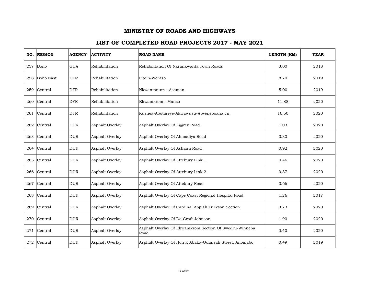|     | NO. REGION | <b>AGENCY</b> | <b>ACTIVITY</b> | <b>ROAD NAME</b>                                               | LENGTH (KM) | <b>YEAR</b> |
|-----|------------|---------------|-----------------|----------------------------------------------------------------|-------------|-------------|
| 257 | Bono       | <b>GHA</b>    | Rehabilitation  | Rehabilitation Of Nkrankwanta Town Roads                       | 3.00        | 2018        |
| 258 | Bono East  | <b>DFR</b>    | Rehabilitation  | Pitojn-Woraso                                                  | 8.70        | 2019        |
| 259 | Central    | <b>DFR</b>    | Rehabilitation  | Nkwantanum - Asaman                                            | 5.00        | 2019        |
| 260 | Central    | <b>DFR</b>    | Rehabilitation  | Ekwamkrom - Manso                                              | 11.88       | 2020        |
| 261 | Central    | <b>DFR</b>    | Rehabilitation  | Kushea-Abotareye-Akwawusu-Atweneboana Jn.                      | 16.50       | 2020        |
| 262 | Central    | <b>DUR</b>    | Asphalt Overlay | Asphalt Overlay Of Aggrey Road                                 | 1.03        | 2020        |
| 263 | Central    | <b>DUR</b>    | Asphalt Overlay | Asphalt Overlay Of Ahmadiya Road                               | 0.30        | 2020        |
| 264 | Central    | <b>DUR</b>    | Asphalt Overlay | Asphalt Overlay Of Ashanti Road                                | 0.92        | 2020        |
| 265 | Central    | <b>DUR</b>    | Asphalt Overlay | Asphalt Overlay Of Attebury Link 1                             | 0.46        | 2020        |
| 266 | Central    | <b>DUR</b>    | Asphalt Overlay | Asphalt Overlay Of Attebury Link 2                             | 0.37        | 2020        |
| 267 | Central    | <b>DUR</b>    | Asphalt Overlay | Asphalt Overlay Of Attebury Road                               | 0.66        | 2020        |
| 268 | Central    | <b>DUR</b>    | Asphalt Overlay | Asphalt Overlay Of Cape Coast Regional Hospital Road           | 1.26        | 2017        |
| 269 | Central    | <b>DUR</b>    | Asphalt Overlay | Asphalt Overlay Of Cardinal Appiah Turkson Section             | 0.73        | 2020        |
| 270 | Central    | <b>DUR</b>    | Asphalt Overlay | Asphalt Overlay Of De-Graft Johnson                            | 1.90        | 2020        |
| 271 | Central    | <b>DUR</b>    | Asphalt Overlay | Asphalt Overlay Of Ekwamkrom Section Of Swedru-Winneba<br>Road | 0.40        | 2020        |
| 272 | Central    | <b>DUR</b>    | Asphalt Overlay | Asphalt Overlay Of Hon K Abaka-Quansah Street, Anomabo         | 0.49        | 2019        |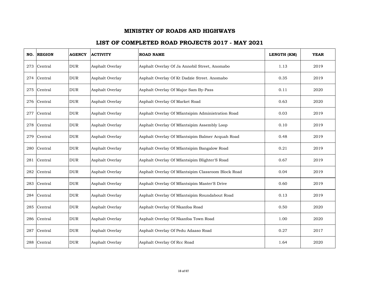| NO. | <b>REGION</b> | <b>AGENCY</b> | <b>ACTIVITY</b> | <b>ROAD NAME</b>                                   | LENGTH (KM) | <b>YEAR</b> |
|-----|---------------|---------------|-----------------|----------------------------------------------------|-------------|-------------|
| 273 | Central       | <b>DUR</b>    | Asphalt Overlay | Asphalt Overlay Of Ja Annobil Street, Anomabo      | 1.13        | 2019        |
| 274 | Central       | <b>DUR</b>    | Asphalt Overlay | Asphalt Overlay Of Kt Dadzie Street. Anomabo       | 0.35        | 2019        |
| 275 | Central       | <b>DUR</b>    | Asphalt Overlay | Asphalt Overlay Of Major Sam By-Pass               | 0.11        | 2020        |
| 276 | Central       | <b>DUR</b>    | Asphalt Overlay | Asphalt Overlay Of Market Road                     | 0.63        | 2020        |
| 277 | Central       | <b>DUR</b>    | Asphalt Overlay | Asphalt Overlay Of Mfantsipim Administration Road  | 0.03        | 2019        |
| 278 | Central       | <b>DUR</b>    | Asphalt Overlay | Asphalt Overlay Of Mfantsipim Assembly Loop        | 0.10        | 2019        |
| 279 | Central       | <b>DUR</b>    | Asphalt Overlay | Asphalt Overlay Of Mfantsipim Balmer Acquah Road   | 0.48        | 2019        |
| 280 | Central       | <b>DUR</b>    | Asphalt Overlay | Asphalt Overlay Of Mfantsipim Bangalow Road        | 0.21        | 2019        |
|     | 281 Central   | <b>DUR</b>    | Asphalt Overlay | Asphalt Overlay Of Mfantsipim Blighter'S Road      | 0.67        | 2019        |
| 282 | Central       | <b>DUR</b>    | Asphalt Overlay | Asphalt Overlay Of Mfantsipim Classroom Block Road | 0.04        | 2019        |
| 283 | Central       | <b>DUR</b>    | Asphalt Overlay | Asphalt Overlay Of Mfantsipim Master'S Drive       | 0.60        | 2019        |
| 284 | Central       | <b>DUR</b>    | Asphalt Overlay | Asphalt Overlay Of Mfantsipim Roundabout Road      | 0.13        | 2019        |
| 285 | Central       | <b>DUR</b>    | Asphalt Overlay | Asphalt Overlay Of Nkanfoa Road                    | 0.50        | 2020        |
| 286 | Central       | <b>DUR</b>    | Asphalt Overlay | Asphalt Overlay Of Nkanfoa Town Road               | 1.00        | 2020        |
| 287 | Central       | <b>DUR</b>    | Asphalt Overlay | Asphalt Overlay Of Pedu Adaaso Road                | 0.27        | 2017        |
| 288 | Central       | <b>DUR</b>    | Asphalt Overlay | Asphalt Overlay Of Rcc Road                        | 1.64        | 2020        |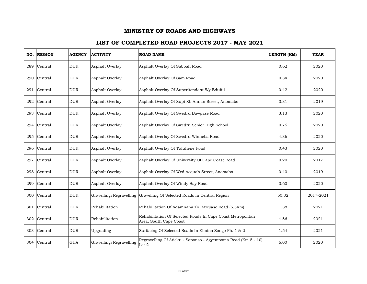| NO. | <b>REGION</b> | <b>AGENCY</b> | <b>ACTIVITY</b>         | <b>ROAD NAME</b>                                                                      | LENGTH (KM) | <b>YEAR</b> |
|-----|---------------|---------------|-------------------------|---------------------------------------------------------------------------------------|-------------|-------------|
| 289 | Central       | <b>DUR</b>    | Asphalt Overlay         | Asphalt Overlay Of Sabbah Road                                                        | 0.62        | 2020        |
| 290 | Central       | <b>DUR</b>    | Asphalt Overlay         | Asphalt Overlay Of Sam Road                                                           | 0.34        | 2020        |
| 291 | Central       | <b>DUR</b>    | Asphalt Overlay         | Asphalt Overlay Of Superitendant Wy Eduful                                            | 0.42        | 2020        |
| 292 | Central       | <b>DUR</b>    | Asphalt Overlay         | Asphalt Overlay Of Supi Kb Annan Street, Anomabo                                      | 0.31        | 2019        |
| 293 | Central       | <b>DUR</b>    | Asphalt Overlay         | Asphalt Overlay Of Swedru Bawjiase Road                                               | 3.13        | 2020        |
| 294 | Central       | <b>DUR</b>    | Asphalt Overlay         | Asphalt Overlay Of Swedru Senior High School                                          | 0.75        | 2020        |
| 295 | Central       | <b>DUR</b>    | Asphalt Overlay         | Asphalt Overlay Of Swedru Winneba Road                                                | 4.36        | 2020        |
| 296 | Central       | <b>DUR</b>    | Asphalt Overlay         | Asphalt Overlay Of Tufuhene Road                                                      | 0.43        | 2020        |
| 297 | Central       | <b>DUR</b>    | Asphalt Overlay         | Asphalt Overlay Of University Of Cape Coast Road                                      | 0.20        | 2017        |
| 298 | Central       | <b>DUR</b>    | Asphalt Overlay         | Asphalt Overlay Of Wed Acquah Street, Anomabo                                         | 0.40        | 2019        |
| 299 | Central       | <b>DUR</b>    | Asphalt Overlay         | Asphalt Overlay Of Windy Bay Road                                                     | 0.60        | 2020        |
| 300 | Central       | <b>DUR</b>    | Gravelling/Regravelling | Gravelling Of Selected Roads In Central Region                                        | 50.32       | 2017-2021   |
| 301 | Central       | <b>DUR</b>    | Rehabilitation          | Rehabilitation Of Adamnana To Bawjiase Road (6.5Km)                                   | 1.38        | 2021        |
| 302 | Central       | <b>DUR</b>    | Rehabilitation          | Rehabilitation Of Selected Roads In Cape Coast Metropolitan<br>Area, South Cape Coast | 4.56        | 2021        |
| 303 | Central       | <b>DUR</b>    | Upgrading               | Surfacing Of Selected Roads In Elmina Zongo Ph. 1 & 2                                 | 1.54        | 2021        |
| 304 | Central       | <b>GHA</b>    | Gravelling/Regravelling | Regravelling Of Atieku - Saponso - Agyempoma Road (Km 5 - 10)<br>Lot $2\,$            | 6.00        | 2020        |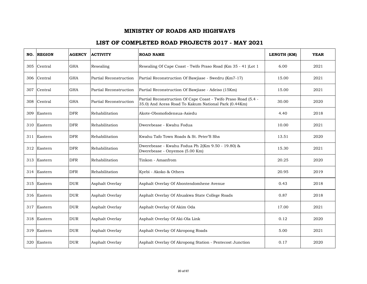| NO. | <b>REGION</b> | <b>AGENCY</b> | <b>ACTIVITY</b>        | <b>ROAD NAME</b>                                                                                                       | LENGTH (KM) | <b>YEAR</b> |
|-----|---------------|---------------|------------------------|------------------------------------------------------------------------------------------------------------------------|-------------|-------------|
| 305 | Central       | <b>GHA</b>    | Resealing              | Resealing Of Cape Coast - Twifo Praso Road (Km 35 - 41 )Lot 1                                                          | 6.00        | 2021        |
| 306 | Central       | <b>GHA</b>    | Partial Reconstruction | Partial Reconstruction Of Bawjiase - Swedru (Km7-17)                                                                   | 15.00       | 2021        |
| 307 | Central       | <b>GHA</b>    | Partial Reconstruction | Partial Reconstruction Of Bawiiase - Adeiso (15Km)                                                                     | 15.00       | 2021        |
| 308 | Central       | <b>GHA</b>    | Partial Reconstruction | Partial Reconstruction Of Cape Coast - Twifo Praso Road (5.4 -<br>35.0) And Acess Road To Kakum National Park (0.44Km) | 30.00       | 2020        |
| 309 | Eastern       | <b>DFR</b>    | Rehabilitation         | Akote-Obomofodensua-Asiedu                                                                                             | 4.40        | 2018        |
| 310 | Eastern       | <b>DFR</b>    | Rehabilitation         | Dwerebease - Kwahu Fodua                                                                                               | 10.00       | 2021        |
| 311 | Eastern       | <b>DFR</b>    | Rehabilitation         | Kwahu Tafo Town Roads & St. Peter'S Shs                                                                                | 13.51       | 2020        |
| 312 | Eastern       | <b>DFR</b>    | Rehabilitation         | Dwerebease - Kwahu Fodua Ph 2(Km 9.50 - 19.80) &<br>Dwerebease - Onyemos (5.00 Km)                                     | 15.30       | 2021        |
|     | 313 Eastern   | <b>DFR</b>    | Rehabilitation         | Tinkon - Amanfrom                                                                                                      | 20.25       | 2020        |
| 314 | Eastern       | <b>DFR</b>    | Rehabilitation         | Kyebi - Akoko & Others                                                                                                 | 20.95       | 2019        |
| 315 | Eastern       | <b>DUR</b>    | Asphalt Overlay        | Asphalt Overlay Of Abontendomhene Avenue                                                                               | 0.43        | 2018        |
| 316 | Eastern       | <b>DUR</b>    | Asphalt Overlay        | Asphalt Overlay Of Abuakwa State College Roads                                                                         | 0.87        | 2018        |
| 317 | Eastern       | <b>DUR</b>    | Asphalt Overlay        | Asphalt Overlay Of Akim Oda                                                                                            | 17.00       | 2021        |
|     | 318 Eastern   | <b>DUR</b>    | Asphalt Overlay        | Asphalt Overlay Of Aki-Ola Link                                                                                        | 0.12        | 2020        |
| 319 | Eastern       | <b>DUR</b>    | Asphalt Overlay        | Asphalt Overlay Of Akropong Roads                                                                                      | 5.00        | 2021        |
| 320 | Eastern       | <b>DUR</b>    | Asphalt Overlay        | Asphalt Overlay Of Akropong Station - Pentecost Junction                                                               | 0.17        | 2020        |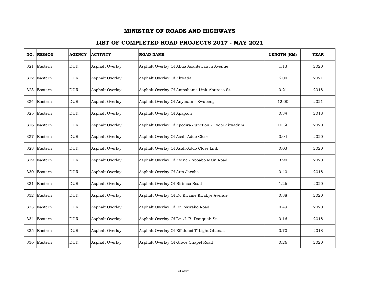| NO. | <b>REGION</b> | <b>AGENCY</b> | <b>ACTIVITY</b> | <b>ROAD NAME</b>                                   | LENGTH (KM) | <b>YEAR</b> |
|-----|---------------|---------------|-----------------|----------------------------------------------------|-------------|-------------|
| 321 | Eastern       | <b>DUR</b>    | Asphalt Overlay | Asphalt Overlay Of Akua Asantewaa Iii Avenue       | 1.13        | 2020        |
| 322 | Eastern       | <b>DUR</b>    | Asphalt Overlay | Asphalt Overlay Of Akwatia                         | 5.00        | 2021        |
| 323 | Eastern       | <b>DUR</b>    | Asphalt Overlay | Asphalt Overlay Of Ampabame Link-Aburaso St.       | 0.21        | 2018        |
|     | 324 Eastern   | <b>DUR</b>    | Asphalt Overlay | Asphalt Overlay Of Anyinam - Kwabeng               | 12.00       | 2021        |
| 325 | Eastern       | <b>DUR</b>    | Asphalt Overlay | Asphalt Overlay Of Apapam                          | 0.34        | 2018        |
| 326 | Eastern       | <b>DUR</b>    | Asphalt Overlay | Asphalt Overlay Of Apedwa Junction - Kyebi Akwadum | 10.50       | 2020        |
| 327 | Eastern       | <b>DUR</b>    | Asphalt Overlay | Asphalt Overlay Of Asah-Addo Close                 | 0.04        | 2020        |
| 328 | Eastern       | <b>DUR</b>    | Asphalt Overlay | Asphalt Overlay Of Asah-Addo Close Link            | 0.03        | 2020        |
| 329 | Eastern       | <b>DUR</b>    | Asphalt Overlay | Asphalt Overlay Of Asene - Aboabo Main Road        | 3.90        | 2020        |
| 330 | Eastern       | <b>DUR</b>    | Asphalt Overlay | Asphalt Overlay Of Atta Jacobs                     | 0.40        | 2018        |
|     | 331 Eastern   | <b>DUR</b>    | Asphalt Overlay | Asphalt Overlay Of Birimso Road                    | 1.26        | 2020        |
| 332 | Eastern       | <b>DUR</b>    | Asphalt Overlay | Asphalt Overlay Of Dc Kwame Kwakye Avenue          | 0.88        | 2020        |
| 333 | Eastern       | <b>DUR</b>    | Asphalt Overlay | Asphalt Overlay Of Dr. Akwako Road                 | 0.49        | 2020        |
|     | 334 Eastern   | <b>DUR</b>    | Asphalt Overlay | Asphalt Overlay Of Dr. J. B. Danquah St.           | 0.16        | 2018        |
| 335 | Eastern       | <b>DUR</b>    | Asphalt Overlay | Asphalt Overlay Of Effiduasi T' Light Ghanas       | 0.70        | 2018        |
|     | 336 Eastern   | <b>DUR</b>    | Asphalt Overlay | Asphalt Overlay Of Grace Chapel Road               | 0.26        | 2020        |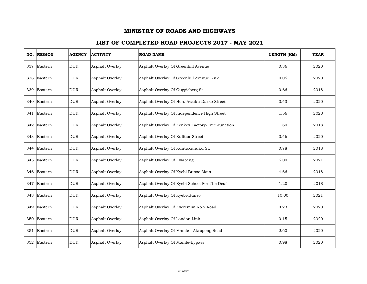| NO. | <b>REGION</b> | <b>AGENCY</b> | <b>ACTIVITY</b> | <b>ROAD NAME</b>                                | LENGTH (KM) | <b>YEAR</b> |
|-----|---------------|---------------|-----------------|-------------------------------------------------|-------------|-------------|
|     | 337 Eastern   | <b>DUR</b>    | Asphalt Overlay | Asphalt Overlay Of Greenhill Avenue             | 0.36        | 2020        |
| 338 | Eastern       | <b>DUR</b>    | Asphalt Overlay | Asphalt Overlay Of Greenhill Avenue Link        | 0.05        | 2020        |
| 339 | Eastern       | <b>DUR</b>    | Asphalt Overlay | Asphalt Overlay Of Guggisberg St                | 0.66        | 2018        |
|     | 340 Eastern   | <b>DUR</b>    | Asphalt Overlay | Asphalt Overlay Of Hon. Awuku Darko Street      | 0.43        | 2020        |
|     | 341 Eastern   | <b>DUR</b>    | Asphalt Overlay | Asphalt Overlay Of Independence High Street     | 1.56        | 2020        |
|     | 342 Eastern   | <b>DUR</b>    | Asphalt Overlay | Asphalt Overlay Of Kenkey Factory-Ercc Junction | 1.60        | 2018        |
| 343 | Eastern       | <b>DUR</b>    | Asphalt Overlay | Asphalt Overlay Of Kuffuor Street               | 0.46        | 2020        |
| 344 | Eastern       | <b>DUR</b>    | Asphalt Overlay | Asphalt Overlay Of Kuntukunuku St.              | 0.78        | 2018        |
|     | 345 Eastern   | <b>DUR</b>    | Asphalt Overlay | Asphalt Overlay Of Kwabeng                      | 5.00        | 2021        |
| 346 | Eastern       | <b>DUR</b>    | Asphalt Overlay | Asphalt Overlay Of Kyebi Bunso Main             | 4.66        | 2018        |
| 347 | Eastern       | <b>DUR</b>    | Asphalt Overlay | Asphalt Overlay Of Kyebi School For The Deaf    | 1.20        | 2018        |
| 348 | Eastern       | <b>DUR</b>    | Asphalt Overlay | Asphalt Overlay Of Kyebi-Bunso                  | 10.00       | 2021        |
| 349 | Eastern       | <b>DUR</b>    | Asphalt Overlay | Asphalt Overlay Of Kyeremim No.2 Road           | 0.23        | 2020        |
|     | 350 Eastern   | <b>DUR</b>    | Asphalt Overlay | Asphalt Overlay Of London Link                  | 0.15        | 2020        |
|     | 351 Eastern   | <b>DUR</b>    | Asphalt Overlay | Asphalt Overlay Of Mamfe - Akropong Road        | 2.60        | 2020        |
|     | 352 Eastern   | <b>DUR</b>    | Asphalt Overlay | Asphalt Overlay Of Mamfe-Bypass                 | 0.98        | 2020        |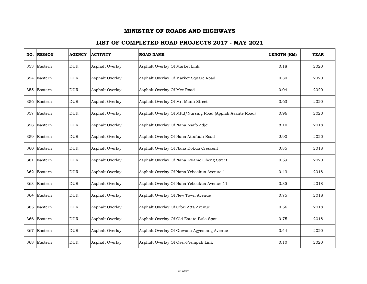| NO. | <b>REGION</b> | <b>AGENCY</b> | <b>ACTIVITY</b> | <b>ROAD NAME</b>                                          | LENGTH (KM) | <b>YEAR</b> |
|-----|---------------|---------------|-----------------|-----------------------------------------------------------|-------------|-------------|
|     | 353 Eastern   | <b>DUR</b>    | Asphalt Overlay | Asphalt Overlay Of Market Link                            | 0.18        | 2020        |
| 354 | Eastern       | <b>DUR</b>    | Asphalt Overlay | Asphalt Overlay Of Market Square Road                     | 0.30        | 2020        |
|     | 355 Eastern   | <b>DUR</b>    | Asphalt Overlay | Asphalt Overlay Of Mce Road                               | 0.04        | 2020        |
|     | 356 Eastern   | <b>DUR</b>    | Asphalt Overlay | Asphalt Overlay Of Mr. Mann Street                        | 0.63        | 2020        |
| 357 | Eastern       | <b>DUR</b>    | Asphalt Overlay | Asphalt Overlay Of Mttd/Nursing Road (Appiah Asante Road) | 0.96        | 2020        |
|     | 358 Eastern   | <b>DUR</b>    | Asphalt Overlay | Asphalt Overlay Of Nana Asafo Adjei                       | 8.10        | 2018        |
| 359 | Eastern       | <b>DUR</b>    | Asphalt Overlay | Asphalt Overlay Of Nana Attafuah Road                     | 2.90        | 2020        |
|     | 360 Eastern   | <b>DUR</b>    | Asphalt Overlay | Asphalt Overlay Of Nana Dokua Crescent                    | 0.85        | 2018        |
|     | 361 Eastern   | <b>DUR</b>    | Asphalt Overlay | Asphalt Overlay Of Nana Kwame Obeng Street                | 0.59        | 2020        |
|     | 362 Eastern   | <b>DUR</b>    | Asphalt Overlay | Asphalt Overlay Of Nana Yeboakua Avenue 1                 | 0.43        | 2018        |
|     | 363 Eastern   | <b>DUR</b>    | Asphalt Overlay | Asphalt Overlay Of Nana Yeboakua Avenue 11                | 0.35        | 2018        |
|     | 364 Eastern   | <b>DUR</b>    | Asphalt Overlay | Asphalt Overlay Of New Town Avenue                        | 0.75        | 2018        |
|     | 365 Eastern   | <b>DUR</b>    | Asphalt Overlay | Asphalt Overlay Of Ofori Atta Avenue                      | 0.56        | 2018        |
|     | 366 Eastern   | <b>DUR</b>    | Asphalt Overlay | Asphalt Overlay Of Old Estate-Bula Spot                   | 0.75        | 2018        |
| 367 | Eastern       | <b>DUR</b>    | Asphalt Overlay | Asphalt Overlay Of Onwona Agyemang Avenue                 | 0.44        | 2020        |
|     | 368 Eastern   | <b>DUR</b>    | Asphalt Overlay | Asphalt Overlay Of Osei-Frempah Link                      | 0.10        | 2020        |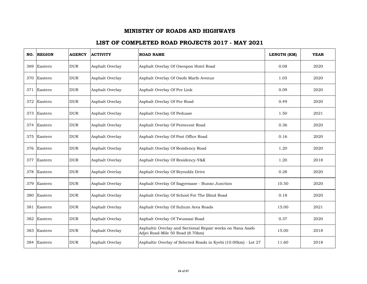| NO. | <b>REGION</b> | <b>AGENCY</b> | <b>ACTIVITY</b> | <b>ROAD NAME</b>                                                                               | LENGTH (KM) | <b>YEAR</b> |
|-----|---------------|---------------|-----------------|------------------------------------------------------------------------------------------------|-------------|-------------|
| 369 | Eastern       | <b>DUR</b>    | Asphalt Overlay | Asphalt Overlay Of Osenpon Hotel Road                                                          | 0.08        | 2020        |
| 370 | Eastern       | <b>DUR</b>    | Asphalt Overlay | Asphalt Overlay Of Osofo Marfo Avenue                                                          | 1.05        | 2020        |
| 371 | Eastern       | <b>DUR</b>    | Asphalt Overlay | Asphalt Overlay Of Pce Link                                                                    | 0.09        | 2020        |
|     | 372 Eastern   | <b>DUR</b>    | Asphalt Overlay | Asphalt Overlay Of Pce Road                                                                    | 0.49        | 2020        |
| 373 | Eastern       | <b>DUR</b>    | Asphalt Overlay | Asphalt Overlay Of Peduase                                                                     | 1.50        | 2021        |
|     | 374 Eastern   | <b>DUR</b>    | Asphalt Overlay | Asphalt Overlay Of Pentecost Road                                                              | 0.36        | 2020        |
| 375 | Eastern       | <b>DUR</b>    | Asphalt Overlay | Asphalt Overlay Of Post Office Road                                                            | 0.16        | 2020        |
| 376 | Eastern       | <b>DUR</b>    | Asphalt Overlay | Asphalt Overlay Of Residency Road                                                              | 1.20        | 2020        |
| 377 | Eastern       | <b>DUR</b>    | Asphalt Overlay | Asphalt Overlay Of Residency-Y&K                                                               | 1.20        | 2018        |
| 378 | Eastern       | <b>DUR</b>    | Asphalt Overlay | Asphalt Overlay Of Reynolds Drive                                                              | 0.28        | 2020        |
| 379 | Eastern       | <b>DUR</b>    | Asphalt Overlay | Asphalt Overlay Of Sagyemase - Bunso Junction                                                  | 10.50       | 2020        |
| 380 | Eastern       | <b>DUR</b>    | Asphalt Overlay | Asphalt Overlay Of School For The Blind Road                                                   | 0.18        | 2020        |
| 381 | Eastern       | <b>DUR</b>    | Asphalt Overlay | Asphalt Overlay Of Suhum Area Roads                                                            | 15.00       | 2021        |
| 382 | Eastern       | <b>DUR</b>    | Asphalt Overlay | Asphalt Overlay Of Twumasi Road                                                                | 0.37        | 2020        |
| 383 | Eastern       | <b>DUR</b>    | Asphalt Overlay | Asphaltic Overlay and Sectional Repair works on Nana Asafo<br>Adjei Road-Mile 50 Road (8.70km) | 15.00       | 2018        |
| 384 | Eastern       | <b>DUR</b>    | Asphalt Overlay | Asphaltic Overlay of Selected Roads in Kyebi (10.00km) - Lot 27                                | 11.60       | 2018        |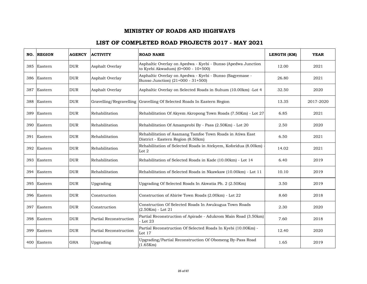|     | NO. REGION  | <b>AGENCY</b> | <b>ACTIVITY</b>         | <b>ROAD NAME</b>                                                                                   | LENGTH (KM) | <b>YEAR</b> |
|-----|-------------|---------------|-------------------------|----------------------------------------------------------------------------------------------------|-------------|-------------|
| 385 | Eastern     | <b>DUR</b>    | Asphalt Overlay         | Asphaltic Overlay on Apedwa - Kyebi - Bunso (Apedwa Junction<br>to Kyebi Akwadum) (0+000 - 10+500) | 12.00       | 2021        |
| 386 | Eastern     | <b>DUR</b>    | Asphalt Overlay         | Asphaltic Overlay on Apedwa - Kyebi - Bunso (Sagyemase -<br>Bunso Junction) (21+000 - 31+500)      | 26.80       | 2021        |
| 387 | Eastern     | <b>DUR</b>    | Asphalt Overlay         | Asphaltic Overlay on Selected Roads in Suhum (10.00km) -Lot 4                                      | 32.50       | 2020        |
|     | 388 Eastern | <b>DUR</b>    | Gravelling/Regravelling | Gravelling Of Selected Roads In Eastern Region                                                     | 13.35       | 2017-2020   |
| 389 | Eastern     | <b>DUR</b>    | Rehabilitation          | Rehabilitation Of Akyem Akropong Town Roads (7.50Km) - Lot 27                                      | 6.85        | 2021        |
| 390 | Eastern     | <b>DUR</b>    | Rehabilitation          | Rehabilitation Of Amamprobi By - Pass (2.50Km) - Lot 20                                            | 2.50        | 2020        |
| 391 | Eastern     | <b>DUR</b>    | Rehabilitation          | Rehabilitation of Asamang Tamfoe Town Roads in Atiwa East<br>District - Eastern Region (8.50km)    | 6.50        | 2021        |
| 392 | Eastern     | <b>DUR</b>    | Rehabilitation          | Rehabilitation of Selected Roads in Atekyem, Koforidua (8.00km) -<br>Lot $2$                       | 14.02       | 2021        |
|     | 393 Eastern | <b>DUR</b>    | Rehabilitation          | Rehabilitation of Selected Roads in Kade (10.00km) - Lot 14                                        | 6.40        | 2019        |
| 394 | Eastern     | <b>DUR</b>    | Rehabilitation          | Rehabilitation of Selected Roads in Nkawkaw (10.00km) - Lot 11                                     | 10.10       | 2019        |
| 395 | Eastern     | <b>DUR</b>    | Upgrading               | Upgrading Of Selected Roads In Akwatia Ph. 2 (2.50Km)                                              | 3.50        | 2019        |
| 396 | Eastern     | <b>DUR</b>    | Construction            | Construction of Abiriw Town Roads (2.00km) - Lot 22                                                | 8.60        | 2018        |
| 397 | Eastern     | <b>DUR</b>    | Construction            | Construction Of Selected Roads In Awukugua Town Roads<br>$(2.50Km) - Lot 21$                       | 2.30        | 2020        |
| 398 | Eastern     | <b>DUR</b>    | Partial Reconstruction  | Partial Reconstruction of Apirade - Adukrom Main Road (3.50km)<br>- Lot 23                         | 7.60        | 2018        |
| 399 | Eastern     | <b>DUR</b>    | Partial Reconstruction  | Partial Reconstruction Of Selected Roads In Kyebi (10.00Km) -<br>Lot 17                            | 12.40       | 2020        |
|     | 400 Eastern | <b>GHA</b>    | Upgrading               | Upgrading/Partial Reconstruction Of Obomeng By-Pass Road<br>(1.65Km)                               | 1.65        | 2019        |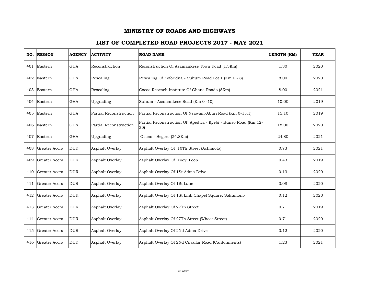| NO. | <b>REGION</b>     | <b>AGENCY</b> | <b>ACTIVITY</b>        | <b>ROAD NAME</b>                                                     | LENGTH (KM) | <b>YEAR</b> |
|-----|-------------------|---------------|------------------------|----------------------------------------------------------------------|-------------|-------------|
|     | 401 Eastern       | <b>GHA</b>    | Reconstruction         | Reconstruction Of Asamankese Town Road (1.3Km)                       | 1.30        | 2020        |
| 402 | Eastern           | <b>GHA</b>    | Resealing              | Resealing Of Koforidua - Suhum Road Lot 1 (Km 0 - 8)                 | 8.00        | 2020        |
| 403 | Eastern           | <b>GHA</b>    | Resealing              | Cocoa Reseach Institute Of Ghana Roads (8Km)                         | 8.00        | 2021        |
|     | 404 Eastern       | <b>GHA</b>    | Upgrading              | Suhum - Asamankese Road (Km 0 -10)                                   | 10.00       | 2019        |
| 405 | Eastern           | <b>GHA</b>    | Partial Reconstruction | Partial Reconstruction Of Nsawam-Aburi Road (Km 0-15.1)              | 15.10       | 2019        |
|     | 406 Eastern       | <b>GHA</b>    | Partial Reconstruction | Partial Reconstruction Of Apedwa - Kyebi - Bunso Road (Km 12-<br>30) | 18.00       | 2020        |
| 407 | Eastern           | <b>GHA</b>    | Upgrading              | Osiem - Begoro (24.8Km)                                              | 24.80       | 2021        |
| 408 | Greater Accra     | <b>DUR</b>    | Asphalt Overlay        | Asphalt Overlay Of 10Th Street (Achimota)                            | 0.73        | 2021        |
| 409 | Greater Accra     | <b>DUR</b>    | Asphalt Overlay        | Asphalt Overlay Of Yooyi Loop                                        | 0.43        | 2019        |
| 410 | Greater Accra     | <b>DUR</b>    | Asphalt Overlay        | Asphalt Overlay Of 1St Adma Drive                                    | 0.13        | 2020        |
|     | 411 Greater Accra | <b>DUR</b>    | Asphalt Overlay        | Asphalt Overlay Of 1St Lane                                          | 0.08        | 2020        |
| 412 | Greater Accra     | <b>DUR</b>    | Asphalt Overlay        | Asphalt Overlay Of 1St Link Chapel Square, Sakumono                  | 0.12        | 2020        |
| 413 | Greater Accra     | <b>DUR</b>    | Asphalt Overlay        | Asphalt Overlay Of 27Th Street                                       | 0.71        | 2019        |
| 414 | Greater Accra     | <b>DUR</b>    | Asphalt Overlay        | Asphalt Overlay Of 27Th Street (Wheat Street)                        | 0.71        | 2020        |
| 415 | Greater Accra     | <b>DUR</b>    | Asphalt Overlay        | Asphalt Overlay Of 2Nd Adma Drive                                    | 0.12        | 2020        |
| 416 | Greater Accra     | <b>DUR</b>    | Asphalt Overlay        | Asphalt Overlay Of 2Nd Circular Road (Cantonments)                   | 1.23        | 2021        |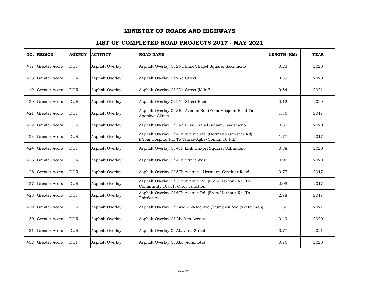| NO. | <b>REGION</b> | <b>AGENCY</b> | <b>ACTIVITY</b> | <b>ROAD NAME</b>                                                                                          | LENGTH (KM) | <b>YEAR</b> |
|-----|---------------|---------------|-----------------|-----------------------------------------------------------------------------------------------------------|-------------|-------------|
| 417 | Greater Accra | <b>DUR</b>    | Asphalt Overlay | Asphalt Overlay Of 2Nd Link Chapel Square, Sakumono                                                       | 0.23        | 2020        |
| 418 | Greater Accra | <b>DUR</b>    | Asphalt Overlay | Asphalt Overlay Of 2Nd Street                                                                             | 0.39        | 2020        |
| 419 | Greater Accra | <b>DUR</b>    | Asphalt Overlay | Asphalt Overlay Of 2Nd Street (Mile 7)                                                                    | 0.54        | 2021        |
| 420 | Greater Accra | <b>DUR</b>    | Asphalt Overlay | Asphalt Overlay Of 2Nd Street East                                                                        | 0.12        | 2020        |
| 421 | Greater Accra | <b>DUR</b>    | Asphalt Overlay | Asphalt Overlay Of 3Rd Avenue Rd. (From Hospital Road To<br>Aponkye Clinic)                               | 1.30        | 2017        |
| 422 | Greater Accra | <b>DUR</b>    | Asphalt Overlay | Asphalt Overlay Of 3Rd Link Chapel Square, Sakumono                                                       | 0.32        | 2020        |
| 423 | Greater Accra | <b>DUR</b>    | Asphalt Overlay | Asphalt Overlay Of 4Th Avenue Rd. (Hermann Gmeiner Rd)<br>(From Hospital Rd. To Tsinae-Agbe/Comm. 10 Rd.) | 1.77        | 2017        |
| 424 | Greater Accra | <b>DUR</b>    | Asphalt Overlay | Asphalt Overlay Of 4Th Link Chapel Square, Sakumono                                                       | 0.38        | 2020        |
| 425 | Greater Accra | <b>DUR</b>    | Asphalt Overlay | Asphalt Overlay Of 4Th Street West                                                                        | 0.90        | 2020        |
| 426 | Greater Accra | <b>DUR</b>    | Asphalt Overlay | Asphalt Overlay Of 5Th Avenue - Hermann Gmeiner Road                                                      | 0.77        | 2017        |
| 427 | Greater Accra | <b>DUR</b>    | Asphalt Overlay | Asphalt Overlay Of 5Th Avenue Rd. (From Harbour Rd. To<br>Community 10/11, Owor Junction)                 | 2.08        | 2017        |
| 428 | Greater Accra | <b>DUR</b>    | Asphalt Overlay | Asphalt Overlay Of 6Th Avenue Rd. (From Harbour Rd. To<br>Thirdes Ave.)                                   | 2.78        | 2017        |
| 429 | Greater Accra | <b>DUR</b>    | Asphalt Overlay | Asphalt Overlay Of Aaye - Ayefee Ave./Pumpkin Ave.(Aketeyman)                                             | 1.50        | 2021        |
| 430 | Greater Accra | <b>DUR</b>    | Asphalt Overlay | Asphalt Overlay Of Abafum Avenue                                                                          | 0.49        | 2020        |
| 431 | Greater Accra | <b>DUR</b>    | Asphalt Overlay | Asphalt Overlay Of Abavana Street                                                                         | 0.77        | 2021        |
| 432 | Greater Accra | <b>DUR</b>    | Asphalt Overlay | Asphalt Overlay Of Abc (Achimota)                                                                         | 0.70        | 2020        |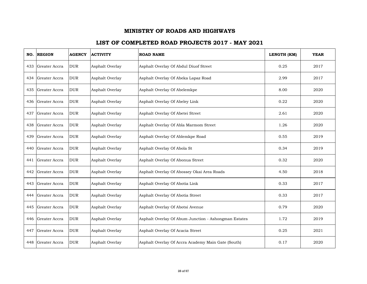| NO. | <b>REGION</b>     | <b>AGENCY</b> | <b>ACTIVITY</b> | <b>ROAD NAME</b>                                     | LENGTH (KM) | <b>YEAR</b> |
|-----|-------------------|---------------|-----------------|------------------------------------------------------|-------------|-------------|
| 433 | Greater Accra     | <b>DUR</b>    | Asphalt Overlay | Asphalt Overlay Of Abdul Diuof Street                | 0.25        | 2017        |
| 434 | Greater Accra     | <b>DUR</b>    | Asphalt Overlay | Asphalt Overlay Of Abeka Lapaz Road                  | 2.99        | 2017        |
| 435 | Greater Accra     | <b>DUR</b>    | Asphalt Overlay | Asphalt Overlay Of Abelemkpe                         | 8.00        | 2020        |
|     | 436 Greater Accra | <b>DUR</b>    | Asphalt Overlay | Asphalt Overlay Of Abeley Link                       | 0.22        | 2020        |
| 437 | Greater Accra     | <b>DUR</b>    | Asphalt Overlay | Asphalt Overlay Of Abetei Street                     | 2.61        | 2020        |
| 438 | Greater Accra     | <b>DUR</b>    | Asphalt Overlay | Asphalt Overlay Of Abla Marmom Street                | 1.26        | 2020        |
| 439 | Greater Accra     | <b>DUR</b>    | Asphalt Overlay | Asphalt Overlay Of Ablemkpe Road                     | 0.55        | 2019        |
| 440 | Greater Accra     | <b>DUR</b>    | Asphalt Overlay | Asphalt Overlay Of Abola St                          | 0.34        | 2019        |
| 441 | Greater Accra     | <b>DUR</b>    | Asphalt Overlay | Asphalt Overlay Of Abonua Street                     | 0.32        | 2020        |
| 442 | Greater Accra     | <b>DUR</b>    | Asphalt Overlay | Asphalt Overlay Of Abossey Okai Area Roads           | 4.50        | 2018        |
| 443 | Greater Accra     | <b>DUR</b>    | Asphalt Overlay | Asphalt Overlay Of Abotia Link                       | 0.33        | 2017        |
| 444 | Greater Accra     | <b>DUR</b>    | Asphalt Overlay | Asphalt Overlay Of Abotia Street                     | 0.33        | 2017        |
| 445 | Greater Accra     | <b>DUR</b>    | Asphalt Overlay | Asphalt Overlay Of Abotsi Avenue                     | 0.79        | 2020        |
| 446 | Greater Accra     | <b>DUR</b>    | Asphalt Overlay | Asphalt Overlay Of Abum Junction - Ashongman Estates | 1.72        | 2019        |
| 447 | Greater Accra     | <b>DUR</b>    | Asphalt Overlay | Asphalt Overlay Of Acacia Street                     | 0.25        | 2021        |
| 448 | Greater Accra     | <b>DUR</b>    | Asphalt Overlay | Asphalt Overlay Of Accra Academy Main Gate (South)   | 0.17        | 2020        |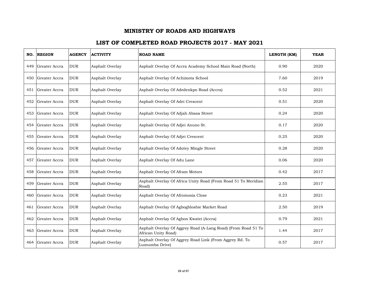| NO. | <b>REGION</b> | <b>AGENCY</b> | <b>ACTIVITY</b> | <b>ROAD NAME</b>                                                                     | LENGTH (KM) | <b>YEAR</b> |
|-----|---------------|---------------|-----------------|--------------------------------------------------------------------------------------|-------------|-------------|
| 449 | Greater Accra | <b>DUR</b>    | Asphalt Overlay | Asphalt Overlay Of Accra Academy School Main Road (North)                            | 0.90        | 2020        |
| 450 | Greater Accra | <b>DUR</b>    | Asphalt Overlay | Asphalt Overlay Of Achimota School                                                   | 7.60        | 2019        |
| 451 | Greater Accra | <b>DUR</b>    | Asphalt Overlay | Asphalt Overlay Of Adedenkpo Road (Accra)                                            | 0.52        | 2021        |
| 452 | Greater Accra | <b>DUR</b>    | Asphalt Overlay | Asphalt Overlay Of Adei Crescent                                                     | 0.51        | 2020        |
| 453 | Greater Accra | <b>DUR</b>    | Asphalt Overlay | Asphalt Overlay Of Adjah Abasa Street                                                | 0.24        | 2020        |
| 454 | Greater Accra | <b>DUR</b>    | Asphalt Overlay | Asphalt Overlay Of Adjei Anuno St.                                                   | 0.17        | 2020        |
| 455 | Greater Accra | <b>DUR</b>    | Asphalt Overlay | Asphalt Overlay Of Adjei Crescent                                                    | 0.25        | 2020        |
| 456 | Greater Accra | <b>DUR</b>    | Asphalt Overlay | Asphalt Overlay Of Adotey Mingle Street                                              | 0.28        | 2020        |
| 457 | Greater Accra | <b>DUR</b>    | Asphalt Overlay | Asphalt Overlay Of Adu Lane                                                          | 0.06        | 2020        |
| 458 | Greater Accra | <b>DUR</b>    | Asphalt Overlay | Asphalt Overlay Of Afram Motors                                                      | 0.42        | 2017        |
| 459 | Greater Accra | <b>DUR</b>    | Asphalt Overlay | Asphalt Overlay Of Africa Unity Road (From Road 51 To Meridian<br>Road)              | 2.55        | 2017        |
| 460 | Greater Accra | <b>DUR</b>    | Asphalt Overlay | Asphalt Overlay Of Afromosia Close                                                   | 0.23        | 2021        |
| 461 | Greater Accra | <b>DUR</b>    | Asphalt Overlay | Asphalt Overlay Of Agbogbloshie Market Road                                          | 2.50        | 2019        |
| 462 | Greater Accra | <b>DUR</b>    | Asphalt Overlay | Asphalt Overlay Of Agbon Kwatei (Accra)                                              | 0.79        | 2021        |
| 463 | Greater Accra | <b>DUR</b>    | Asphalt Overlay | Asphalt Overlay Of Aggrey Road (A-Lang Road) (From Road 51 To<br>African Unity Road) | 1.44        | 2017        |
| 464 | Greater Accra | <b>DUR</b>    | Asphalt Overlay | Asphalt Overlay Of Aggrey Road Link (From Aggrey Rd. To<br>Lumumba Drive)            | 0.57        | 2017        |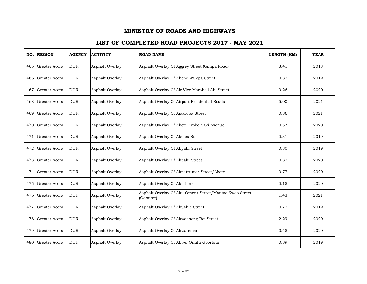| NO. | <b>REGION</b> | <b>AGENCY</b> | <b>ACTIVITY</b> | <b>ROAD NAME</b>                                                    | LENGTH (KM) | <b>YEAR</b> |
|-----|---------------|---------------|-----------------|---------------------------------------------------------------------|-------------|-------------|
| 465 | Greater Accra | <b>DUR</b>    | Asphalt Overlay | Asphalt Overlay Of Aggrey Street (Gimpa Road)                       | 3.41        | 2018        |
| 466 | Greater Accra | <b>DUR</b>    | Asphalt Overlay | Asphalt Overlay Of Ahene Wukpa Street                               | 0.32        | 2019        |
| 467 | Greater Accra | <b>DUR</b>    | Asphalt Overlay | Asphalt Overlay Of Air Vice Marshall Ahi Street                     | 0.26        | 2020        |
| 468 | Greater Accra | <b>DUR</b>    | Asphalt Overlay | Asphalt Overlay Of Airport Residential Roads                        | 5.00        | 2021        |
| 469 | Greater Accra | <b>DUR</b>    | Asphalt Overlay | Asphalt Overlay Of Ajakroba Street                                  | 0.86        | 2021        |
| 470 | Greater Accra | <b>DUR</b>    | Asphalt Overlay | Asphalt Overlay Of Akote Krobo Saki Avenue                          | 0.57        | 2020        |
| 471 | Greater Accra | <b>DUR</b>    | Asphalt Overlay | Asphalt Overlay Of Akotex St                                        | 0.31        | 2019        |
| 472 | Greater Accra | <b>DUR</b>    | Asphalt Overlay | Asphalt Overlay Of Akpaki Street                                    | 0.30        | 2019        |
| 473 | Greater Accra | <b>DUR</b>    | Asphalt Overlay | Asphalt Overlay Of Akpaki Street                                    | 0.32        | 2020        |
| 474 | Greater Accra | <b>DUR</b>    | Asphalt Overlay | Asphalt Overlay Of Akpatrumor Street/Abete                          | 0.77        | 2020        |
| 475 | Greater Accra | <b>DUR</b>    | Asphalt Overlay | Asphalt Overlay Of Aku Link                                         | 0.15        | 2020        |
| 476 | Greater Accra | <b>DUR</b>    | Asphalt Overlay | Asphalt Overlay Of Aku Omeru Street/Mantse Kwao Street<br>(Odorkor) | 1.43        | 2021        |
| 477 | Greater Accra | <b>DUR</b>    | Asphalt Overlay | Asphalt Overlay Of Akushie Street                                   | 0.72        | 2019        |
| 478 | Greater Accra | <b>DUR</b>    | Asphalt Overlay | Asphalt Overlay Of Akwashong Boi Street                             | 2.29        | 2020        |
| 479 | Greater Accra | <b>DUR</b>    | Asphalt Overlay | Asphalt Overlay Of Akwateman                                        | 0.45        | 2020        |
| 480 | Greater Accra | <b>DUR</b>    | Asphalt Overlay | Asphalt Overlay Of Akwei Onufu Gbortsui                             | 0.89        | 2019        |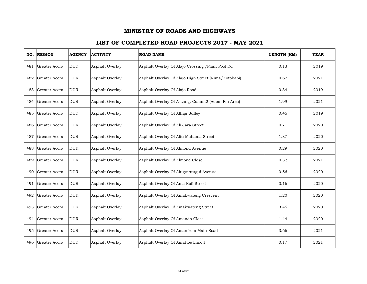| NO. | <b>REGION</b> | <b>AGENCY</b> | <b>ACTIVITY</b> | <b>ROAD NAME</b>                                     | LENGTH (KM) | <b>YEAR</b> |
|-----|---------------|---------------|-----------------|------------------------------------------------------|-------------|-------------|
| 481 | Greater Accra | <b>DUR</b>    | Asphalt Overlay | Asphalt Overlay Of Alajo Crossing / Plant Pool Rd    | 0.13        | 2019        |
| 482 | Greater Accra | <b>DUR</b>    | Asphalt Overlay | Asphalt Overlay Of Alajo High Street (Nima/Kotobabi) | 0.67        | 2021        |
| 483 | Greater Accra | <b>DUR</b>    | Asphalt Overlay | Asphalt Overlay Of Alajo Road                        | 0.34        | 2019        |
| 484 | Greater Accra | <b>DUR</b>    | Asphalt Overlay | Asphalt Overlay Of A-Lang, Comm.2 (Adom Fm Area)     | 1.99        | 2021        |
| 485 | Greater Accra | <b>DUR</b>    | Asphalt Overlay | Asphalt Overlay Of Alhaji Sulley                     | 0.45        | 2019        |
| 486 | Greater Accra | <b>DUR</b>    | Asphalt Overlay | Asphalt Overlay Of Ali Jara Street                   | 0.71        | 2020        |
| 487 | Greater Accra | <b>DUR</b>    | Asphalt Overlay | Asphalt Overlay Of Aliu Mahama Street                | 1.87        | 2020        |
| 488 | Greater Accra | <b>DUR</b>    | Asphalt Overlay | Asphalt Overlay Of Almond Avenue                     | 0.29        | 2020        |
| 489 | Greater Accra | <b>DUR</b>    | Asphalt Overlay | Asphalt Overlay Of Almond Close                      | 0.32        | 2021        |
| 490 | Greater Accra | <b>DUR</b>    | Asphalt Overlay | Asphalt Overlay Of Aluguintugui Avenue               | 0.56        | 2020        |
| 491 | Greater Accra | <b>DUR</b>    | Asphalt Overlay | Asphalt Overlay Of Ama Kofi Street                   | 0.16        | 2020        |
| 492 | Greater Accra | <b>DUR</b>    | Asphalt Overlay | Asphalt Overlay Of Amakwateng Crescent               | 1.20        | 2020        |
| 493 | Greater Accra | <b>DUR</b>    | Asphalt Overlay | Asphalt Overlay Of Amakwateng Street                 | 3.45        | 2020        |
| 494 | Greater Accra | <b>DUR</b>    | Asphalt Overlay | Asphalt Overlay Of Amanda Close                      | 1.44        | 2020        |
| 495 | Greater Accra | <b>DUR</b>    | Asphalt Overlay | Asphalt Overlay Of Amanfrom Main Road                | 3.66        | 2021        |
| 496 | Greater Accra | <b>DUR</b>    | Asphalt Overlay | Asphalt Overlay Of Amattoe Link 1                    | 0.17        | 2021        |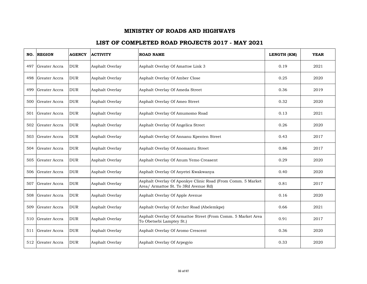| NO. | <b>REGION</b> | <b>AGENCY</b> | <b>ACTIVITY</b> | <b>ROAD NAME</b>                                                                                    | LENGTH (KM) | <b>YEAR</b> |
|-----|---------------|---------------|-----------------|-----------------------------------------------------------------------------------------------------|-------------|-------------|
| 497 | Greater Accra | <b>DUR</b>    | Asphalt Overlay | Asphalt Overlay Of Amattoe Link 3                                                                   | 0.19        | 2021        |
| 498 | Greater Accra | <b>DUR</b>    | Asphalt Overlay | Asphalt Overlay Of Amber Close                                                                      | 0.25        | 2020        |
| 499 | Greater Accra | <b>DUR</b>    | Asphalt Overlay | Asphalt Overlay Of Ameda Street                                                                     | 0.36        | 2019        |
| 500 | Greater Accra | <b>DUR</b>    | Asphalt Overlay | Asphalt Overlay Of Ameo Street                                                                      | 0.32        | 2020        |
| 501 | Greater Accra | <b>DUR</b>    | Asphalt Overlay | Asphalt Overlay Of Amumomo Road                                                                     | 0.13        | 2021        |
| 502 | Greater Accra | <b>DUR</b>    | Asphalt Overlay | Asphalt Overlay Of Angelica Street                                                                  | 0.26        | 2020        |
| 503 | Greater Accra | <b>DUR</b>    | Asphalt Overlay | Asphalt Overlay Of Annanu Kpenten Street                                                            | 0.43        | 2017        |
| 504 | Greater Accra | <b>DUR</b>    | Asphalt Overlay | Asphalt Overlay Of Anomantu Street                                                                  | 0.86        | 2017        |
| 505 | Greater Accra | <b>DUR</b>    | Asphalt Overlay | Asphalt Overlay Of Anum Yemo Creasent                                                               | 0.29        | 2020        |
| 506 | Greater Accra | <b>DUR</b>    | Asphalt Overlay | Asphalt Overlay Of Anyetei Kwakwanya                                                                | 0.40        | 2020        |
| 507 | Greater Accra | <b>DUR</b>    | Asphalt Overlay | Asphalt Overlay Of Aponkye Clinic Road (From Comm. 5 Market<br>Area/ Armattoe St. To 3Rd Avenue Rd) | 0.81        | 2017        |
| 508 | Greater Accra | <b>DUR</b>    | Asphalt Overlay | Asphalt Overlay Of Apple Avenue                                                                     | 0.16        | 2020        |
| 509 | Greater Accra | <b>DUR</b>    | Asphalt Overlay | Asphalt Overlay Of Archer Road (Abelemkpe)                                                          | 0.66        | 2021        |
| 510 | Greater Accra | <b>DUR</b>    | Asphalt Overlay | Asphalt Overlay Of Armattoe Street (From Comm. 5 Market Area<br>To Obetsebi Lamptey St.)            | 0.91        | 2017        |
| 511 | Greater Accra | <b>DUR</b>    | Asphalt Overlay | Asphalt Overlay Of Aromo Crescent                                                                   | 0.36        | 2020        |
| 512 | Greater Accra | <b>DUR</b>    | Asphalt Overlay | Asphalt Overlay Of Arpegyio                                                                         | 0.33        | 2020        |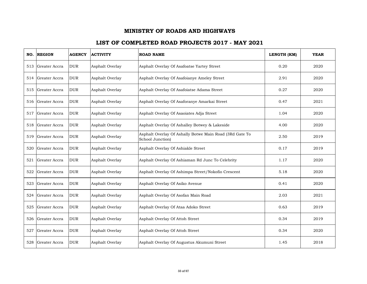| NO. | <b>REGION</b>     | <b>AGENCY</b> | <b>ACTIVITY</b> | <b>ROAD NAME</b>                                                            | LENGTH (KM) | <b>YEAR</b> |
|-----|-------------------|---------------|-----------------|-----------------------------------------------------------------------------|-------------|-------------|
| 513 | Greater Accra     | <b>DUR</b>    | Asphalt Overlay | Asphalt Overlay Of Asafoatse Yartey Street                                  | 0.20        | 2020        |
| 514 | Greater Accra     | <b>DUR</b>    | Asphalt Overlay | Asphalt Overlay Of Asafoianye Ameley Street                                 | 2.91        | 2020        |
| 515 | Greater Accra     | <b>DUR</b>    | Asphalt Overlay | Asphalt Overlay Of Asafoiatse Adama Street                                  | 0.27        | 2020        |
|     | 516 Greater Accra | <b>DUR</b>    | Asphalt Overlay | Asphalt Overlay Of Asaforanye Amarkai Street                                | 0.47        | 2021        |
| 517 | Greater Accra     | <b>DUR</b>    | Asphalt Overlay | Asphalt Overlay Of Asaoiates Adja Street                                    | 1.04        | 2020        |
| 518 | Greater Accra     | <b>DUR</b>    | Asphalt Overlay | Asphalt Overlay Of Ashalley Botwey & Lakeside                               | 4.00        | 2020        |
| 519 | Greater Accra     | <b>DUR</b>    | Asphalt Overlay | Asphalt Overlay Of Ashally Botwe Main Road (3Rd Gate To<br>School Junction) | 2.50        | 2019        |
| 520 | Greater Accra     | <b>DUR</b>    | Asphalt Overlay | Asphalt Overlay Of Ashiakle Street                                          | 0.17        | 2019        |
| 521 | Greater Accra     | <b>DUR</b>    | Asphalt Overlay | Asphalt Overlay Of Ashiaman Rd Junc To Celebrity                            | 1.17        | 2020        |
| 522 | Greater Accra     | <b>DUR</b>    | Asphalt Overlay | Asphalt Overlay Of Ashimpa Street/Nokofio Crescent                          | 5.18        | 2020        |
| 523 | Greater Accra     | <b>DUR</b>    | Asphalt Overlay | Asphalt Overlay Of Asiko Avenue                                             | 0.41        | 2020        |
| 524 | Greater Accra     | <b>DUR</b>    | Asphalt Overlay | Asphalt Overlay Of Asofan Main Road                                         | 2.03        | 2021        |
| 525 | Greater Accra     | <b>DUR</b>    | Asphalt Overlay | Asphalt Overlay Of Ataa Adoko Street                                        | 0.63        | 2019        |
| 526 | Greater Accra     | <b>DUR</b>    | Asphalt Overlay | Asphalt Overlay Of Attoh Street                                             | 0.34        | 2019        |
| 527 | Greater Accra     | <b>DUR</b>    | Asphalt Overlay | Asphalt Overlay Of Attoh Street                                             | 0.34        | 2020        |
| 528 | Greater Accra     | <b>DUR</b>    | Asphalt Overlay | Asphalt Overlay Of Augustus Akumuni Street                                  | 1.45        | 2018        |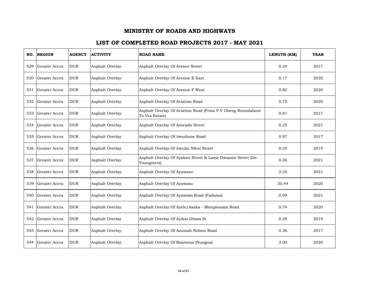| NO. | <b>REGION</b> | <b>AGENCY</b> | <b>ACTIVITY</b> | <b>ROAD NAME</b>                                                              | LENGTH (KM) | <b>YEAR</b> |
|-----|---------------|---------------|-----------------|-------------------------------------------------------------------------------|-------------|-------------|
| 529 | Greater Accra | <b>DUR</b>    | Asphalt Overlay | Asphalt Overlay Of Avenor Street                                              | 0.24        | 2017        |
| 530 | Greater Accra | <b>DUR</b>    | Asphalt Overlay | Asphalt Overlay Of Avenue E East                                              | 0.17        | 2020        |
| 531 | Greater Accra | <b>DUR</b>    | Asphalt Overlay | Asphalt Overlay Of Avenue F West                                              | 0.82        | 2020        |
| 532 | Greater Accra | <b>DUR</b>    | Asphalt Overlay | Asphalt Overlay Of Aviation Road                                              | 0.75        | 2020        |
| 533 | Greater Accra | <b>DUR</b>    | Asphalt Overlay | Asphalt Overlay Of Aviation Road (From P.V Obeng Roundabout<br>To Vra Estate) | 0.81        | 2017        |
| 534 | Greater Accra | <b>DUR</b>    | Asphalt Overlay | Asphalt Overlay Of Avocado Street                                             | 0.25        | 2021        |
| 535 | Greater Accra | <b>DUR</b>    | Asphalt Overlay | Asphalt Overlay Of Awudome Road                                               | 0.97        | 2017        |
| 536 | Greater Accra | <b>DUR</b>    | Asphalt Overlay | Asphalt Overlay Of Awuku Nfeni Street                                         | 0.24        | 2019        |
| 537 | Greater Accra | <b>DUR</b>    | Asphalt Overlay | Asphalt Overlay Of Ayaben Street & Lame Dwaame Street (De-<br>Youngsters)     | 0.36        | 2021        |
| 538 | Greater Accra | <b>DUR</b>    | Asphalt Overlay | Asphalt Overlay Of Ayawaso                                                    | 2.34        | 2021        |
| 539 | Greater Accra | <b>DUR</b>    | Asphalt Overlay | Asphalt Overlay Of Ayawaso                                                    | 20.44       | 2020        |
| 540 | Greater Accra | <b>DUR</b>    | Asphalt Overlay | Asphalt Overlay Of Ayawaso Road (Fadama)                                      | 0.99        | 2021        |
| 541 | Greater Accra | <b>DUR</b>    | Asphalt Overlay | Asphalt Overlay Of Ayele/Asaka - Mempeasam Road                               | 0.74        | 2020        |
| 542 | Greater Accra | <b>DUR</b>    | Asphalt Overlay | Asphalt Overlay Of Ayikai Gboza St                                            | 0.29        | 2019        |
| 543 | Greater Accra | <b>DUR</b>    | Asphalt Overlay | Asphalt Overlay Of Azumah Nelson Road                                         | 0.36        | 2017        |
| 544 | Greater Accra | <b>DUR</b>    | Asphalt Overlay | Asphalt Overlay Of Baatsona (Nungua)                                          | 3.00        | 2020        |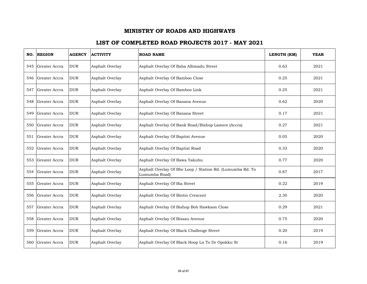| NO. | <b>REGION</b> | <b>AGENCY</b> | <b>ACTIVITY</b> | <b>ROAD NAME</b>                                                           | LENGTH (KM) | <b>YEAR</b> |
|-----|---------------|---------------|-----------------|----------------------------------------------------------------------------|-------------|-------------|
| 545 | Greater Accra | <b>DUR</b>    | Asphalt Overlay | Asphalt Overlay Of Baba Alhmadu Street                                     | 0.63        | 2021        |
| 546 | Greater Accra | <b>DUR</b>    | Asphalt Overlay | Asphalt Overlay Of Bamboo Close                                            | 0.25        | 2021        |
| 547 | Greater Accra | <b>DUR</b>    | Asphalt Overlay | Asphalt Overlay Of Bamboo Link                                             | 0.25        | 2021        |
| 548 | Greater Accra | <b>DUR</b>    | Asphalt Overlay | Asphalt Overlay Of Banana Avenue                                           | 0.62        | 2020        |
| 549 | Greater Accra | <b>DUR</b>    | Asphalt Overlay | Asphalt Overlay Of Banana Street                                           | 0.17        | 2021        |
| 550 | Greater Accra | <b>DUR</b>    | Asphalt Overlay | Asphalt Overlay Of Bank Road/Bishop Lamere (Accra)                         | 0.27        | 2021        |
| 551 | Greater Accra | <b>DUR</b>    | Asphalt Overlay | Asphalt Overlay Of Baptist Avenue                                          | 0.05        | 2020        |
| 552 | Greater Accra | <b>DUR</b>    | Asphalt Overlay | Asphalt Overlay Of Baptist Road                                            | 0.33        | 2020        |
| 553 | Greater Accra | <b>DUR</b>    | Asphalt Overlay | Asphalt Overlay Of Bawa Yakubu                                             | 0.77        | 2020        |
| 554 | Greater Accra | <b>DUR</b>    | Asphalt Overlay | Asphalt Overlay Of Bbc Loop / Station Rd. (Lumumba Rd. To<br>Lumumba Road) | 0.87        | 2017        |
| 555 | Greater Accra | <b>DUR</b>    | Asphalt Overlay | Asphalt Overlay Of Bia Street                                              | 0.22        | 2019        |
| 556 | Greater Accra | <b>DUR</b>    | Asphalt Overlay | Asphalt Overlay Of Bintin Crescent                                         | 2.30        | 2020        |
| 557 | Greater Accra | <b>DUR</b>    | Asphalt Overlay | Asphalt Overlay Of Bishop Bob Hawkson Close                                | 0.29        | 2021        |
| 558 | Greater Accra | <b>DUR</b>    | Asphalt Overlay | Asphalt Overlay Of Bissau Avenue                                           | 0.75        | 2020        |
| 559 | Greater Accra | <b>DUR</b>    | Asphalt Overlay | Asphalt Overlay Of Black Challenge Street                                  | 0.20        | 2019        |
| 560 | Greater Accra | <b>DUR</b>    | Asphalt Overlay | Asphalt Overlay Of Black Hoop Ln To Dr Opokku St                           | 0.16        | 2019        |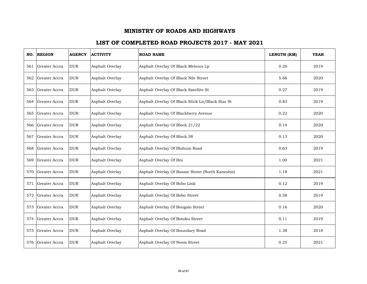| NO. | <b>REGION</b> | <b>AGENCY</b> | <b>ACTIVITY</b> | <b>ROAD NAME</b>                                 | LENGTH (KM) | <b>YEAR</b> |
|-----|---------------|---------------|-----------------|--------------------------------------------------|-------------|-------------|
| 561 | Greater Accra | <b>DUR</b>    | Asphalt Overlay | Asphalt Overlay Of Black Meteors Lp              | 0.26        | 2019        |
| 562 | Greater Accra | <b>DUR</b>    | Asphalt Overlay | Asphalt Overlay Of Black Nile Street             | 5.66        | 2020        |
| 563 | Greater Accra | <b>DUR</b>    | Asphalt Overlay | Asphalt Overlay Of Black Satellite St            | 0.27        | 2019        |
| 564 | Greater Accra | <b>DUR</b>    | Asphalt Overlay | Asphalt Overlay Of Black Stick Ln/Black Star St  | 0.83        | 2019        |
| 565 | Greater Accra | <b>DUR</b>    | Asphalt Overlay | Asphalt Overlay Of Blackberry Avenue             | 0.22        | 2020        |
| 566 | Greater Accra | <b>DUR</b>    | Asphalt Overlay | Asphalt Overlay Of Block 21/22                   | 0.14        | 2020        |
| 567 | Greater Accra | <b>DUR</b>    | Asphalt Overlay | Asphalt Overlay Of Block 38                      | 0.13        | 2020        |
| 568 | Greater Accra | <b>DUR</b>    | Asphalt Overlay | Asphalt Overlay Of Blohum Road                   | 0.63        | 2019        |
| 569 | Greater Accra | <b>DUR</b>    | Asphalt Overlay | Asphalt Overlay Of Bni                           | 1.00        | 2021        |
| 570 | Greater Accra | <b>DUR</b>    | Asphalt Overlay | Asphalt Overlay Of Boame Street (North Kaneshie) | 1.18        | 2021        |
| 571 | Greater Accra | <b>DUR</b>    | Asphalt Overlay | Asphalt Overlay Of Bobo Link                     | 0.12        | 2019        |
| 572 | Greater Accra | <b>DUR</b>    | Asphalt Overlay | Asphalt Overlay Of Bobo Street                   | 0.58        | 2019        |
| 573 | Greater Accra | <b>DUR</b>    | Asphalt Overlay | Asphalt Overlay Of Bongalo Street                | 0.16        | 2020        |
| 574 | Greater Accra | <b>DUR</b>    | Asphalt Overlay | Asphalt Overlay Of Botoku Street                 | 0.11        | 2019        |
| 575 | Greater Accra | <b>DUR</b>    | Asphalt Overlay | Asphalt Overlay Of Boundary Road                 | 1.38        | 2018        |
| 576 | Greater Accra | <b>DUR</b>    | Asphalt Overlay | Asphalt Overlay Of Neem Street                   | 0.25        | 2021        |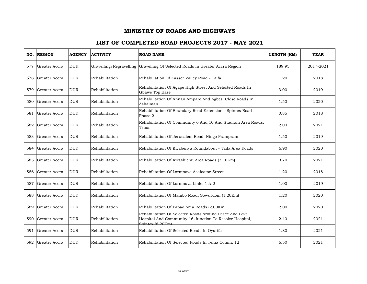| NO. | <b>REGION</b> | <b>AGENCY</b> | <b>ACTIVITY</b> | <b>ROAD NAME</b>                                                                                                                      | LENGTH (KM) | <b>YEAR</b> |
|-----|---------------|---------------|-----------------|---------------------------------------------------------------------------------------------------------------------------------------|-------------|-------------|
| 577 | Greater Accra | <b>DUR</b>    |                 | Gravelling/Regravelling Gravelling Of Selected Roads In Greater Accra Region                                                          | 189.93      | 2017-2021   |
| 578 | Greater Accra | <b>DUR</b>    | Rehabilitation  | Rehabiliation Of Kasser Valley Road - Taifa                                                                                           | 1.20        | 2018        |
| 579 | Greater Accra | <b>DUR</b>    | Rehabilitation  | Rehabilitation Of Agape High Street And Selected Roads In<br>Gbawe Top Base                                                           | 3.00        | 2019        |
| 580 | Greater Accra | <b>DUR</b>    | Rehabilitation  | Rehabilitation Of Annan, Ampare And Agbesi Close Roads In<br>Ashaiman                                                                 | 1.50        | 2020        |
| 581 | Greater Accra | <b>DUR</b>    | Rehabilitation  | Rehabilitation Of Boundary Road Extension - Spintex Road -<br>Phase 2                                                                 | 0.85        | 2018        |
| 582 | Greater Accra | <b>DUR</b>    | Rehabilitation  | Rehabilitation Of Community 6 And 10 And Stadium Area Roads,<br>Tema                                                                  | 2.00        | 2021        |
| 583 | Greater Accra | <b>DUR</b>    | Rehabilitation  | Rehabilitation Of Jerusalem Road, Ningo Prampram                                                                                      | 1.50        | 2019        |
| 584 | Greater Accra | <b>DUR</b>    | Rehabilitation  | Rehabilitation Of Kwabenya Roundabout - Taifa Area Roads                                                                              | 6.90        | 2020        |
| 585 | Greater Accra | <b>DUR</b>    | Rehabilitation  | Rehabilitation Of Kwashiebu Area Roads (3.10Km)                                                                                       | 3.70        | 2021        |
| 586 | Greater Accra | <b>DUR</b>    | Rehabilitation  | Rehabilitation Of Lormnava Asafoatse Street                                                                                           | 1.20        | 2018        |
| 587 | Greater Accra | <b>DUR</b>    | Rehabilitation  | Rehabilitation Of Lormnava Links 1 & 2                                                                                                | 1.00        | 2019        |
| 588 | Greater Accra | <b>DUR</b>    | Rehabilitation  | Rehabilitation Of Mambo Road, Sowutuom (1.20Km)                                                                                       | 1.20        | 2020        |
| 589 | Greater Accra | <b>DUR</b>    | Rehabilitation  | Rehabilitation Of Papao Area Roads (2.00Km)                                                                                           | 2.00        | 2020        |
| 590 | Greater Accra | <b>DUR</b>    | Rehabilitation  | Rehabilitation Of Selected Roads Around Peace And Love<br>Hospital And Community 16 Junction To Resolve Hospital,<br>Spintey (6.20Km) | 2.40        | 2021        |
| 591 | Greater Accra | <b>DUR</b>    | Rehabilitation  | Rehabilitation Of Selected Roads In Oyarifa                                                                                           | 1.80        | 2021        |
| 592 | Greater Accra | <b>DUR</b>    | Rehabilitation  | Rehabilitation Of Selected Roads In Tema Comm. 12                                                                                     | 6.50        | 2021        |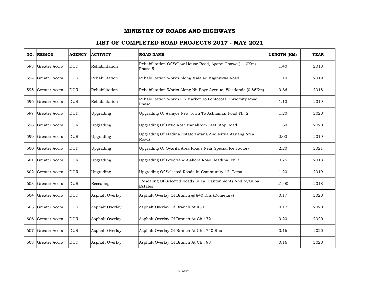|     | <b>NO. REGION</b> | <b>AGENCY</b> | <b>ACTIVITY</b> | <b>ROAD NAME</b>                                                       | LENGTH (KM) | <b>YEAR</b> |
|-----|-------------------|---------------|-----------------|------------------------------------------------------------------------|-------------|-------------|
| 593 | Greater Accra     | <b>DUR</b>    | Rehabilitation  | Rehabilitation Of Yellow House Road, Agape-Gbawe (1.40Km) -<br>Phase 5 | 1.40        | 2018        |
| 594 | Greater Accra     | <b>DUR</b>    | Rehabilitation  | Rehabilitation Works Along Malalac Miginyowa Road                      | 1.10        | 2019        |
| 595 | Greater Accra     | <b>DUR</b>    | Rehabilitation  | Rehabilitation Works Along Nii Boye Avenue, Westlands (0.86Km)         | 0.86        | 2018        |
| 596 | Greater Accra     | <b>DUR</b>    | Rehabilitation  | Rehabilitation Works On Market To Pentecost University Road<br>Phase 1 | 1.10        | 2019        |
| 597 | Greater Accra     | <b>DUR</b>    | Upgrading       | Upgrading Of Ashiyie New Town To Ashiaman Road Ph. 2                   | 1.20        | 2020        |
| 598 | Greater Accra     | <b>DUR</b>    | Upgrading       | Upgrading Of Little Rose Nanakrom Last Stop Road                       | 1.60        | 2020        |
| 599 | Greater Accra     | <b>DUR</b>    | Upgrading       | Upgrading Of Madina Estate Tatana And Nkwantanang Area<br>Roads        | 2.00        | 2019        |
| 600 | Greater Accra     | <b>DUR</b>    | Upgrading       | Upgrading Of Oyarifa Area Roads Near Special Ice Factory               | 2.20        | 2021        |
| 601 | Greater Accra     | <b>DUR</b>    | Upgrading       | Upgrading Of Powerland-Sakora Road, Madina, Ph.3                       | 0.75        | 2018        |
| 602 | Greater Accra     | <b>DUR</b>    | Upgrading       | Upgrading Of Selected Roads In Community 12, Tema                      | 1.20        | 2019        |
| 603 | Greater Accra     | <b>DUR</b>    | Resealing       | Resealing Of Selected Roads In La, Cantonments And Nyaniba<br>Estates  | 21.00       | 2018        |
| 604 | Greater Accra     | <b>DUR</b>    | Asphalt Overlay | Asphalt Overlay Of Branch @ 840 Rhs (Dometary)                         | 0.17        | 2020        |
| 605 | Greater Accra     | <b>DUR</b>    | Asphalt Overlay | Asphalt Overlay Of Branch At 430                                       | 0.17        | 2020        |
| 606 | Greater Accra     | <b>DUR</b>    | Asphalt Overlay | Asphalt Overlay Of Branch At Ch: 721                                   | 0.20        | 2020        |
| 607 | Greater Accra     | <b>DUR</b>    | Asphalt Overlay | Asphalt Overlay Of Branch At Ch: 740 Rhs                               | 0.16        | 2020        |
| 608 | Greater Accra     | <b>DUR</b>    | Asphalt Overlay | Asphalt Overlay Of Branch At Ch: 93                                    | 0.16        | 2020        |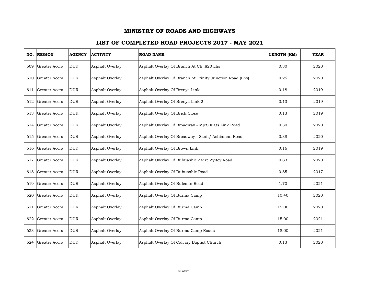| NO. | <b>REGION</b>     | <b>AGENCY</b> | <b>ACTIVITY</b> | <b>ROAD NAME</b>                                         | LENGTH (KM) | <b>YEAR</b> |
|-----|-------------------|---------------|-----------------|----------------------------------------------------------|-------------|-------------|
| 609 | Greater Accra     | <b>DUR</b>    | Asphalt Overlay | Asphalt Overlay Of Branch At Ch:820 Lhs                  | 0.30        | 2020        |
| 610 | Greater Accra     | <b>DUR</b>    | Asphalt Overlay | Asphalt Overlay Of Branch At Trinity Junction Road (Lhs) | 0.25        | 2020        |
| 611 | Greater Accra     | <b>DUR</b>    | Asphalt Overlay | Asphalt Overlay Of Brenya Link                           | 0.18        | 2019        |
|     | 612 Greater Accra | <b>DUR</b>    | Asphalt Overlay | Asphalt Overlay Of Brenya Link 2                         | 0.13        | 2019        |
| 613 | Greater Accra     | <b>DUR</b>    | Asphalt Overlay | Asphalt Overlay Of Brick Close                           | 0.13        | 2019        |
|     | 614 Greater Accra | <b>DUR</b>    | Asphalt Overlay | Asphalt Overlay Of Broadway - Mp'S Flats Link Road       | 0.30        | 2020        |
| 615 | Greater Accra     | <b>DUR</b>    | Asphalt Overlay | Asphalt Overlay Of Broadway - Ssnit/ Ashiaman Road       | 0.38        | 2020        |
| 616 | Greater Accra     | <b>DUR</b>    | Asphalt Overlay | Asphalt Overlay Of Brown Link                            | 0.16        | 2019        |
| 617 | Greater Accra     | <b>DUR</b>    | Asphalt Overlay | Asphalt Overlay Of Bubuashie Asere Ayitey Road           | 0.83        | 2020        |
| 618 | Greater Accra     | <b>DUR</b>    | Asphalt Overlay | Asphalt Overlay Of Bubuashie Road                        | 0.85        | 2017        |
| 619 | Greater Accra     | <b>DUR</b>    | Asphalt Overlay | Asphalt Overlay Of Bulemin Road                          | 1.70        | 2021        |
| 620 | Greater Accra     | <b>DUR</b>    | Asphalt Overlay | Asphalt Overlay Of Burma Camp                            | 10.40       | 2020        |
| 621 | Greater Accra     | <b>DUR</b>    | Asphalt Overlay | Asphalt Overlay Of Burma Camp                            | 15.00       | 2020        |
| 622 | Greater Accra     | <b>DUR</b>    | Asphalt Overlay | Asphalt Overlay Of Burma Camp                            | 15.00       | 2021        |
| 623 | Greater Accra     | <b>DUR</b>    | Asphalt Overlay | Asphalt Overlay Of Burma Camp Roads                      | 18.00       | 2021        |
| 624 | Greater Accra     | <b>DUR</b>    | Asphalt Overlay | Asphalt Overlay Of Calvary Baptist Church                | 0.13        | 2020        |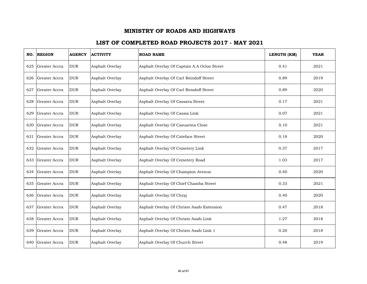| NO. | <b>REGION</b> | <b>AGENCY</b> | <b>ACTIVITY</b> | <b>ROAD NAME</b>                            | LENGTH (KM) | <b>YEAR</b> |
|-----|---------------|---------------|-----------------|---------------------------------------------|-------------|-------------|
| 625 | Greater Accra | <b>DUR</b>    | Asphalt Overlay | Asphalt Overlay Of Captain A.A Ocloo Street | 0.41        | 2021        |
| 626 | Greater Accra | <b>DUR</b>    | Asphalt Overlay | Asphalt Overlay Of Carl Reindoff Street     | 0.89        | 2019        |
| 627 | Greater Accra | <b>DUR</b>    | Asphalt Overlay | Asphalt Overlay Of Carl Remdoff Street      | 0.89        | 2020        |
| 628 | Greater Accra | <b>DUR</b>    | Asphalt Overlay | Asphalt Overlay Of Cassava Street           | 0.17        | 2021        |
| 629 | Greater Accra | <b>DUR</b>    | Asphalt Overlay | Asphalt Overlay Of Cassia Link              | 0.07        | 2021        |
| 630 | Greater Accra | <b>DUR</b>    | Asphalt Overlay | Asphalt Overlay Of Casuarina Close          | 0.10        | 2021        |
| 631 | Greater Accra | <b>DUR</b>    | Asphalt Overlay | Asphalt Overlay Of Cateface Street          | 0.18        | 2020        |
| 632 | Greater Accra | <b>DUR</b>    | Asphalt Overlay | Asphalt Overlay Of Cemetery Link            | 0.37        | 2017        |
| 633 | Greater Accra | <b>DUR</b>    | Asphalt Overlay | Asphalt Overlay Of Cemetery Road            | 1.03        | 2017        |
| 634 | Greater Accra | <b>DUR</b>    | Asphalt Overlay | Asphalt Overlay Of Champion Avenue          | 0.40        | 2020        |
| 635 | Greater Accra | <b>DUR</b>    | Asphalt Overlay | Asphalt Overlay Of Chief Chamba Street      | 0.33        | 2021        |
| 636 | Greater Accra | <b>DUR</b>    | Asphalt Overlay | Asphalt Overlay Of Chraj                    | 0.40        | 2020        |
| 637 | Greater Accra | <b>DUR</b>    | Asphalt Overlay | Asphalt Overlay Of Christo Asafo Extension  | 0.47        | 2018        |
| 638 | Greater Accra | <b>DUR</b>    | Asphalt Overlay | Asphalt Overlay Of Christo Asafo Link       | 1.27        | 2018        |
| 639 | Greater Accra | <b>DUR</b>    | Asphalt Overlay | Asphalt Overlay Of Christo Asafo Link 1     | 0.20        | 2018        |
| 640 | Greater Accra | <b>DUR</b>    | Asphalt Overlay | Asphalt Overlay Of Church Street            | 0.48        | 2019        |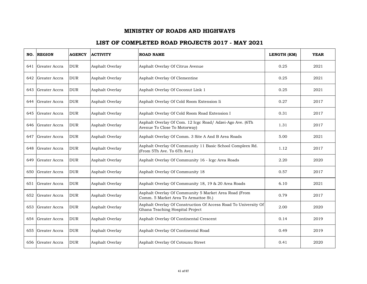| NO. | <b>REGION</b>     | <b>AGENCY</b> | <b>ACTIVITY</b> | <b>ROAD NAME</b>                                                                                   | LENGTH (KM) | <b>YEAR</b> |
|-----|-------------------|---------------|-----------------|----------------------------------------------------------------------------------------------------|-------------|-------------|
| 641 | Greater Accra     | <b>DUR</b>    | Asphalt Overlay | Asphalt Overlay Of Citrus Avenue                                                                   | 0.25        | 2021        |
| 642 | Greater Accra     | <b>DUR</b>    | Asphalt Overlay | Asphalt Overlay Of Clementine                                                                      | 0.25        | 2021        |
| 643 | Greater Accra     | <b>DUR</b>    | Asphalt Overlay | Asphalt Overlay Of Coconut Link 1                                                                  | 0.25        | 2021        |
| 644 | Greater Accra     | <b>DUR</b>    | Asphalt Overlay | Asphalt Overlay Of Cold Room Extension Ii                                                          | 0.27        | 2017        |
| 645 | Greater Accra     | <b>DUR</b>    | Asphalt Overlay | Asphalt Overlay Of Cold Room Road Extension I                                                      | 0.31        | 2017        |
| 646 | Greater Accra     | <b>DUR</b>    | Asphalt Overlay | Asphalt Overlay Of Com. 12 Icgc Road/ Adzei-Ago Ave. (6Th<br>Avenue To Close To Motorway)          | 1.31        | 2017        |
| 647 | Greater Accra     | <b>DUR</b>    | Asphalt Overlay | Asphalt Overlay Of Comm. 3 Site A And B Area Roads                                                 | 5.00        | 2021        |
| 648 | Greater Accra     | <b>DUR</b>    | Asphalt Overlay | Asphalt Overlay Of Community 11 Basic School Compleex Rd.<br>(From 5Th Ave. To 6Th Ave.)           | 1.12        | 2017        |
| 649 | Greater Accra     | <b>DUR</b>    | Asphalt Overlay | Asphalt Overlay Of Community 16 - Icgc Area Roads                                                  | 2.20        | 2020        |
| 650 | Greater Accra     | <b>DUR</b>    | Asphalt Overlay | Asphalt Overlay Of Community 18                                                                    | 0.57        | 2017        |
|     | 651 Greater Accra | <b>DUR</b>    | Asphalt Overlay | Asphalt Overlay Of Community 18, 19 & 20 Area Roads                                                | 6.10        | 2021        |
| 652 | Greater Accra     | <b>DUR</b>    | Asphalt Overlay | Asphalt Overlay Of Community 5 Market Area Road (From<br>Comm. 5 Market Area To Armattoe St.)      | 0.79        | 2017        |
| 653 | Greater Accra     | <b>DUR</b>    | Asphalt Overlay | Asphalt Overlay Of Construction Of Access Road To University Of<br>Ghana Teaching Hospital Project | 2.00        | 2020        |
| 654 | Greater Accra     | <b>DUR</b>    | Asphalt Overlay | Asphalt Overlay Of Continental Crescent                                                            | 0.14        | 2019        |
| 655 | Greater Accra     | <b>DUR</b>    | Asphalt Overlay | Asphalt Overlay Of Continental Road                                                                | 0.49        | 2019        |
| 656 | Greater Accra     | <b>DUR</b>    | Asphalt Overlay | Asphalt Overlay Of Cotounu Street                                                                  | 0.41        | 2020        |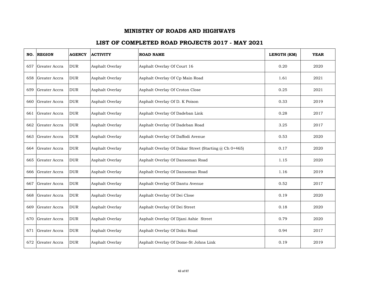|     | NO. REGION    | <b>AGENCY</b> | <b>ACTIVITY</b> | <b>ROAD NAME</b>                                      | LENGTH (KM) | <b>YEAR</b> |
|-----|---------------|---------------|-----------------|-------------------------------------------------------|-------------|-------------|
| 657 | Greater Accra | <b>DUR</b>    | Asphalt Overlay | Asphalt Overlay Of Court 16                           | 0.20        | 2020        |
| 658 | Greater Accra | <b>DUR</b>    | Asphalt Overlay | Asphalt Overlay Of Cp Main Road                       | 1.61        | 2021        |
| 659 | Greater Accra | <b>DUR</b>    | Asphalt Overlay | Asphalt Overlay Of Croton Close                       | 0.25        | 2021        |
| 660 | Greater Accra | <b>DUR</b>    | Asphalt Overlay | Asphalt Overlay Of D. K Poison                        | 0.33        | 2019        |
| 661 | Greater Accra | <b>DUR</b>    | Asphalt Overlay | Asphalt Overlay Of Dadeban Link                       | 0.28        | 2017        |
| 662 | Greater Accra | <b>DUR</b>    | Asphalt Overlay | Asphalt Overlay Of Dadeban Road                       | 3.25        | 2017        |
| 663 | Greater Accra | <b>DUR</b>    | Asphalt Overlay | Asphalt Overlay Of Daffodi Avenue                     | 0.53        | 2020        |
| 664 | Greater Accra | <b>DUR</b>    | Asphalt Overlay | Asphalt Overlay Of Dakar Street (Starting @ Ch 0+465) | 0.17        | 2020        |
| 665 | Greater Accra | <b>DUR</b>    | Asphalt Overlay | Asphalt Overlay Of Dansoman Road                      | 1.15        | 2020        |
| 666 | Greater Accra | <b>DUR</b>    | Asphalt Overlay | Asphalt Overlay Of Dansoman Road                      | 1.16        | 2019        |
| 667 | Greater Accra | <b>DUR</b>    | Asphalt Overlay | Asphalt Overlay Of Dantu Avenue                       | 0.52        | 2017        |
| 668 | Greater Accra | <b>DUR</b>    | Asphalt Overlay | Asphalt Overlay Of Dei Close                          | 0.19        | 2020        |
| 669 | Greater Accra | <b>DUR</b>    | Asphalt Overlay | Asphalt Overlay Of Dei Street                         | 0.18        | 2020        |
| 670 | Greater Accra | <b>DUR</b>    | Asphalt Overlay | Asphalt Overlay Of Djani Ashie Street                 | 0.79        | 2020        |
| 671 | Greater Accra | <b>DUR</b>    | Asphalt Overlay | Asphalt Overlay Of Doku Road                          | 0.94        | 2017        |
| 672 | Greater Accra | <b>DUR</b>    | Asphalt Overlay | Asphalt Overlay Of Dome-St Johns Link                 | 0.19        | 2019        |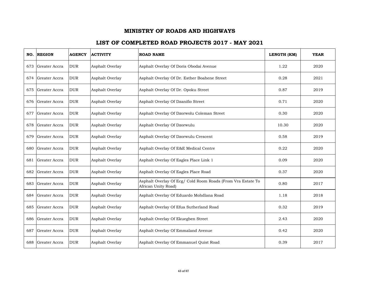| NO. | <b>REGION</b>     | <b>AGENCY</b> | <b>ACTIVITY</b> | <b>ROAD NAME</b>                                                                   | LENGTH (KM) | <b>YEAR</b> |
|-----|-------------------|---------------|-----------------|------------------------------------------------------------------------------------|-------------|-------------|
| 673 | Greater Accra     | <b>DUR</b>    | Asphalt Overlay | Asphalt Overlay Of Doris Obodai Avenue                                             | 1.22        | 2020        |
| 674 | Greater Accra     | <b>DUR</b>    | Asphalt Overlay | Asphalt Overlay Of Dr. Esther Boahene Street                                       | 0.28        | 2021        |
| 675 | Greater Accra     | <b>DUR</b>    | Asphalt Overlay | Asphalt Overlay Of Dr. Opoku Street                                                | 0.87        | 2019        |
|     | 676 Greater Accra | <b>DUR</b>    | Asphalt Overlay | Asphalt Overlay Of Dzanifio Street                                                 | 0.71        | 2020        |
| 677 | Greater Accra     | <b>DUR</b>    | Asphalt Overlay | Asphalt Overlay Of Dzorwolu Coleman Street                                         | 0.30        | 2020        |
| 678 | Greater Accra     | <b>DUR</b>    | Asphalt Overlay | Asphalt Overlay Of Dzorwulu                                                        | 10.30       | 2020        |
| 679 | Greater Accra     | <b>DUR</b>    | Asphalt Overlay | Asphalt Overlay Of Dzorwulu Crescent                                               | 0.58        | 2019        |
| 680 | Greater Accra     | <b>DUR</b>    | Asphalt Overlay | Asphalt Overlay Of E&E Medical Centre                                              | 0.22        | 2020        |
| 681 | Greater Accra     | <b>DUR</b>    | Asphalt Overlay | Asphalt Overlay Of Eagles Place Link 1                                             | 0.09        | 2020        |
| 682 | Greater Accra     | <b>DUR</b>    | Asphalt Overlay | Asphalt Overlay Of Eagles Place Road                                               | 0.37        | 2020        |
| 683 | Greater Accra     | <b>DUR</b>    | Asphalt Overlay | Asphalt Overlay Of Ecg/ Cold Room Roads (From Vra Estate To<br>African Unity Road) | 0.80        | 2017        |
| 684 | Greater Accra     | <b>DUR</b>    | Asphalt Overlay | Asphalt Overlay Of Eduardo Mohdlana Road                                           | 1.18        | 2018        |
| 685 | Greater Accra     | <b>DUR</b>    | Asphalt Overlay | Asphalt Overlay Of Efua Sutherland Road                                            | 0.32        | 2019        |
| 686 | Greater Accra     | <b>DUR</b>    | Asphalt Overlay | Asphalt Overlay Of Ekuegben Street                                                 | 2.43        | 2020        |
| 687 | Greater Accra     | <b>DUR</b>    | Asphalt Overlay | Asphalt Overlay Of Emmaland Avenue                                                 | 0.42        | 2020        |
| 688 | Greater Accra     | <b>DUR</b>    | Asphalt Overlay | Asphalt Overlay Of Emmanuel Quist Road                                             | 0.39        | 2017        |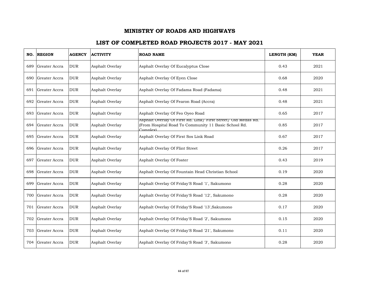| NO.  | <b>REGION</b>     | <b>AGENCY</b> | <b>ACTIVITY</b> | <b>ROAD NAME</b>                                                                                                                  | LENGTH (KM) | <b>YEAR</b> |
|------|-------------------|---------------|-----------------|-----------------------------------------------------------------------------------------------------------------------------------|-------------|-------------|
| 689  | Greater Accra     | <b>DUR</b>    | Asphalt Overlay | Asphalt Overlay Of Eucalyptus Close                                                                                               | 0.43        | 2021        |
| 690- | Greater Accra     | <b>DUR</b>    | Asphalt Overlay | Asphalt Overlay Of Eyen Close                                                                                                     | 0.68        | 2020        |
| 691  | Greater Accra     | <b>DUR</b>    | Asphalt Overlay | Asphalt Overlay Of Fadama Road (Fadama)                                                                                           | 0.48        | 2021        |
|      | 692 Greater Accra | <b>DUR</b>    | Asphalt Overlay | Asphalt Overlay Of Fearon Road (Accra)                                                                                            | 0.48        | 2021        |
| 693. | Greater Accra     | <b>DUR</b>    | Asphalt Overlay | Asphalt Overlay Of Feo Oyeo Road                                                                                                  | 0.65        | 2017        |
| 694  | Greater Accra     | <b>DUR</b>    | Asphalt Overlay | Asphalt Overlay Of First Rd. Link/ First Street/ Old Medas Rd.<br>(From Hospital Road To Community 11 Basic School Rd.<br>Complex | 0.85        | 2017        |
| 695  | Greater Accra     | <b>DUR</b>    | Asphalt Overlay | Asphalt Overlay Of First Sos Link Road                                                                                            | 0.67        | 2017        |
| 696  | Greater Accra     | <b>DUR</b>    | Asphalt Overlay | Asphalt Overlay Of Flint Street                                                                                                   | 0.26        | 2017        |
| 697  | Greater Accra     | <b>DUR</b>    | Asphalt Overlay | Asphalt Overlay Of Foster                                                                                                         | 0.43        | 2019        |
| 698  | Greater Accra     | <b>DUR</b>    | Asphalt Overlay | Asphalt Overlay Of Fountain Head Christian School                                                                                 | 0.19        | 2020        |
| 699  | Greater Accra     | <b>DUR</b>    | Asphalt Overlay | Asphalt Overlay Of Friday'S Road '1', Sakumono                                                                                    | 0.28        | 2020        |
| 700  | Greater Accra     | <b>DUR</b>    | Asphalt Overlay | Asphalt Overlay Of Friday'S Road '12', Sakumono                                                                                   | 0.28        | 2020        |
| 701  | Greater Accra     | <b>DUR</b>    | Asphalt Overlay | Asphalt Overlay Of Friday'S Road '13', Sakumono                                                                                   | 0.17        | 2020        |
| 702  | Greater Accra     | <b>DUR</b>    | Asphalt Overlay | Asphalt Overlay Of Friday'S Road '2', Sakumono                                                                                    | 0.15        | 2020        |
| 703  | Greater Accra     | <b>DUR</b>    | Asphalt Overlay | Asphalt Overlay Of Friday'S Road '21', Sakumono                                                                                   | 0.11        | 2020        |
| 704  | Greater Accra     | <b>DUR</b>    | Asphalt Overlay | Asphalt Overlay Of Friday'S Road '3', Sakumono                                                                                    | 0.28        | 2020        |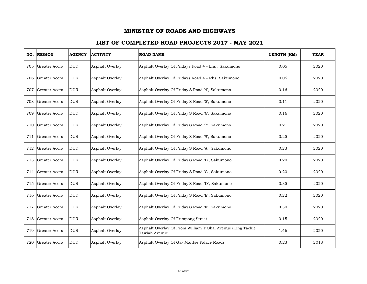|     | NO. REGION        | <b>AGENCY</b> | <b>ACTIVITY</b> | <b>ROAD NAME</b>                                                            | LENGTH (KM) | <b>YEAR</b> |
|-----|-------------------|---------------|-----------------|-----------------------------------------------------------------------------|-------------|-------------|
| 705 | Greater Accra     | <b>DUR</b>    | Asphalt Overlay | Asphalt Overlay Of Fridays Road 4 - Lhs, Sakumono                           | 0.05        | 2020        |
|     | 706 Greater Accra | <b>DUR</b>    | Asphalt Overlay | Asphalt Overlay Of Fridays Road 4 - Rhs, Sakumono                           | 0.05        | 2020        |
| 707 | Greater Accra     | <b>DUR</b>    | Asphalt Overlay | Asphalt Overlay Of Friday'S Road '4', Sakumono                              | 0.16        | 2020        |
| 708 | Greater Accra     | <b>DUR</b>    | Asphalt Overlay | Asphalt Overlay Of Friday'S Road '5', Sakumono                              | 0.11        | 2020        |
| 709 | Greater Accra     | <b>DUR</b>    | Asphalt Overlay | Asphalt Overlay Of Friday'S Road '6', Sakumono                              | 0.16        | 2020        |
| 710 | Greater Accra     | <b>DUR</b>    | Asphalt Overlay | Asphalt Overlay Of Friday'S Road '7', Sakumono                              | 0.21        | 2020        |
| 711 | Greater Accra     | <b>DUR</b>    | Asphalt Overlay | Asphalt Overlay Of Friday'S Road '9', Sakumono                              | 0.25        | 2020        |
| 712 | Greater Accra     | <b>DUR</b>    | Asphalt Overlay | Asphalt Overlay Of Friday'S Road 'A', Sakumono                              | 0.23        | 2020        |
|     | 713 Greater Accra | <b>DUR</b>    | Asphalt Overlay | Asphalt Overlay Of Friday'S Road 'B', Sakumono                              | 0.20        | 2020        |
| 714 | Greater Accra     | <b>DUR</b>    | Asphalt Overlay | Asphalt Overlay Of Friday'S Road 'C', Sakumono                              | 0.20        | 2020        |
| 715 | Greater Accra     | <b>DUR</b>    | Asphalt Overlay | Asphalt Overlay Of Friday'S Road 'D', Sakumono                              | 0.35        | 2020        |
|     | 716 Greater Accra | <b>DUR</b>    | Asphalt Overlay | Asphalt Overlay Of Friday'S Road 'E', Sakumono                              | 0.22        | 2020        |
| 717 | Greater Accra     | <b>DUR</b>    | Asphalt Overlay | Asphalt Overlay Of Friday'S Road 'F', Sakumono                              | 0.30        | 2020        |
| 718 | Greater Accra     | <b>DUR</b>    | Asphalt Overlay | Asphalt Overlay Of Frimpong Street                                          | 0.15        | 2020        |
| 719 | Greater Accra     | <b>DUR</b>    | Asphalt Overlay | Asphalt Overlay Of From William T Okai Avenue (King Tackie<br>Tawiah Avenue | 1.46        | 2020        |
| 720 | Greater Accra     | <b>DUR</b>    | Asphalt Overlay | Asphalt Overlay Of Ga- Mantse Palace Roads                                  | 0.23        | 2018        |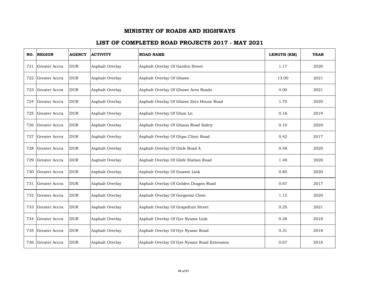| NO. | <b>REGION</b> | <b>AGENCY</b> | <b>ACTIVITY</b> | <b>ROAD NAME</b>                            | LENGTH (KM) | <b>YEAR</b> |
|-----|---------------|---------------|-----------------|---------------------------------------------|-------------|-------------|
| 721 | Greater Accra | <b>DUR</b>    | Asphalt Overlay | Asphalt Overlay Of Garden Street            | 1.17        | 2020        |
| 722 | Greater Accra | <b>DUR</b>    | Asphalt Overlay | Asphalt Overlay Of Gbawe                    | 13.00       | 2021        |
| 723 | Greater Accra | <b>DUR</b>    | Asphalt Overlay | Asphalt Overlay Of Gbawe Area Roads         | 4.00        | 2021        |
| 724 | Greater Accra | <b>DUR</b>    | Asphalt Overlay | Asphalt Overlay Of Gbawe Zero House Road    | 1.70        | 2020        |
| 725 | Greater Accra | <b>DUR</b>    | Asphalt Overlay | Asphalt Overlay Of Gbon Ln                  | 0.16        | 2019        |
| 726 | Greater Accra | <b>DUR</b>    | Asphalt Overlay | Asphalt Overlay Of Ghana Road Safety        | 0.10        | 2020        |
| 727 | Greater Accra | <b>DUR</b>    | Asphalt Overlay | Asphalt Overlay Of Ghpa Clinic Road         | 0.42        | 2017        |
| 728 | Greater Accra | <b>DUR</b>    | Asphalt Overlay | Asphalt Overlay Of Glefe Road A             | 0.48        | 2020        |
| 729 | Greater Accra | <b>DUR</b>    | Asphalt Overlay | Asphalt Overlay Of Glefe Station Road       | 1.48        | 2020        |
| 730 | Greater Accra | <b>DUR</b>    | Asphalt Overlay | Asphalt Overlay Of Gnawie Link              | 0.85        | 2020        |
| 731 | Greater Accra | <b>DUR</b>    | Asphalt Overlay | Asphalt Overlay Of Golden Dragon Road       | 0.67        | 2017        |
| 732 | Greater Accra | <b>DUR</b>    | Asphalt Overlay | Asphalt Overlay Of Gorgormi Close           | 1.15        | 2020        |
| 733 | Greater Accra | <b>DUR</b>    | Asphalt Overlay | Asphalt Overlay Of Grapefruit Street        | 0.25        | 2021        |
| 734 | Greater Accra | <b>DUR</b>    | Asphalt Overlay | Asphalt Overlay Of Gye Nyame Link           | 0.38        | 2018        |
| 735 | Greater Accra | <b>DUR</b>    | Asphalt Overlay | Asphalt Overlay Of Gye Nyame Road           | 0.31        | 2018        |
| 736 | Greater Accra | <b>DUR</b>    | Asphalt Overlay | Asphalt Overlay Of Gye Nyame Road Extension | 0.67        | 2018        |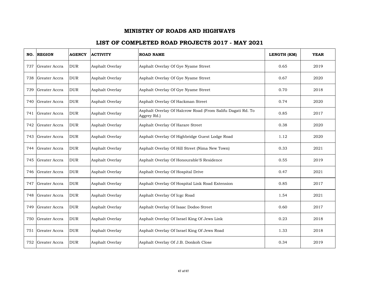| NO. | <b>REGION</b>     | <b>AGENCY</b> | <b>ACTIVITY</b> | <b>ROAD NAME</b>                                                          | LENGTH (KM) | <b>YEAR</b> |
|-----|-------------------|---------------|-----------------|---------------------------------------------------------------------------|-------------|-------------|
| 737 | Greater Accra     | <b>DUR</b>    | Asphalt Overlay | Asphalt Overlay Of Gye Nyame Street                                       | 0.65        | 2019        |
| 738 | Greater Accra     | <b>DUR</b>    | Asphalt Overlay | Asphalt Overlay Of Gye Nyame Street                                       | 0.67        | 2020        |
| 739 | Greater Accra     | <b>DUR</b>    | Asphalt Overlay | Asphalt Overlay Of Gye Nyame Street                                       | 0.70        | 2018        |
|     | 740 Greater Accra | <b>DUR</b>    | Asphalt Overlay | Asphalt Overlay Of Hackman Street                                         | 0.74        | 2020        |
|     | 741 Greater Accra | <b>DUR</b>    | Asphalt Overlay | Asphalt Overlay Of Halcrow Road (From Salifu Dagati Rd. To<br>Aggrey Rd.) | 0.85        | 2017        |
| 742 | Greater Accra     | <b>DUR</b>    | Asphalt Overlay | Asphalt Overlay Of Harare Street                                          | 0.38        | 2020        |
| 743 | Greater Accra     | <b>DUR</b>    | Asphalt Overlay | Asphalt Overlay Of Highbridge Guest Lodge Road                            | 1.12        | 2020        |
| 744 | Greater Accra     | <b>DUR</b>    | Asphalt Overlay | Asphalt Overlay Of Hill Street (Nima New Town)                            | 0.33        | 2021        |
| 745 | Greater Accra     | <b>DUR</b>    | Asphalt Overlay | Asphalt Overlay Of Honourable'S Residence                                 | 0.55        | 2019        |
| 746 | Greater Accra     | <b>DUR</b>    | Asphalt Overlay | Asphalt Overlay Of Hospital Drive                                         | 0.47        | 2021        |
| 747 | Greater Accra     | <b>DUR</b>    | Asphalt Overlay | Asphalt Overlay Of Hospital Link Road Extension                           | 0.85        | 2017        |
| 748 | Greater Accra     | <b>DUR</b>    | Asphalt Overlay | Asphalt Overlay Of Icgc Road                                              | 1.54        | 2021        |
| 749 | Greater Accra     | <b>DUR</b>    | Asphalt Overlay | Asphalt Overlay Of Isaac Dodoo Street                                     | 0.60        | 2017        |
| 750 | Greater Accra     | <b>DUR</b>    | Asphalt Overlay | Asphalt Overlay Of Israel King Of Jews Link                               | 0.23        | 2018        |
|     | 751 Greater Accra | <b>DUR</b>    | Asphalt Overlay | Asphalt Overlay Of Israel King Of Jews Road                               | 1.33        | 2018        |
| 752 | Greater Accra     | <b>DUR</b>    | Asphalt Overlay | Asphalt Overlay Of J.B. Donkoh Close                                      | 0.34        | 2019        |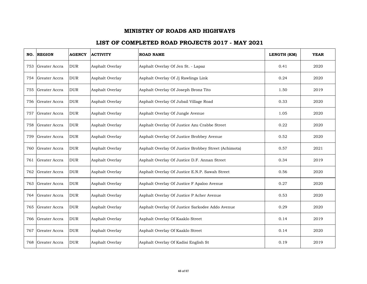| NO. | <b>REGION</b> | <b>AGENCY</b> | <b>ACTIVITY</b> | <b>ROAD NAME</b>                                     | LENGTH (KM) | <b>YEAR</b> |
|-----|---------------|---------------|-----------------|------------------------------------------------------|-------------|-------------|
| 753 | Greater Accra | <b>DUR</b>    | Asphalt Overlay | Asphalt Overlay Of Jen St. - Lapaz                   | 0.41        | 2020        |
| 754 | Greater Accra | <b>DUR</b>    | Asphalt Overlay | Asphalt Overlay Of Jj Rawlings Link                  | 0.24        | 2020        |
| 755 | Greater Accra | <b>DUR</b>    | Asphalt Overlay | Asphalt Overlay Of Joseph Bronz Tito                 | 1.50        | 2019        |
| 756 | Greater Accra | <b>DUR</b>    | Asphalt Overlay | Asphalt Overlay Of Jubail Village Road               | 0.33        | 2020        |
| 757 | Greater Accra | <b>DUR</b>    | Asphalt Overlay | Asphalt Overlay Of Jungle Avenue                     | 1.05        | 2020        |
| 758 | Greater Accra | <b>DUR</b>    | Asphalt Overlay | Asphalt Overlay Of Justice Azu Crabbe Street         | 0.22        | 2020        |
| 759 | Greater Accra | <b>DUR</b>    | Asphalt Overlay | Asphalt Overlay Of Justice Brobbey Avenue            | 0.52        | 2020        |
| 760 | Greater Accra | <b>DUR</b>    | Asphalt Overlay | Asphalt Overlay Of Justice Brobbey Street (Achimota) | 0.57        | 2021        |
| 761 | Greater Accra | <b>DUR</b>    | Asphalt Overlay | Asphalt Overlay Of Justice D.F. Annan Street         | 0.34        | 2019        |
| 762 | Greater Accra | <b>DUR</b>    | Asphalt Overlay | Asphalt Overlay Of Justice E.N.P. Sawah Street       | 0.56        | 2020        |
| 763 | Greater Accra | <b>DUR</b>    | Asphalt Overlay | Asphalt Overlay Of Justice F Apaloo Avenue           | 0.27        | 2020        |
| 764 | Greater Accra | <b>DUR</b>    | Asphalt Overlay | Asphalt Overlay Of Justice P Acher Avenue            | 0.53        | 2020        |
| 765 | Greater Accra | <b>DUR</b>    | Asphalt Overlay | Asphalt Overlay Of Justice Sarkodee Addo Avenue      | 0.29        | 2020        |
| 766 | Greater Accra | <b>DUR</b>    | Asphalt Overlay | Asphalt Overlay Of Kaaklo Street                     | 0.14        | 2019        |
| 767 | Greater Accra | <b>DUR</b>    | Asphalt Overlay | Asphalt Overlay Of Kaaklo Street                     | 0.14        | 2020        |
| 768 | Greater Accra | <b>DUR</b>    | Asphalt Overlay | Asphalt Overlay Of Kadisi English St                 | 0.19        | 2019        |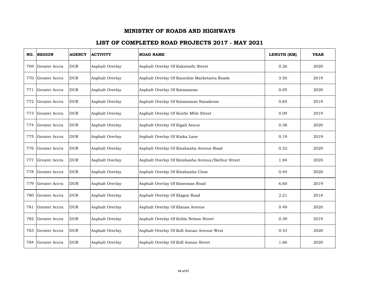| NO. | <b>REGION</b> | <b>AGENCY</b> | <b>ACTIVITY</b> | <b>ROAD NAME</b>                                  | LENGTH (KM) | <b>YEAR</b> |
|-----|---------------|---------------|-----------------|---------------------------------------------------|-------------|-------------|
| 769 | Greater Accra | <b>DUR</b>    | Asphalt Overlay | Asphalt Overlay Of Kakatsofu Street               | 0.26        | 2020        |
| 770 | Greater Accra | <b>DUR</b>    | Asphalt Overlay | Asphalt Overlay Of Kaneshie Marketarea Roads      | 3.50        | 2019        |
| 771 | Greater Accra | <b>DUR</b>    | Asphalt Overlay | Asphalt Overlay Of Katamanso                      | 0.85        | 2020        |
| 772 | Greater Accra | <b>DUR</b>    | Asphalt Overlay | Asphalt Overlay Of Katamanso Nanakrom             | 0.85        | 2019        |
| 773 | Greater Accra | <b>DUR</b>    | Asphalt Overlay | Asphalt Overlay Of Kenlte Mble Street             | 0.09        | 2019        |
| 774 | Greater Accra | <b>DUR</b>    | Asphalt Overlay | Asphalt Overlay Of Kigali Aenue                   | 0.38        | 2020        |
| 775 | Greater Accra | <b>DUR</b>    | Asphalt Overlay | Asphalt Overlay Of Kinka Lane                     | 0.19        | 2019        |
| 776 | Greater Accra | <b>DUR</b>    | Asphalt Overlay | Asphalt Overlay Of Kinshasha Avenue Road          | 0.32        | 2020        |
| 777 | Greater Accra | <b>DUR</b>    | Asphalt Overlay | Asphalt Overlay Of Kinshasha Avenue/Bathur Street | 1.84        | 2020        |
| 778 | Greater Accra | <b>DUR</b>    | Asphalt Overlay | Asphalt Overlay Of Kinshasha Close                | 0.44        | 2020        |
| 779 | Greater Accra | <b>DUR</b>    | Asphalt Overlay | Asphalt Overlay Of Kisseman Road                  | 6.60        | 2019        |
| 780 | Greater Accra | <b>DUR</b>    | Asphalt Overlay | Asphalt Overlay Of Klagon Road                    | 2.21        | 2018        |
| 781 | Greater Accra | <b>DUR</b>    | Asphalt Overlay | Asphalt Overlay Of Klanaa Avenue                  | 0.49        | 2020        |
| 782 | Greater Accra | <b>DUR</b>    | Asphalt Overlay | Asphalt Overlay Of Kobla Nelson Street            | 0.39        | 2019        |
| 783 | Greater Accra | <b>DUR</b>    | Asphalt Overlay | Asphalt Overlay Of Kofi Annan Avenue West         | 0.43        | 2020        |
| 784 | Greater Accra | <b>DUR</b>    | Asphalt Overlay | Asphalt Overlay Of Kofi Annan Street              | 1.86        | 2020        |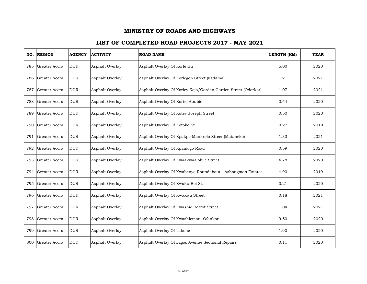|     | NO. REGION    | <b>AGENCY</b> | <b>ACTIVITY</b> | <b>ROAD NAME</b>                                              | LENGTH (KM) | <b>YEAR</b> |
|-----|---------------|---------------|-----------------|---------------------------------------------------------------|-------------|-------------|
| 785 | Greater Accra | <b>DUR</b>    | Asphalt Overlay | Asphalt Overlay Of Korle Bu                                   | 5.00        | 2020        |
| 786 | Greater Accra | <b>DUR</b>    | Asphalt Overlay | Asphalt Overlay Of Korlegon Street (Fadama)                   | 1.21        | 2021        |
| 787 | Greater Accra | <b>DUR</b>    | Asphalt Overlay | Asphalt Overlay Of Korley Kojo/Garden Garden Street (Odorkor) | 1.07        | 2021        |
| 788 | Greater Accra | <b>DUR</b>    | Asphalt Overlay | Asphalt Overlay Of Kortei Abubio                              | 0.44        | 2020        |
| 789 | Greater Accra | <b>DUR</b>    | Asphalt Overlay | Asphalt Overlay Of Kotey Joseph Street                        | 0.50        | 2020        |
| 790 | Greater Accra | <b>DUR</b>    | Asphalt Overlay | Asphalt Overlay Of Kotoko St.                                 | 0.27        | 2019        |
| 791 | Greater Accra | <b>DUR</b>    | Asphalt Overlay | Asphalt Overlay Of Kpakpo Mankrolo Street (Mataheko)          | 1.33        | 2021        |
| 792 | Greater Accra | <b>DUR</b>    | Asphalt Overlay | Asphalt Overlay Of Kpanlogo Road                              | 0.59        | 2020        |
| 793 | Greater Accra | <b>DUR</b>    | Asphalt Overlay | Asphalt Overlay Of Kwaakwaalobile Street                      | 4.78        | 2020        |
| 794 | Greater Accra | <b>DUR</b>    | Asphalt Overlay | Asphalt Overlay Of Kwabenya Roundabout - Ashongman Estates    | 4.90        | 2019        |
| 795 | Greater Accra | <b>DUR</b>    | Asphalt Overlay | Asphalt Overlay Of Kwaku Boi St.                              | 0.21        | 2020        |
| 796 | Greater Accra | <b>DUR</b>    | Asphalt Overlay | Asphalt Overlay Of Kwakwa Street                              | 0.18        | 2021        |
| 797 | Greater Accra | <b>DUR</b>    | Asphalt Overlay | Asphalt Overlay Of Kwashie Bezrot Street                      | 1.04        | 2021        |
| 798 | Greater Accra | <b>DUR</b>    | Asphalt Overlay | Asphalt Overlay Of Kwashieman Ofankor                         | 9.50        | 2020        |
| 799 | Greater Accra | <b>DUR</b>    | Asphalt Overlay | Asphalt Overlay Of Labone                                     | 1.90        | 2020        |
| 800 | Greater Accra | <b>DUR</b>    | Asphalt Overlay | Asphalt Overlay Of Lagos Avenue Sectional Repairs             | 0.11        | 2020        |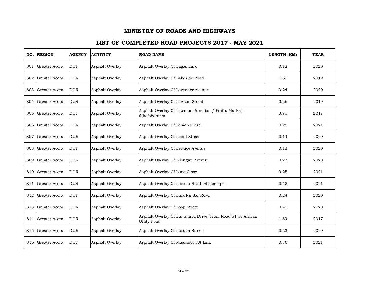| NO. | <b>REGION</b>     | <b>AGENCY</b> | <b>ACTIVITY</b> | <b>ROAD NAME</b>                                                         | LENGTH (KM) | <b>YEAR</b> |
|-----|-------------------|---------------|-----------------|--------------------------------------------------------------------------|-------------|-------------|
| 801 | Greater Accra     | <b>DUR</b>    | Asphalt Overlay | Asphalt Overlay Of Lagos Link                                            | 0.12        | 2020        |
| 802 | Greater Accra     | <b>DUR</b>    | Asphalt Overlay | Asphalt Overlay Of Lakeside Road                                         | 1.50        | 2019        |
| 803 | Greater Accra     | <b>DUR</b>    | Asphalt Overlay | Asphalt Overlay Of Lavender Avenue                                       | 0.24        | 2020        |
|     | 804 Greater Accra | <b>DUR</b>    | Asphalt Overlay | Asphalt Overlay Of Lawson Street                                         | 0.26        | 2019        |
| 805 | Greater Accra     | <b>DUR</b>    | Asphalt Overlay | Asphalt Overlay Of Lebanon Junction / Frafra Market -<br>Sikafobantem    | 0.71        | 2017        |
| 806 | Greater Accra     | <b>DUR</b>    | Asphalt Overlay | Asphalt Overlay Of Lemon Close                                           | 0.25        | 2021        |
| 807 | Greater Accra     | <b>DUR</b>    | Asphalt Overlay | Asphalt Overlay Of Lentil Street                                         | 0.14        | 2020        |
| 808 | Greater Accra     | <b>DUR</b>    | Asphalt Overlay | Asphalt Overlay Of Lettuce Avenue                                        | 0.13        | 2020        |
| 809 | Greater Accra     | <b>DUR</b>    | Asphalt Overlay | Asphalt Overlay Of Lilongwe Avenue                                       | 0.23        | 2020        |
| 810 | Greater Accra     | <b>DUR</b>    | Asphalt Overlay | Asphalt Overlay Of Lime Close                                            | 0.25        | 2021        |
| 811 | Greater Accra     | <b>DUR</b>    | Asphalt Overlay | Asphalt Overlay Of Lincoln Road (Abelemkpe)                              | 0.45        | 2021        |
| 812 | Greater Accra     | <b>DUR</b>    | Asphalt Overlay | Asphalt Overlay Of Link Nii Sar Road                                     | 0.24        | 2020        |
| 813 | Greater Accra     | <b>DUR</b>    | Asphalt Overlay | Asphalt Overlay Of Loop Street                                           | 0.41        | 2020        |
| 814 | Greater Accra     | <b>DUR</b>    | Asphalt Overlay | Asphalt Overlay Of Lumumba Drive (From Road 51 To African<br>Unity Road) | 1.89        | 2017        |
| 815 | Greater Accra     | <b>DUR</b>    | Asphalt Overlay | Asphalt Overlay Of Lusaka Street                                         | 0.23        | 2020        |
| 816 | Greater Accra     | <b>DUR</b>    | Asphalt Overlay | Asphalt Overlay Of Maamobi 1St Link                                      | 0.86        | 2021        |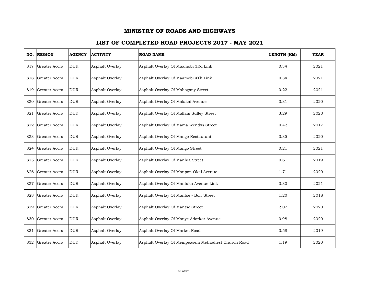| NO. | <b>REGION</b> | <b>AGENCY</b> | <b>ACTIVITY</b> | <b>ROAD NAME</b>                                    | LENGTH (KM) | <b>YEAR</b> |
|-----|---------------|---------------|-----------------|-----------------------------------------------------|-------------|-------------|
| 817 | Greater Accra | <b>DUR</b>    | Asphalt Overlay | Asphalt Overlay Of Maamobi 3Rd Link                 | 0.34        | 2021        |
| 818 | Greater Accra | <b>DUR</b>    | Asphalt Overlay | Asphalt Overlay Of Maamobi 4Th Link                 | 0.34        | 2021        |
| 819 | Greater Accra | <b>DUR</b>    | Asphalt Overlay | Asphalt Overlay Of Mahogany Street                  | 0.22        | 2021        |
| 820 | Greater Accra | <b>DUR</b>    | Asphalt Overlay | Asphalt Overlay Of Malakai Avenue                   | 0.31        | 2020        |
| 821 | Greater Accra | <b>DUR</b>    | Asphalt Overlay | Asphalt Overlay Of Mallam Sulley Street             | 3.29        | 2020        |
| 822 | Greater Accra | <b>DUR</b>    | Asphalt Overlay | Asphalt Overlay Of Mama Wendys Street               | 0.42        | 2017        |
| 823 | Greater Accra | <b>DUR</b>    | Asphalt Overlay | Asphalt Overlay Of Mango Restaurant                 | 0.35        | 2020        |
| 824 | Greater Accra | <b>DUR</b>    | Asphalt Overlay | Asphalt Overlay Of Mango Street                     | 0.21        | 2021        |
| 825 | Greater Accra | <b>DUR</b>    | Asphalt Overlay | Asphalt Overlay Of Manhia Street                    | 0.61        | 2019        |
| 826 | Greater Accra | <b>DUR</b>    | Asphalt Overlay | Asphalt Overlay Of Manpon Okai Avenue               | 1.71        | 2020        |
| 827 | Greater Accra | <b>DUR</b>    | Asphalt Overlay | Asphalt Overlay Of Mantaka Avenue Link              | 0.30        | 2021        |
| 828 | Greater Accra | <b>DUR</b>    | Asphalt Overlay | Asphalt Overlay Of Mantse - Boir Street             | 1.20        | 2018        |
| 829 | Greater Accra | <b>DUR</b>    | Asphalt Overlay | Asphalt Overlay Of Mantse Street                    | 2.07        | 2020        |
| 830 | Greater Accra | <b>DUR</b>    | Asphalt Overlay | Asphalt Overlay Of Manye Adorkor Avenue             | 0.98        | 2020        |
| 831 | Greater Accra | <b>DUR</b>    | Asphalt Overlay | Asphalt Overlay Of Market Road                      | 0.58        | 2019        |
| 832 | Greater Accra | <b>DUR</b>    | Asphalt Overlay | Asphalt Overlay Of Mempeasem Methodiest Church Road | 1.19        | 2020        |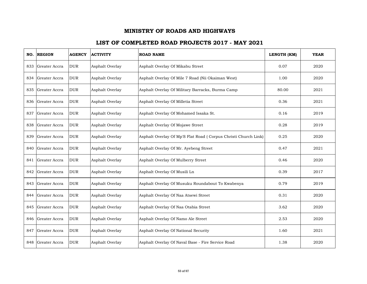| NO. | <b>REGION</b>     | <b>AGENCY</b> | <b>ACTIVITY</b> | <b>ROAD NAME</b>                                               | LENGTH (KM) | <b>YEAR</b> |
|-----|-------------------|---------------|-----------------|----------------------------------------------------------------|-------------|-------------|
| 833 | Greater Accra     | <b>DUR</b>    | Asphalt Overlay | Asphalt Overlay Of Mikabu Street                               | 0.07        | 2020        |
| 834 | Greater Accra     | <b>DUR</b>    | Asphalt Overlay | Asphalt Overlay Of Mile 7 Road (Nii Okaiman West)              | 1.00        | 2020        |
| 835 | Greater Accra     | <b>DUR</b>    | Asphalt Overlay | Asphalt Overlay Of Military Barracks, Burma Camp               | 80.00       | 2021        |
|     | 836 Greater Accra | <b>DUR</b>    | Asphalt Overlay | Asphalt Overlay Of Milletia Street                             | 0.36        | 2021        |
| 837 | Greater Accra     | <b>DUR</b>    | Asphalt Overlay | Asphalt Overlay Of Mohamed Issaka St.                          | 0.16        | 2019        |
| 838 | Greater Accra     | <b>DUR</b>    | Asphalt Overlay | Asphalt Overlay Of Mojawe Street                               | 0.28        | 2019        |
| 839 | Greater Accra     | <b>DUR</b>    | Asphalt Overlay | Asphalt Overlay Of Mp'S Flat Road (Corpus Christi Church Link) | 0.25        | 2020        |
| 840 | Greater Accra     | <b>DUR</b>    | Asphalt Overlay | Asphalt Overlay Of Mr. Ayebeng Street                          | 0.47        | 2021        |
|     | 841 Greater Accra | <b>DUR</b>    | Asphalt Overlay | Asphalt Overlay Of Mulberry Street                             | 0.46        | 2020        |
| 842 | Greater Accra     | <b>DUR</b>    | Asphalt Overlay | Asphalt Overlay Of Musili Ln                                   | 0.39        | 2017        |
| 843 | Greater Accra     | <b>DUR</b>    | Asphalt Overlay | Asphalt Overlay Of Musuku Roundabout To Kwabenya               | 0.79        | 2019        |
| 844 | Greater Accra     | <b>DUR</b>    | Asphalt Overlay | Asphalt Overlay Of Naa Atsewi Street                           | 0.31        | 2020        |
| 845 | Greater Accra     | <b>DUR</b>    | Asphalt Overlay | Asphalt Overlay Of Naa Otabia Street                           | 3.62        | 2020        |
| 846 | Greater Accra     | <b>DUR</b>    | Asphalt Overlay | Asphalt Overlay Of Namo Ale Street                             | 2.53        | 2020        |
| 847 | Greater Accra     | <b>DUR</b>    | Asphalt Overlay | Asphalt Overlay Of National Security                           | 1.60        | 2021        |
| 848 | Greater Accra     | <b>DUR</b>    | Asphalt Overlay | Asphalt Overlay Of Naval Base - Fire Service Road              | 1.38        | 2020        |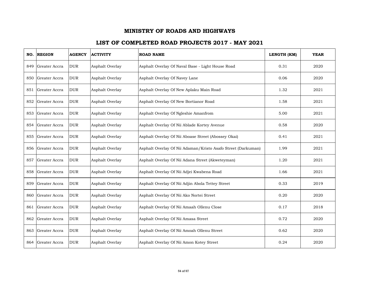| NO. | <b>REGION</b> | <b>AGENCY</b> | <b>ACTIVITY</b> | <b>ROAD NAME</b>                                             | LENGTH (KM) | <b>YEAR</b> |
|-----|---------------|---------------|-----------------|--------------------------------------------------------------|-------------|-------------|
| 849 | Greater Accra | <b>DUR</b>    | Asphalt Overlay | Asphalt Overlay Of Naval Base - Light House Road             | 0.31        | 2020        |
| 850 | Greater Accra | <b>DUR</b>    | Asphalt Overlay | Asphalt Overlay Of Navey Lane                                | 0.06        | 2020        |
| 851 | Greater Accra | <b>DUR</b>    | Asphalt Overlay | Asphalt Overlay Of New Aplaku Main Road                      | 1.32        | 2021        |
| 852 | Greater Accra | <b>DUR</b>    | Asphalt Overlay | Asphalt Overlay Of New Bortianor Road                        | 1.58        | 2021        |
| 853 | Greater Accra | <b>DUR</b>    | Asphalt Overlay | Asphalt Overlay Of Ngleshie Amanfrom                         | 5.00        | 2021        |
| 854 | Greater Accra | <b>DUR</b>    | Asphalt Overlay | Asphalt Overlay Of Nii Ablade Kortey Avenue                  | 0.58        | 2020        |
| 855 | Greater Accra | <b>DUR</b>    | Asphalt Overlay | Asphalt Overlay Of Nii Aboase Street (Abossey Okai)          | 0.41        | 2021        |
| 856 | Greater Accra | <b>DUR</b>    | Asphalt Overlay | Asphalt Overlay Of Nii Adaman/Kristo Asafo Street (Darkuman) | 1.99        | 2021        |
| 857 | Greater Accra | <b>DUR</b>    | Asphalt Overlay | Asphalt Overlay Of Nii Adana Street (Akweteyman)             | 1.20        | 2021        |
| 858 | Greater Accra | <b>DUR</b>    | Asphalt Overlay | Asphalt Overlay Of Nii Adjei Kwabena Road                    | 1.66        | 2021        |
| 859 | Greater Accra | <b>DUR</b>    | Asphalt Overlay | Asphalt Overlay Of Nii Adjin Abola Tettey Street             | 0.33        | 2019        |
| 860 | Greater Accra | <b>DUR</b>    | Asphalt Overlay | Asphalt Overlay Of Nii Ako Nortei Street                     | 0.20        | 2020        |
| 861 | Greater Accra | <b>DUR</b>    | Asphalt Overlay | Asphalt Overlay Of Nii Amaah Ollenu Close                    | 0.17        | 2018        |
| 862 | Greater Accra | <b>DUR</b>    | Asphalt Overlay | Asphalt Overlay Of Nii Amasa Street                          | 0.72        | 2020        |
| 863 | Greater Accra | <b>DUR</b>    | Asphalt Overlay | Asphalt Overlay Of Nii Amoah Ollenu Street                   | 0.62        | 2020        |
| 864 | Greater Accra | <b>DUR</b>    | Asphalt Overlay | Asphalt Overlay Of Nii Amon Kotey Street                     | 0.24        | 2020        |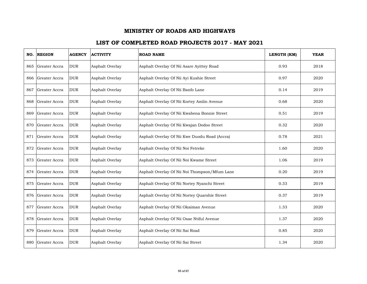| NO. | <b>REGION</b> | <b>AGENCY</b> | <b>ACTIVITY</b> | <b>ROAD NAME</b>                              | LENGTH (KM) | <b>YEAR</b> |
|-----|---------------|---------------|-----------------|-----------------------------------------------|-------------|-------------|
| 865 | Greater Accra | <b>DUR</b>    | Asphalt Overlay | Asphalt Overlay Of Nii Asare Ayittey Road     | 0.93        | 2018        |
| 866 | Greater Accra | <b>DUR</b>    | Asphalt Overlay | Asphalt Overlay Of Nii Ayi Kushie Street      | 0.97        | 2020        |
| 867 | Greater Accra | <b>DUR</b>    | Asphalt Overlay | Asphalt Overlay Of Nii Banfo Lane             | 0.14        | 2019        |
| 868 | Greater Accra | <b>DUR</b>    | Asphalt Overlay | Asphalt Overlay Of Nii Kortey Amlin Avenue    | 0.68        | 2020        |
| 869 | Greater Accra | <b>DUR</b>    | Asphalt Overlay | Asphalt Overlay Of Nii Kwabena Bonnie Street  | 0.51        | 2019        |
| 870 | Greater Accra | <b>DUR</b>    | Asphalt Overlay | Asphalt Overlay Of Nii Kwajan Dodoo Street    | 0.32        | 2020        |
| 871 | Greater Accra | <b>DUR</b>    | Asphalt Overlay | Asphalt Overlay Of Nii Kwe Duodu Road (Accra) | 0.78        | 2021        |
| 872 | Greater Accra | <b>DUR</b>    | Asphalt Overlay | Asphalt Overlay Of Nii Noi Fetreke            | 1.60        | 2020        |
| 873 | Greater Accra | <b>DUR</b>    | Asphalt Overlay | Asphalt Overlay Of Nii Noi Kwame Street       | 1.06        | 2019        |
| 874 | Greater Accra | <b>DUR</b>    | Asphalt Overlay | Asphalt Overlay Of Nii Noi Thompson/Mfum Lane | 0.20        | 2019        |
| 875 | Greater Accra | <b>DUR</b>    | Asphalt Overlay | Asphalt Overlay Of Nii Nortey Nyanchi Street  | 0.33        | 2019        |
| 876 | Greater Accra | <b>DUR</b>    | Asphalt Overlay | Asphalt Overlay Of Nii Nortey Quarshie Street | 0.37        | 2019        |
| 877 | Greater Accra | <b>DUR</b>    | Asphalt Overlay | Asphalt Overlay Of Nii Okaiman Avenue         | 1.33        | 2020        |
| 878 | Greater Accra | <b>DUR</b>    | Asphalt Overlay | Asphalt Overlay Of Nii Osae Ntiful Avenue     | 1.37        | 2020        |
| 879 | Greater Accra | <b>DUR</b>    | Asphalt Overlay | Asphalt Overlay Of Nii Sai Road               | 0.85        | 2020        |
| 880 | Greater Accra | <b>DUR</b>    | Asphalt Overlay | Asphalt Overlay Of Nii Sai Street             | 1.34        | 2020        |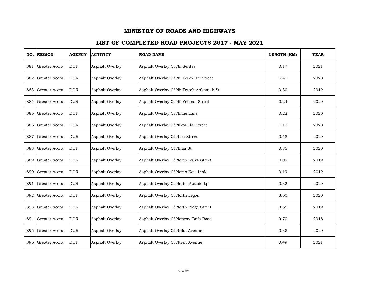|     | NO. REGION    | <b>AGENCY</b> | <b>ACTIVITY</b> | <b>ROAD NAME</b>                         | LENGTH (KM) | <b>YEAR</b> |
|-----|---------------|---------------|-----------------|------------------------------------------|-------------|-------------|
| 881 | Greater Accra | <b>DUR</b>    | Asphalt Overlay | Asphalt Overlay Of Nii Sentse            | 0.17        | 2021        |
| 882 | Greater Accra | <b>DUR</b>    | Asphalt Overlay | Asphalt Overlay Of Nii Teiko Div Street  | 6.41        | 2020        |
| 883 | Greater Accra | <b>DUR</b>    | Asphalt Overlay | Asphalt Overlay Of Nii Tetteh Ankamah St | 0.30        | 2019        |
| 884 | Greater Accra | <b>DUR</b>    | Asphalt Overlay | Asphalt Overlay Of Nii Yeboah Street     | 0.24        | 2020        |
| 885 | Greater Accra | <b>DUR</b>    | Asphalt Overlay | Asphalt Overlay Of Niime Lane            | 0.22        | 2020        |
| 886 | Greater Accra | <b>DUR</b>    | Asphalt Overlay | Asphalt Overlay Of Nikoi Alai Street     | 1.12        | 2020        |
| 887 | Greater Accra | <b>DUR</b>    | Asphalt Overlay | Asphalt Overlay Of Nma Street            | 0.48        | 2020        |
| 888 | Greater Accra | <b>DUR</b>    | Asphalt Overlay | Asphalt Overlay Of Nmai St.              | 0.35        | 2020        |
| 889 | Greater Accra | <b>DUR</b>    | Asphalt Overlay | Asphalt Overlay Of Nomo Ayika Street     | 0.09        | 2019        |
| 890 | Greater Accra | <b>DUR</b>    | Asphalt Overlay | Asphalt Overlay Of Nomo Kojo Link        | 0.19        | 2019        |
| 891 | Greater Accra | <b>DUR</b>    | Asphalt Overlay | Asphalt Overlay Of Nortei Abubio Lp      | 0.32        | 2020        |
| 892 | Greater Accra | <b>DUR</b>    | Asphalt Overlay | Asphalt Overlay Of North Legon           | 3.50        | 2020        |
| 893 | Greater Accra | <b>DUR</b>    | Asphalt Overlay | Asphalt Overlay Of North Ridge Street    | 0.65        | 2019        |
| 894 | Greater Accra | <b>DUR</b>    | Asphalt Overlay | Asphalt Overlay Of Norway Taifa Road     | 0.70        | 2018        |
| 895 | Greater Accra | <b>DUR</b>    | Asphalt Overlay | Asphalt Overlay Of Ntiful Avenue         | 0.35        | 2020        |
| 896 | Greater Accra | <b>DUR</b>    | Asphalt Overlay | Asphalt Overlay Of Ntreh Avenue          | 0.49        | 2021        |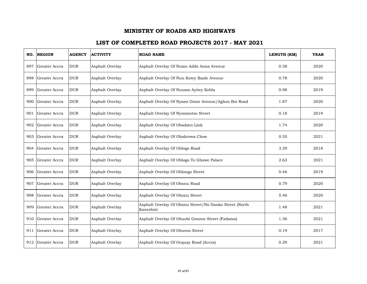| NO. | <b>REGION</b> | <b>AGENCY</b> | <b>ACTIVITY</b> | <b>ROAD NAME</b>                                                     | LENGTH (KM) | <b>YEAR</b> |
|-----|---------------|---------------|-----------------|----------------------------------------------------------------------|-------------|-------------|
| 897 | Greater Accra | <b>DUR</b>    | Asphalt Overlay | Asphalt Overlay Of Numo Addo Anna Avenue                             | 0.58        | 2020        |
| 898 | Greater Accra | <b>DUR</b>    | Asphalt Overlay | Asphalt Overlay Of Nuu Kotey Baale Avenue                            | 0.78        | 2020        |
| 899 | Greater Accra | <b>DUR</b>    | Asphalt Overlay | Asphalt Overlay Of Nuumo Ayitey Kobla                                | 0.98        | 2019        |
| 900 | Greater Accra | <b>DUR</b>    | Asphalt Overlay | Asphalt Overlay Of Nyami Ginor Avenue/Agbon Boi Road                 | 1.87        | 2020        |
| 901 | Greater Accra | <b>DUR</b>    | Asphalt Overlay | Asphalt Overlay Of Nyonmotso Street                                  | 0.18        | 2019        |
| 902 | Greater Accra | <b>DUR</b>    | Asphalt Overlay | Asphalt Overlay Of Obadzen Link                                      | 1.74        | 2020        |
| 903 | Greater Accra | <b>DUR</b>    | Asphalt Overlay | Asphalt Overlay Of Obakrowa Close                                    | 0.55        | 2021        |
| 904 | Greater Accra | <b>DUR</b>    | Asphalt Overlay | Asphalt Overlay Of Oblogo Road                                       | 3.29        | 2018        |
| 905 | Greater Accra | <b>DUR</b>    | Asphalt Overlay | Asphalt Overlay Of Oblogo To Gbawe Palace                            | 2.63        | 2021        |
| 906 | Greater Accra | <b>DUR</b>    | Asphalt Overlay | Asphalt Overlay Of Oblongo Street                                    | 0.46        | 2019        |
| 907 | Greater Accra | <b>DUR</b>    | Asphalt Overlay | Asphalt Overlay Of Obonu Road                                        | 0.79        | 2020        |
| 908 | Greater Accra | <b>DUR</b>    | Asphalt Overlay | Asphalt Overlay Of Obonu Street                                      | 5.46        | 2020        |
| 909 | Greater Accra | <b>DUR</b>    | Asphalt Overlay | Asphalt Overlay Of Obonu Street/Nii Danko Street (North<br>Kaneshie) | 1.48        | 2021        |
| 910 | Greater Accra | <b>DUR</b>    | Asphalt Overlay | Asphalt Overlay Of Obuobi Gonnor Street (Fadama)                     | 1.36        | 2021        |
| 911 | Greater Accra | <b>DUR</b>    | Asphalt Overlay | Asphalt Overlay Of Oburon Street                                     | 0.19        | 2017        |
| 912 | Greater Accra | <b>DUR</b>    | Asphalt Overlay | Asphalt Overlay Of Ocquay Road (Accra)                               | 0.29        | 2021        |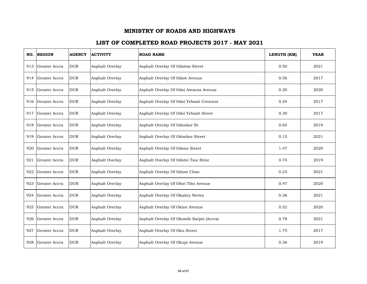| NO. | <b>REGION</b>     | <b>AGENCY</b> | <b>ACTIVITY</b> | <b>ROAD NAME</b>                         | LENGTH (KM) | <b>YEAR</b> |
|-----|-------------------|---------------|-----------------|------------------------------------------|-------------|-------------|
| 913 | Greater Accra     | <b>DUR</b>    | Asphalt Overlay | Asphalt Overlay Of Odaitso Street        | 0.50        | 2021        |
| 914 | Greater Accra     | <b>DUR</b>    | Asphalt Overlay | Asphalt Overlay Of Odaw Avenue           | 0.56        | 2017        |
| 915 | Greater Accra     | <b>DUR</b>    | Asphalt Overlay | Asphalt Overlay Of Odoi Atesena Avenue   | 0.20        | 2020        |
|     | 916 Greater Accra | <b>DUR</b>    | Asphalt Overlay | Asphalt Overlay Of Odoi Yeboah Crescent  | 0.24        | 2017        |
| 917 | Greater Accra     | <b>DUR</b>    | Asphalt Overlay | Asphalt Overlay Of Odoi Yeboah Street    | 0.30        | 2017        |
| 918 | Greater Accra     | <b>DUR</b>    | Asphalt Overlay | Asphalt Overlay Of Odonkor St.           | 0.65        | 2019        |
| 919 | Greater Accra     | <b>DUR</b>    | Asphalt Overlay | Asphalt Overlay Of Odonkor Street        | 0.15        | 2021        |
| 920 | Greater Accra     | <b>DUR</b>    | Asphalt Overlay | Asphalt Overlay Of Odono Street          | 1.47        | 2020        |
| 921 | Greater Accra     | <b>DUR</b>    | Asphalt Overlay | Asphalt Overlay Of Odotei Tsui Stree     | 0.74        | 2019        |
| 922 | Greater Accra     | <b>DUR</b>    | Asphalt Overlay | Asphalt Overlay Of Odum Close            | 0.23        | 2021        |
| 923 | Greater Accra     | <b>DUR</b>    | Asphalt Overlay | Asphalt Overlay Of Ofori Tibo Avenue     | 0.47        | 2020        |
| 924 | Greater Accra     | <b>DUR</b>    | Asphalt Overlay | Asphalt Overlay Of Okaitey Nettey        | 0.36        | 2021        |
| 925 | Greater Accra     | <b>DUR</b>    | Asphalt Overlay | Asphalt Overlay Of Okine Avenue          | 0.52        | 2020        |
| 926 | Greater Accra     | <b>DUR</b>    | Asphalt Overlay | Asphalt Overlay Of Okomfo Sarpei (Accra) | 0.78        | 2021        |
| 927 | Greater Accra     | <b>DUR</b>    | Asphalt Overlay | Asphalt Overlay Of Oku Street            | 1.75        | 2017        |
| 928 | Greater Accra     | <b>DUR</b>    | Asphalt Overlay | Asphalt Overlay Of Okuja Avenue          | 0.36        | 2019        |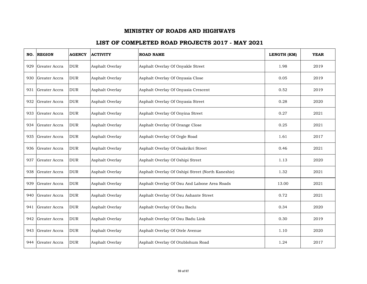| NO. | <b>REGION</b> | <b>AGENCY</b> | <b>ACTIVITY</b> | <b>ROAD NAME</b>                                  | LENGTH (KM) | <b>YEAR</b> |
|-----|---------------|---------------|-----------------|---------------------------------------------------|-------------|-------------|
| 929 | Greater Accra | <b>DUR</b>    | Asphalt Overlay | Asphalt Overlay Of Onyakle Street                 | 1.98        | 2019        |
| 930 | Greater Accra | <b>DUR</b>    | Asphalt Overlay | Asphalt Overlay Of Onyasia Close                  | 0.05        | 2019        |
| 931 | Greater Accra | <b>DUR</b>    | Asphalt Overlay | Asphalt Overlay Of Onyasia Crescent               | 0.52        | 2019        |
| 932 | Greater Accra | <b>DUR</b>    | Asphalt Overlay | Asphalt Overlay Of Onyasia Street                 | 0.28        | 2020        |
| 933 | Greater Accra | <b>DUR</b>    | Asphalt Overlay | Asphalt Overlay Of Onyina Street                  | 0.27        | 2021        |
| 934 | Greater Accra | <b>DUR</b>    | Asphalt Overlay | Asphalt Overlay Of Orange Close                   | 0.25        | 2021        |
| 935 | Greater Accra | <b>DUR</b>    | Asphalt Overlay | Asphalt Overlay Of Orgle Road                     | 1.61        | 2017        |
| 936 | Greater Accra | <b>DUR</b>    | Asphalt Overlay | Asphalt Overlay Of Osakrikri Street               | 0.46        | 2021        |
| 937 | Greater Accra | <b>DUR</b>    | Asphalt Overlay | Asphalt Overlay Of Oshipi Street                  | 1.13        | 2020        |
| 938 | Greater Accra | <b>DUR</b>    | Asphalt Overlay | Asphalt Overlay Of Oshipi Street (North Kaneshie) | 1.32        | 2021        |
| 939 | Greater Accra | <b>DUR</b>    | Asphalt Overlay | Asphalt Overlay Of Osu And Labone Area Roads      | 13.00       | 2021        |
| 940 | Greater Accra | <b>DUR</b>    | Asphalt Overlay | Asphalt Overlay Of Osu Ashante Street             | 0.72        | 2021        |
| 941 | Greater Accra | <b>DUR</b>    | Asphalt Overlay | Asphalt Overlay Of Osu Baclu                      | 0.34        | 2020        |
| 942 | Greater Accra | <b>DUR</b>    | Asphalt Overlay | Asphalt Overlay Of Osu Badu Link                  | 0.30        | 2019        |
| 943 | Greater Accra | <b>DUR</b>    | Asphalt Overlay | Asphalt Overlay Of Otele Avenue                   | 1.10        | 2020        |
| 944 | Greater Accra | <b>DUR</b>    | Asphalt Overlay | Asphalt Overlay Of Otublohum Road                 | 1.24        | 2017        |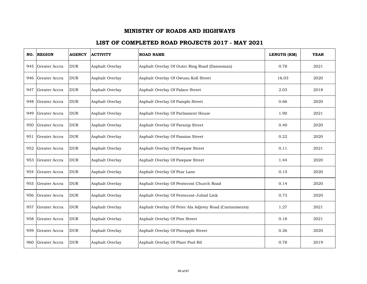| NO. | <b>REGION</b> | <b>AGENCY</b> | <b>ACTIVITY</b> | <b>ROAD NAME</b>                                        | LENGTH (KM) | <b>YEAR</b> |
|-----|---------------|---------------|-----------------|---------------------------------------------------------|-------------|-------------|
| 945 | Greater Accra | <b>DUR</b>    | Asphalt Overlay | Asphalt Overlay Of Outer Ring Road (Dansoman)           | 0.78        | 2021        |
| 946 | Greater Accra | <b>DUR</b>    | Asphalt Overlay | Asphalt Overlay Of Owusu Kofi Street                    | 16.03       | 2020        |
| 947 | Greater Accra | <b>DUR</b>    | Asphalt Overlay | Asphalt Overlay Of Palace Street                        | 2.03        | 2018        |
| 948 | Greater Accra | <b>DUR</b>    | Asphalt Overlay | Asphalt Overlay Of Pamplo Street                        | 0.66        | 2020        |
| 949 | Greater Accra | <b>DUR</b>    | Asphalt Overlay | Asphalt Overlay Of Parliament House                     | 1.90        | 2021        |
| 950 | Greater Accra | <b>DUR</b>    | Asphalt Overlay | Asphalt Overlay Of Parsnip Street                       | 0.40        | 2020        |
| 951 | Greater Accra | <b>DUR</b>    | Asphalt Overlay | Asphalt Overlay Of Passion Street                       | 0.22        | 2020        |
| 952 | Greater Accra | <b>DUR</b>    | Asphalt Overlay | Asphalt Overlay Of Pawpaw Street                        | 0.11        | 2021        |
| 953 | Greater Accra | <b>DUR</b>    | Asphalt Overlay | Asphalt Overlay Of Pawpaw Street                        | 1.44        | 2020        |
| 954 | Greater Accra | <b>DUR</b>    | Asphalt Overlay | Asphalt Overlay Of Pear Lane                            | 0.15        | 2020        |
| 955 | Greater Accra | <b>DUR</b>    | Asphalt Overlay | Asphalt Overlay Of Pentecost Church Road                | 0.14        | 2020        |
| 956 | Greater Accra | <b>DUR</b>    | Asphalt Overlay | Asphalt Overlay Of Pentecost-Jubail Link                | 0.73        | 2020        |
| 957 | Greater Accra | <b>DUR</b>    | Asphalt Overlay | Asphalt Overlay Of Peter Ala Adjetey Road (Cantonments) | 1.27        | 2021        |
| 958 | Greater Accra | <b>DUR</b>    | Asphalt Overlay | Asphalt Overlay Of Pine Street                          | 0.18        | 2021        |
| 959 | Greater Accra | <b>DUR</b>    | Asphalt Overlay | Asphalt Overlay Of Pineapple Street                     | 0.26        | 2020        |
| 960 | Greater Accra | <b>DUR</b>    | Asphalt Overlay | Asphalt Overlay Of Plant Pool Rd                        | 0.78        | 2019        |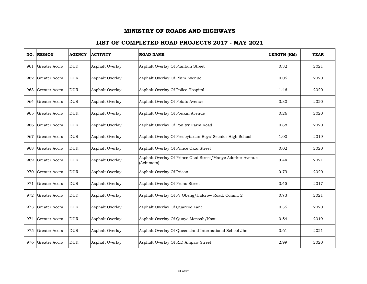| NO. | <b>REGION</b> | <b>AGENCY</b> | <b>ACTIVITY</b> | <b>ROAD NAME</b>                                                         | LENGTH (KM) | <b>YEAR</b> |
|-----|---------------|---------------|-----------------|--------------------------------------------------------------------------|-------------|-------------|
| 961 | Greater Accra | <b>DUR</b>    | Asphalt Overlay | Asphalt Overlay Of Plantain Street                                       | 0.32        | 2021        |
| 962 | Greater Accra | <b>DUR</b>    | Asphalt Overlay | Asphalt Overlay Of Plum Avenue                                           | 0.05        | 2020        |
| 963 | Greater Accra | <b>DUR</b>    | Asphalt Overlay | Asphalt Overlay Of Police Hospital                                       | 1.46        | 2020        |
| 964 | Greater Accra | <b>DUR</b>    | Asphalt Overlay | Asphalt Overlay Of Potato Avenue                                         | 0.30        | 2020        |
| 965 | Greater Accra | <b>DUR</b>    | Asphalt Overlay | Asphalt Overlay Of Poukin Avenue                                         | 0.26        | 2020        |
| 966 | Greater Accra | <b>DUR</b>    | Asphalt Overlay | Asphalt Overlay Of Poultry Farm Road                                     | 0.88        | 2020        |
| 967 | Greater Accra | <b>DUR</b>    | Asphalt Overlay | Asphalt Overlay Of Presbytarian Boys' Secnior High School                | 1.00        | 2019        |
| 968 | Greater Accra | <b>DUR</b>    | Asphalt Overlay | Asphalt Overlay Of Prince Okai Street                                    | 0.02        | 2020        |
| 969 | Greater Accra | <b>DUR</b>    | Asphalt Overlay | Asphalt Overlay Of Prince Okai Street/Manye Adorkor Avenue<br>(Achimota) | 0.44        | 2021        |
| 970 | Greater Accra | <b>DUR</b>    | Asphalt Overlay | Asphalt Overlay Of Prison                                                | 0.79        | 2020        |
| 971 | Greater Accra | <b>DUR</b>    | Asphalt Overlay | Asphalt Overlay Of Prono Street                                          | 0.45        | 2017        |
| 972 | Greater Accra | <b>DUR</b>    | Asphalt Overlay | Asphalt Overlay Of Pv Obeng/Halcrow Road, Comm. 2                        | 0.73        | 2021        |
| 973 | Greater Accra | <b>DUR</b>    | Asphalt Overlay | Asphalt Overlay Of Quarcoo Lane                                          | 0.35        | 2020        |
| 974 | Greater Accra | <b>DUR</b>    | Asphalt Overlay | Asphalt Overlay Of Quaye Mensah/Kasu                                     | 0.54        | 2019        |
| 975 | Greater Accra | <b>DUR</b>    | Asphalt Overlay | Asphalt Overlay Of Queensland International School Jhs                   | 0.61        | 2021        |
| 976 | Greater Accra | <b>DUR</b>    | Asphalt Overlay | Asphalt Overlay Of R.D.Ampaw Street                                      | 2.99        | 2020        |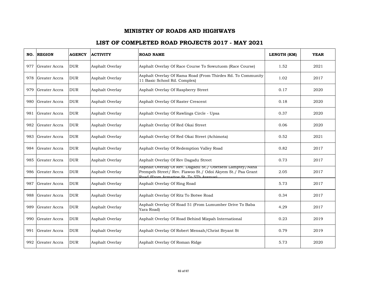| NO. | <b>REGION</b>     | <b>AGENCY</b> | <b>ACTIVITY</b> | <b>ROAD NAME</b>                                                                                                                                                  | LENGTH (KM) | <b>YEAR</b> |
|-----|-------------------|---------------|-----------------|-------------------------------------------------------------------------------------------------------------------------------------------------------------------|-------------|-------------|
| 977 | Greater Accra     | <b>DUR</b>    | Asphalt Overlay | Asphalt Overlay Of Race Course To Sowutuom (Race Course)                                                                                                          | 1.52        | 2021        |
| 978 | Greater Accra     | <b>DUR</b>    | Asphalt Overlay | Asphalt Overlay Of Rama Road (From Thirdes Rd. To Community<br>11 Basic School Rd. Complex)                                                                       | 1.02        | 2017        |
| 979 | Greater Accra     | <b>DUR</b>    | Asphalt Overlay | Asphalt Overlay Of Raspberry Street                                                                                                                               | 0.17        | 2020        |
|     | 980 Greater Accra | <b>DUR</b>    | Asphalt Overlay | Asphalt Overlay Of Raster Crescent                                                                                                                                | 0.18        | 2020        |
| 981 | Greater Accra     | <b>DUR</b>    | Asphalt Overlay | Asphalt Overlay Of Rawlings Circle - Upsa                                                                                                                         | 0.37        | 2020        |
| 982 | Greater Accra     | <b>DUR</b>    | Asphalt Overlay | Asphalt Overlay Of Red Okai Street                                                                                                                                | 0.06        | 2020        |
| 983 | Greater Accra     | <b>DUR</b>    | Asphalt Overlay | Asphalt Overlay Of Red Okai Street (Achimota)                                                                                                                     | 0.52        | 2021        |
| 984 | Greater Accra     | <b>DUR</b>    | Asphalt Overlay | Asphalt Overlay Of Redemption Valley Road                                                                                                                         | 0.82        | 2017        |
| 985 | Greater Accra     | <b>DUR</b>    | Asphalt Overlay | Asphalt Overlay Of Rev Dagadu Street                                                                                                                              | 0.73        | 2017        |
| 986 | Greater Accra     | <b>DUR</b>    | Asphalt Overlay | Asphalt Overlay Of Rev. Dagadu St./ Obetsebi Lamptey/Nana<br>Prempeh Street/ Rev. Fiawoo St./ Odoi Akyem St./ Paa Grant<br>Road (From Armattoe St. To 5Th Avenue) | 2.05        | 2017        |
| 987 | Greater Accra     | <b>DUR</b>    | Asphalt Overlay | Asphalt Overlay Of Ring Road                                                                                                                                      | 5.73        | 2017        |
| 988 | Greater Accra     | <b>DUR</b>    | Asphalt Overlay | Asphalt Overlay Of Ritz To Botwe Road                                                                                                                             | 0.34        | 2017        |
| 989 | Greater Accra     | <b>DUR</b>    | Asphalt Overlay | Asphalt Overlay Of Road 51 (From Lumumber Drive To Baba<br>Yara Road)                                                                                             | 4.29        | 2017        |
| 990 | Greater Accra     | <b>DUR</b>    | Asphalt Overlay | Asphalt Overlay Of Road Behind Mizpah International                                                                                                               | 0.23        | 2019        |
| 991 | Greater Accra     | <b>DUR</b>    | Asphalt Overlay | Asphalt Overlay Of Robert Mensah/Christ Bryant St                                                                                                                 | 0.79        | 2019        |
| 992 | Greater Accra     | <b>DUR</b>    | Asphalt Overlay | Asphalt Overlay Of Roman Ridge                                                                                                                                    | 5.73        | 2020        |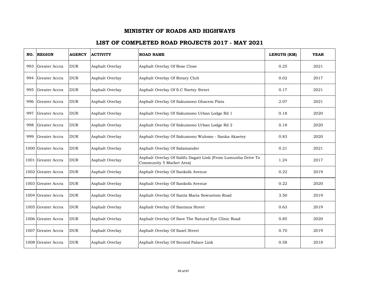| NO. | <b>REGION</b>      | <b>AGENCY</b> | <b>ACTIVITY</b> | <b>ROAD NAME</b>                                                                         | LENGTH (KM) | <b>YEAR</b> |
|-----|--------------------|---------------|-----------------|------------------------------------------------------------------------------------------|-------------|-------------|
| 993 | Greater Accra      | <b>DUR</b>    | Asphalt Overlay | Asphalt Overlay Of Rose Close                                                            | 0.25        | 2021        |
| 994 | Greater Accra      | <b>DUR</b>    | Asphalt Overlay | Asphalt Overlay Of Rotary Club                                                           | 0.02        | 2017        |
| 995 | Greater Accra      | <b>DUR</b>    | Asphalt Overlay | Asphalt Overlay Of S.C Nartey Street                                                     | 0.17        | 2021        |
|     | 996 Greater Accra  | <b>DUR</b>    | Asphalt Overlay | Asphalt Overlay Of Sakumono Ghacem Flats                                                 | 2.07        | 2021        |
| 997 | Greater Accra      | <b>DUR</b>    | Asphalt Overlay | Asphalt Overlay Of Sakumono Urban Lodge Rd 1                                             | 0.18        | 2020        |
| 998 | Greater Accra      | <b>DUR</b>    | Asphalt Overlay | Asphalt Overlay Of Sakumono Urban Lodge Rd 2                                             | 0.18        | 2020        |
| 999 | Greater Accra      | <b>DUR</b>    | Asphalt Overlay | Asphalt Overlay Of Sakumono Wulomo - Sanka Akaetey                                       | 0.83        | 2020        |
|     | 1000 Greater Accra | <b>DUR</b>    | Asphalt Overlay | Asphalt Overlay Of Salamander                                                            | 0.21        | 2021        |
|     | 1001 Greater Accra | <b>DUR</b>    | Asphalt Overlay | Asphalt Overlay Of Salifu Dagati Link (From Lumunba Drive To<br>Community 5 Market Area) | 1.24        | 2017        |
|     | 1002 Greater Accra | <b>DUR</b>    | Asphalt Overlay | Asphalt Overlay Of Sankofa Avenue                                                        | 0.22        | 2019        |
|     | 1003 Greater Accra | <b>DUR</b>    | Asphalt Overlay | Asphalt Overlay Of Sankofa Avenue                                                        | 0.22        | 2020        |
|     | 1004 Greater Accra | <b>DUR</b>    | Asphalt Overlay | Asphalt Overlay Of Santa Maria Sowuotom Road                                             | 3.50        | 2019        |
|     | 1005 Greater Accra | <b>DUR</b>    | Asphalt Overlay | Asphalt Overlay Of Santana Street                                                        | 0.63        | 2019        |
|     | 1006 Greater Accra | <b>DUR</b>    | Asphalt Overlay | Asphalt Overlay Of Save The Natural Eye Clinic Road                                      | 0.85        | 2020        |
|     | 1007 Greater Accra | <b>DUR</b>    | Asphalt Overlay | Asphalt Overlay Of Saxel Street                                                          | 0.70        | 2019        |
|     | 1008 Greater Accra | <b>DUR</b>    | Asphalt Overlay | Asphalt Overlay Of Second Palace Link                                                    | 0.58        | 2018        |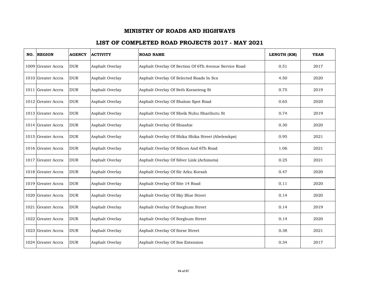| NO. | <b>REGION</b>      | <b>AGENCY</b> | <b>ACTIVITY</b> | <b>ROAD NAME</b>                                      | LENGTH (KM) | <b>YEAR</b> |
|-----|--------------------|---------------|-----------------|-------------------------------------------------------|-------------|-------------|
|     | 1009 Greater Accra | <b>DUR</b>    | Asphalt Overlay | Asphalt Overlay Of Section Of 6Th Avenue Service Road | 0.51        | 2017        |
|     | 1010 Greater Accra | <b>DUR</b>    | Asphalt Overlay | Asphalt Overlay Of Selected Roads In Scs              | 4.50        | 2020        |
|     | 1011 Greater Accra | <b>DUR</b>    | Asphalt Overlay | Asphalt Overlay Of Seth Koranteng St                  | 0.75        | 2019        |
|     | 1012 Greater Accra | <b>DUR</b>    | Asphalt Overlay | Asphalt Overlay Of Shalom Spot Road                   | 0.65        | 2020        |
|     | 1013 Greater Accra | <b>DUR</b>    | Asphalt Overlay | Asphalt Overlay Of Sheik Nuhu Shaributu St            | 0.74        | 2019        |
|     | 1014 Greater Accra | <b>DUR</b>    | Asphalt Overlay | Asphalt Overlay Of Shiashie                           | 0.30        | 2020        |
|     | 1015 Greater Accra | <b>DUR</b>    | Asphalt Overlay | Asphalt Overlay Of Shika Shika Street (Abelemkpe)     | 0.95        | 2021        |
|     | 1016 Greater Accra | <b>DUR</b>    | Asphalt Overlay | Asphalt Overlay Of Silicon And 6Th Road               | 1.06        | 2021        |
|     | 1017 Greater Accra | <b>DUR</b>    | Asphalt Overlay | Asphalt Overlay Of Silver Link (Achimota)             | 0.25        | 2021        |
|     | 1018 Greater Accra | <b>DUR</b>    | Asphalt Overlay | Asphalt Overlay Of Sir Arku Korsah                    | 0.47        | 2020        |
|     | 1019 Greater Accra | <b>DUR</b>    | Asphalt Overlay | Asphalt Overlay Of Site 14 Road                       | 0.11        | 2020        |
|     | 1020 Greater Accra | <b>DUR</b>    | Asphalt Overlay | Asphalt Overlay Of Sky Blue Street                    | 0.14        | 2020        |
|     | 1021 Greater Accra | <b>DUR</b>    | Asphalt Overlay | Asphalt Overlay Of Sorghum Street                     | 0.14        | 2019        |
|     | 1022 Greater Accra | <b>DUR</b>    | Asphalt Overlay | Asphalt Overlay Of Sorghum Street                     | 0.14        | 2020        |
|     | 1023 Greater Accra | <b>DUR</b>    | Asphalt Overlay | Asphalt Overlay Of Sorse Street                       | 0.38        | 2021        |
|     | 1024 Greater Accra | <b>DUR</b>    | Asphalt Overlay | Asphalt Overlay Of Sos Extension                      | 0.34        | 2017        |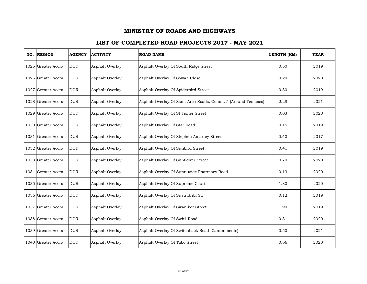| NO. REGION         | <b>AGENCY</b> | <b>ACTIVITY</b> | <b>ROAD NAME</b>                                              | LENGTH (KM) | <b>YEAR</b> |
|--------------------|---------------|-----------------|---------------------------------------------------------------|-------------|-------------|
| 1025 Greater Accra | <b>DUR</b>    | Asphalt Overlay | Asphalt Overlay Of South Ridge Street                         | 0.50        | 2019        |
| 1026 Greater Accra | <b>DUR</b>    | Asphalt Overlay | Asphalt Overlay Of Sowah Close                                | 0.20        | 2020        |
| 1027 Greater Accra | <b>DUR</b>    | Asphalt Overlay | Asphalt Overlay Of Spiderbird Street                          | 0.30        | 2019        |
| 1028 Greater Accra | <b>DUR</b>    | Asphalt Overlay | Asphalt Overlay Of Ssnit Area Roads, Comm. 5 (Around Temasco) | 2.28        | 2021        |
| 1029 Greater Accra | <b>DUR</b>    | Asphalt Overlay | Asphalt Overlay Of St Fisher Street                           | 0.03        | 2020        |
| 1030 Greater Accra | <b>DUR</b>    | Asphalt Overlay | Asphalt Overlay Of Star Road                                  | 0.15        | 2019        |
| 1031 Greater Accra | <b>DUR</b>    | Asphalt Overlay | Asphalt Overlay Of Stephen Amartey Street                     | 0.40        | 2017        |
| 1032 Greater Accra | <b>DUR</b>    | Asphalt Overlay | Asphalt Overlay Of Sunbird Street                             | 0.41        | 2019        |
| 1033 Greater Accra | <b>DUR</b>    | Asphalt Overlay | Asphalt Overlay Of Sunflower Street                           | 0.70        | 2020        |
| 1034 Greater Accra | <b>DUR</b>    | Asphalt Overlay | Asphalt Overlay Of Sunnuside Pharmacy Road                    | 0.13        | 2020        |
| 1035 Greater Accra | <b>DUR</b>    | Asphalt Overlay | Asphalt Overlay Of Supreme Court                              | 1.80        | 2020        |
| 1036 Greater Accra | <b>DUR</b>    | Asphalt Overlay | Asphalt Overlay Of Susu Bribi St.                             | 0.12        | 2019        |
| 1037 Greater Accra | <b>DUR</b>    | Asphalt Overlay | Asphalt Overlay Of Swaniker Street                            | 1.90        | 2019        |
| 1038 Greater Accra | <b>DUR</b>    | Asphalt Overlay | Asphalt Overlay Of Swb4 Road                                  | 0.31        | 2020        |
| 1039 Greater Accra | <b>DUR</b>    | Asphalt Overlay | Asphalt Overlay Of Switchback Road (Cantonments)              | 0.50        | 2021        |
| 1040 Greater Accra | <b>DUR</b>    | Asphalt Overlay | Asphalt Overlay Of Tabo Street                                | 0.66        | 2020        |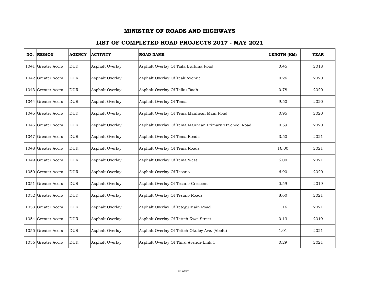| NO. REGION         | <b>AGENCY</b> | <b>ACTIVITY</b> | <b>ROAD NAME</b>                                       | LENGTH (KM) | <b>YEAR</b> |
|--------------------|---------------|-----------------|--------------------------------------------------------|-------------|-------------|
| 1041 Greater Accra | <b>DUR</b>    | Asphalt Overlay | Asphalt Overlay Of Taifa Burkina Road                  | 0.45        | 2018        |
| 1042 Greater Accra | <b>DUR</b>    | Asphalt Overlay | Asphalt Overlay Of Teak Avenue                         | 0.26        | 2020        |
| 1043 Greater Accra | <b>DUR</b>    | Asphalt Overlay | Asphalt Overlay Of Teiku Baah                          | 0.78        | 2020        |
| 1044 Greater Accra | <b>DUR</b>    | Asphalt Overlay | Asphalt Overlay Of Tema                                | 9.50        | 2020        |
| 1045 Greater Accra | <b>DUR</b>    | Asphalt Overlay | Asphalt Overlay Of Tema Manhean Main Road              | 0.95        | 2020        |
| 1046 Greater Accra | <b>DUR</b>    | Asphalt Overlay | Asphalt Overlay Of Tema Manhean Primary 'B'School Road | 0.59        | 2020        |
| 1047 Greater Accra | <b>DUR</b>    | Asphalt Overlay | Asphalt Overlay Of Tema Roads                          | 3.50        | 2021        |
| 1048 Greater Accra | <b>DUR</b>    | Asphalt Overlay | Asphalt Overlay Of Tema Roads                          | 16.00       | 2021        |
| 1049 Greater Accra | <b>DUR</b>    | Asphalt Overlay | Asphalt Overlay Of Tema West                           | 5.00        | 2021        |
| 1050 Greater Accra | <b>DUR</b>    | Asphalt Overlay | Asphalt Overlay Of Tesano                              | 6.90        | 2020        |
| 1051 Greater Accra | <b>DUR</b>    | Asphalt Overlay | Asphalt Overlay Of Tesano Crescent                     | 0.59        | 2019        |
| 1052 Greater Accra | <b>DUR</b>    | Asphalt Overlay | Asphalt Overlay Of Tesano Roads                        | 8.60        | 2021        |
| 1053 Greater Accra | <b>DUR</b>    | Asphalt Overlay | Asphalt Overlay Of Tetegu Main Road                    | 1.16        | 2021        |
| 1054 Greater Accra | <b>DUR</b>    | Asphalt Overlay | Asphalt Overlay Of Tetteh Kwei Street                  | 0.13        | 2019        |
| 1055 Greater Accra | <b>DUR</b>    | Asphalt Overlay | Asphalt Overlay Of Tetteh Okuley Ave. (Abofu)          | 1.01        | 2021        |
| 1056 Greater Accra | <b>DUR</b>    | Asphalt Overlay | Asphalt Overlay Of Third Avenue Link 1                 | 0.29        | 2021        |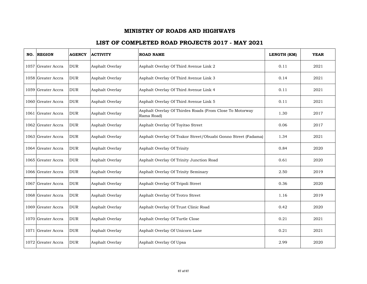| NO. REGION           | <b>AGENCY</b> | <b>ACTIVITY</b> | <b>ROAD NAME</b>                                                       | LENGTH (KM) | <b>YEAR</b> |
|----------------------|---------------|-----------------|------------------------------------------------------------------------|-------------|-------------|
| 1057 Greater Accra   | <b>DUR</b>    | Asphalt Overlay | Asphalt Overlay Of Third Avenue Link 2                                 | 0.11        | 2021        |
| 1058 Greater Accra   | <b>DUR</b>    | Asphalt Overlay | Asphalt Overlay Of Third Avenue Link 3                                 | 0.14        | 2021        |
| 1059 Greater Accra   | <b>DUR</b>    | Asphalt Overlay | Asphalt Overlay Of Third Avenue Link 4                                 | 0.11        | 2021        |
| 1060 Greater Accra   | <b>DUR</b>    | Asphalt Overlay | Asphalt Overlay Of Third Avenue Link 5                                 | 0.11        | 2021        |
| 1061 Greater Accra   | <b>DUR</b>    | Asphalt Overlay | Asphalt Overlay Of Thirdes Roads (From Close To Motorway<br>Rama Road) | 1.30        | 2017        |
| 1062 Greater Accra   | <b>DUR</b>    | Asphalt Overlay | Asphalt Overlay Of Toyitso Street                                      | 0.06        | 2017        |
| 1063   Greater Accra | <b>DUR</b>    | Asphalt Overlay | Asphalt Overlay Of Trakor Street/Obuabi Gonno Street (Fadama)          | 1.34        | 2021        |
| 1064 Greater Accra   | <b>DUR</b>    | Asphalt Overlay | Asphalt Overlay Of Trinity                                             | 0.84        | 2020        |
| 1065 Greater Accra   | <b>DUR</b>    | Asphalt Overlay | Asphalt Overlay Of Trinity Junction Road                               | 0.61        | 2020        |
| 1066 Greater Accra   | <b>DUR</b>    | Asphalt Overlay | Asphalt Overlay Of Trinity Seminary                                    | 2.50        | 2019        |
| 1067 Greater Accra   | <b>DUR</b>    | Asphalt Overlay | Asphalt Overlay Of Tripoli Street                                      | 0.36        | 2020        |
| 1068 Greater Accra   | <b>DUR</b>    | Asphalt Overlay | Asphalt Overlay Of Trotro Street                                       | 1.16        | 2019        |
| 1069 Greater Accra   | <b>DUR</b>    | Asphalt Overlay | Asphalt Overlay Of Trust Clinic Road                                   | 0.42        | 2020        |
| 1070 Greater Accra   | <b>DUR</b>    | Asphalt Overlay | Asphalt Overlay Of Turtle Close                                        | 0.21        | 2021        |
| 1071 Greater Accra   | <b>DUR</b>    | Asphalt Overlay | Asphalt Overlay Of Unicorn Lane                                        | 0.21        | 2021        |
| 1072 Greater Accra   | <b>DUR</b>    | Asphalt Overlay | Asphalt Overlay Of Upsa                                                | 2.99        | 2020        |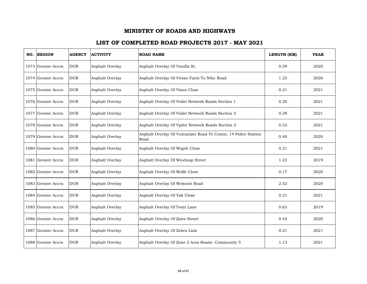| NO. REGION         | <b>AGENCY</b> | <b>ACTIVITY</b> | <b>ROAD NAME</b>                                                      | LENGTH (KM) | <b>YEAR</b> |
|--------------------|---------------|-----------------|-----------------------------------------------------------------------|-------------|-------------|
| 1073 Greater Accra | <b>DUR</b>    | Asphalt Overlay | Asphalt Overlay Of Vanilla St.                                        | 0.59        | 2020        |
| 1074 Greater Accra | <b>DUR</b>    | Asphalt Overlay | Asphalt Overlay Of Vivian Farm To Nthc Road                           | 1.23        | 2020        |
| 1075 Greater Accra | <b>DUR</b>    | Asphalt Overlay | Asphalt Overlay Of Vixen Close                                        | 0.21        | 2021        |
| 1076 Greater Accra | <b>DUR</b>    | Asphalt Overlay | Asphalt Overlay Of Voilet Network Roads Section 1                     | 0.20        | 2021        |
| 1077 Greater Accra | <b>DUR</b>    | Asphalt Overlay | Asphalt Overlay Of Voilet Network Roads Section 3                     | 0.29        | 2021        |
| 1078 Greater Accra | <b>DUR</b>    | Asphalt Overlay | Asphalt Overlay Of Vpilet Network Roads Section 2                     | 0.23        | 2021        |
| 1079 Greater Accra | <b>DUR</b>    | Asphalt Overlay | Asphalt Overlay Of Vulcanizer Road To Comm. 14 Police Station<br>Road | 0.40        | 2020        |
| 1080 Greater Accra | <b>DUR</b>    | Asphalt Overlay | Asphalt Overlay Of Wapiti Close                                       | 0.21        | 2021        |
| 1081 Greater Accra | <b>DUR</b>    | Asphalt Overlay | Asphalt Overlay Of Westloop Street                                    | 1.23        | 2019        |
| 1082 Greater Accra | <b>DUR</b>    | Asphalt Overlay | Asphalt Overlay Of Wolfe Close                                        | 0.17        | 2020        |
| 1083 Greater Accra | <b>DUR</b>    | Asphalt Overlay | Asphalt Overlay Of Wowooti Road                                       | 2.52        | 2020        |
| 1084 Greater Accra | <b>DUR</b>    | Asphalt Overlay | Asphalt Overlay Of Yak Close                                          | 0.21        | 2021        |
| 1085 Greater Accra | <b>DUR</b>    | Asphalt Overlay | Asphalt Overlay Of Yooyi Lane                                         | 0.63        | 2019        |
| 1086 Greater Accra | <b>DUR</b>    | Asphalt Overlay | Asphalt Overlay Of Zaire Street                                       | 0.42        | 2020        |
| 1087 Greater Accra | <b>DUR</b>    | Asphalt Overlay | Asphalt Overlay Of Zebra Link                                         | 0.21        | 2021        |
| 1088 Greater Accra | <b>DUR</b>    | Asphalt Overlay | Asphalt Overlay Of Zone 2 Area Roads- Community 5                     | 1.13        | 2021        |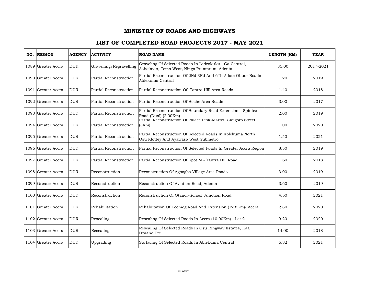| NO. | <b>REGION</b>       | <b>AGENCY</b> | <b>ACTIVITY</b>         | <b>ROAD NAME</b>                                                                                     | LENGTH (KM) | <b>YEAR</b> |
|-----|---------------------|---------------|-------------------------|------------------------------------------------------------------------------------------------------|-------------|-------------|
|     | 1089 Greater Accra  | <b>DUR</b>    | Gravelling/Regravelling | Graveling Of Selected Roads In Ledzokuku, Ga Central,<br>Ashaiman, Tema West, Ningo Prampram, Adenta | 85.00       | 2017-2021   |
|     | 1090  Greater Accra | <b>DUR</b>    | Partial Reconstruction  | Partial Reconstruciton Of 2Nd 3Rd And 6Th Adote Obuor Roads -<br>Ablekuma Central                    | 1.20        | 2019        |
|     | 1091 Greater Accra  | <b>DUR</b>    | Partial Reconstruction  | Partial Reconstruction Of Tantra Hill Area Roads                                                     | 1.40        | 2018        |
|     | 1092 Greater Accra  | <b>DUR</b>    | Partial Reconstruction  | Partial Reconstruction Of Boshe Area Roads                                                           | 3.00        | 2017        |
|     | 1093 Greater Accra  | <b>DUR</b>    | Partial Reconstruction  | Partial Reconstruction Of Boundary Road Extension - Spintex<br>Road (Dual) (2.00Km)                  | 2.00        | 2019        |
|     | 1094 Greater Accra  | <b>DUR</b>    | Partial Reconstruction  | Partial Reconstruction Of Palace Link-Martei Gidigoro Street<br>(3Km)                                | 1.00        | 2020        |
|     | 1095 Greater Accra  | <b>DUR</b>    | Partial Reconstruction  | Partial Reconstruction Of Selected Roads In Ablekuma North,<br>Osu Klottey And Ayawaso West Submetro | 1.50        | 2021        |
|     | 1096 Greater Accra  | <b>DUR</b>    | Partial Reconstruction  | Partial Reconstruction Of Selected Roads In Greater Accra Region                                     | 8.50        | 2019        |
|     | 1097 Greater Accra  | <b>DUR</b>    | Partial Reconstruction  | Partial Reconstruction Of Spot M - Tantra Hill Road                                                  | 1.60        | 2018        |
|     | 1098 Greater Accra  | <b>DUR</b>    | Reconstruction          | Reconstruction Of Agbogba Village Area Roads                                                         | 3.00        | 2019        |
|     | 1099 Greater Accra  | <b>DUR</b>    | Reconstruction          | Reconstruction Of Aviation Road, Adenta                                                              | 3.60        | 2019        |
|     | 1100 Greater Accra  | <b>DUR</b>    | Reconstruction          | Reconstruction Of Otanor-School Junction Road                                                        | 4.50        | 2021        |
|     | 1101 Greater Accra  | <b>DUR</b>    | Rehabilitation          | Rehablitation Of Ecomog Road And Extension (12.8Km)- Accra                                           | 2.80        | 2020        |
|     | 1102 Greater Accra  | <b>DUR</b>    | Resealing               | Resealing Of Selected Roads In Accra (10.00Km) - Lot 2                                               | 9.20        | 2020        |
|     | 1103 Greater Accra  | <b>DUR</b>    | Resealing               | Resealing Of Selected Roads In Osu Ringway Estates, Kaa<br>Dzaano Etc                                | 14.00       | 2018        |
|     | 1104 Greater Accra  | <b>DUR</b>    | Upgrading               | Surfacing Of Selected Roads In Ablekuma Central                                                      | 5.82        | 2021        |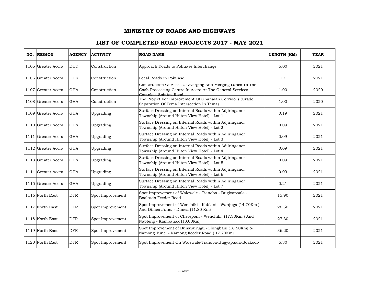| NO. REGION         | <b>AGENCY</b> | <b>ACTIVITY</b>  | <b>ROAD NAME</b>                                                                                                                               | LENGTH (KM) | <b>YEAR</b> |
|--------------------|---------------|------------------|------------------------------------------------------------------------------------------------------------------------------------------------|-------------|-------------|
| 1105 Greater Accra | <b>DUR</b>    | Construction     | Approach Roads to Pokuase Interchange                                                                                                          | 5.00        | 2021        |
| 1106 Greater Accra | <b>DUR</b>    | Construction     | Local Roads in Pokuase                                                                                                                         | 12          | 2021        |
| 1107 Greater Accra | <b>GHA</b>    | Construction     | Construction Of Access, Diverging And Merging Lanes To The<br>Cash Processing Centre In Accra At The General Services<br>Complex, Spintex Road | 1.00        | 2020        |
| 1108 Greater Accra | <b>GHA</b>    | Construction     | The Project For Improvement Of Ghanaian Corridors (Grade<br>Separation Of Tema Intersection In Tema)                                           | 1.00        | 2020        |
| 1109 Greater Accra | <b>GHA</b>    | Upgrading        | Surface Dressing on Internal Roads within Adjiringanor<br>Township (Around Hilton View Hotel) - Lot 1                                          | 0.19        | 2021        |
| 1110 Greater Accra | <b>GHA</b>    | Upgrading        | Surface Dressing on Internal Roads within Adjiringanor<br>Township (Around Hilton View Hotel) - Lot 2                                          | 0.09        | 2021        |
| 1111 Greater Accra | <b>GHA</b>    | Upgrading        | Surface Dressing on Internal Roads within Adjiringanor<br>Township (Around Hilton View Hotel) - Lot 3                                          | 0.09        | 2021        |
| 1112 Greater Accra | <b>GHA</b>    | Upgrading        | Surface Dressing on Internal Roads within Adjiringanor<br>Township (Around Hilton View Hotel) - Lot 4                                          | 0.09        | 2021        |
| 1113 Greater Accra | <b>GHA</b>    | Upgrading        | Surface Dressing on Internal Roads within Adjiringanor<br>Township (Around Hilton View Hotel) - Lot 5                                          | 0.09        | 2021        |
| 1114 Greater Accra | <b>GHA</b>    | Upgrading        | Surface Dressing on Internal Roads within Adjiringanor<br>Township (Around Hilton View Hotel) - Lot 6                                          | 0.09        | 2021        |
| 1115 Greater Accra | <b>GHA</b>    | Upgrading        | Surface Dressing on Internal Roads within Adjiringanor<br>Township (Around Hilton View Hotel) - Lot 7                                          | 0.21        | 2021        |
| 1116 North East    | <b>DFR</b>    | Spot Improvement | Spot Improvement of Walewale - Tianoba - Bugiyapaala -<br>Boakudo Feeder Road                                                                  | 15.90       | 2021        |
| 1117 North East    | <b>DFR</b>    | Spot Improvement | Spot Improvement of Wenchiki - Kablani - Wanjuga (14.70Km)<br>And Dimea Junc. - Dimea (11.80 Km)                                               | 26.50       | 2021        |
| 1118 North East    | <b>DFR</b>    | Spot Improvement | Spot Improvement of Chereponi - Wenchiki (17.30Km) And<br>Nabteng - Kambatiak (10.00Km)                                                        | 27.30       | 2021        |
| 1119 North East    | <b>DFR</b>    | Spot Improvement | Spot Improvement of Bunkpurugu -Gbingbani (18.50Km) &<br>Namong Junc. - Namong Feeder Road (17.70Km)                                           | 36.20       | 2021        |
| 1120 North East    | <b>DFR</b>    | Spot Improvement | Spot Improvement On Walewale-Tianoba-Bugyapaala-Boakodo                                                                                        | 5.30        | 2021        |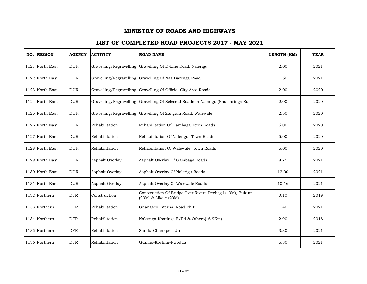| NO. REGION      | <b>AGENCY</b> | <b>ACTIVITY</b>         | <b>ROAD NAME</b>                                                                  | LENGTH (KM) | <b>YEAR</b> |
|-----------------|---------------|-------------------------|-----------------------------------------------------------------------------------|-------------|-------------|
| 1121 North East | <b>DUR</b>    |                         | Gravelling/Regravelling Gravelling Of D-Line Road, Nalerigu                       | 2.00        | 2021        |
| 1122 North East | <b>DUR</b>    |                         | Gravelling/Regravelling Gravelling Of Naa Barenga Road                            | 1.50        | 2021        |
| 1123 North East | <b>DUR</b>    |                         | Gravelling/Regravelling Gravelling Of Official City Area Roads                    | 2.00        | 2020        |
| 1124 North East | <b>DUR</b>    |                         | Gravelling/Regravelling Gravelling Of Selecetd Roads In Nalerigu (Naa Jaringa Rd) | 2.00        | 2020        |
| 1125 North East | <b>DUR</b>    | Gravelling/Regravelling | Gravelling Of Zangum Road, Walewale                                               | 2.50        | 2020        |
| 1126 North East | <b>DUR</b>    | Rehabilitation          | Rehabilitation Of Gambaga Town Roads                                              | 5.00        | 2020        |
| 1127 North East | <b>DUR</b>    | Rehabilitation          | Rehabilitation Of Nalerigu Town Roads                                             | 5.00        | 2020        |
| 1128 North East | <b>DUR</b>    | Rehabilitation          | Rehabilitation Of Walewale Town Roads                                             | 5.00        | 2020        |
| 1129 North East | <b>DUR</b>    | Asphalt Overlay         | Asphalt Overlay Of Gambaga Roads                                                  | 9.75        | 2021        |
| 1130 North East | <b>DUR</b>    | Asphalt Overlay         | Asphalt Overlay Of Nalerigu Roads                                                 | 12.00       | 2021        |
| 1131 North East | <b>DUR</b>    | Asphalt Overlay         | Asphalt Overlay Of Walewale Roads                                                 | 10.16       | 2021        |
| 1132 Northern   | <b>DFR</b>    | Construction            | Construction Of Bridge Over Rivers Degbegli (40M), Bukum<br>(20M) & Likale (20M)  | 0.10        | 2019        |
| 1133 Northern   | <b>DFR</b>    | Rehabilitation          | Ghanasco Internal Road Ph.Ii                                                      | 1.40        | 2021        |
| 1134 Northern   | <b>DFR</b>    | Rehabilitation          | Nakunga-Kpatinga F/Rd & Others(16.9Km)                                            | 2.90        | 2018        |
| 1135 Northern   | <b>DFR</b>    | Rehabilitation          | Sandu-Chankpem Jn                                                                 | 3.30        | 2021        |
| 1136 Northern   | <b>DFR</b>    | Rehabilitation          | Gunmo-Kochim-Nwodua                                                               | 5.80        | 2021        |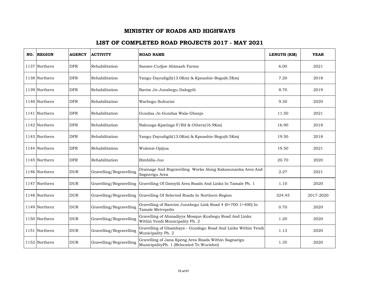| NO. REGION    | <b>AGENCY</b> | <b>ACTIVITY</b>         | <b>ROAD NAME</b>                                                                                  | LENGTH (KM) | <b>YEAR</b> |
|---------------|---------------|-------------------------|---------------------------------------------------------------------------------------------------|-------------|-------------|
| 1137 Northern | <b>DFR</b>    | Rehabilitation          | Sanzee-Cudjoe Abimash Farms                                                                       | 6.00        | 2021        |
| 1138 Northern | <b>DFR</b>    | Rehabilitation          | Yangu-Dayudigili(13.0Km) & Kpnashie-Bogu(6.5Km)                                                   | 7.20        | 2018        |
| 1139 Northern | <b>DFR</b>    | Rehabilitation          | Bavim Jn-Junshegu-Dalogyili                                                                       | 8.70        | 2019        |
| 1140 Northern | <b>DFR</b>    | Rehabilitation          | Warbogu-Suburini                                                                                  | 9.30        | 2020        |
| 1141 Northern | <b>DFR</b>    | Rehabilitation          | Gundaa Jn-Gundaa Wala-Gbanjo                                                                      | 11.50       | 2021        |
| 1142 Northern | <b>DFR</b>    | Rehabilitation          | Nakunga-Kpatinga F/Rd & Others(16.9Km)                                                            | 16.90       | 2018        |
| 1143 Northern | <b>DFR</b>    | Rehabilitation          | Yangu-Dayudigili(13.0Km) & Kpnashie-Bogu(6.5Km)                                                   | 19.50       | 2018        |
| 1144 Northern | <b>DFR</b>    | Rehabilitation          | Wulensi-Opijua                                                                                    | 19.50       | 2021        |
| 1145 Northern | <b>DFR</b>    | Rehabilitation          | Bimbilla-Juo                                                                                      | 20.70       | 2020        |
| 1146 Northern | <b>DUR</b>    | Gravelling/Regravelling | Drainage And Regravelling Works Along Kakasunanka Area And<br>Sagnerigu Area                      | 2.27        | 2021        |
| 1147 Northern | <b>DUR</b>    | Gravelling/Regravelling | Gravelling Of Datoyili Area Roads And Links In Tamale Ph. 1                                       | 1.10        | 2020        |
| 1148 Northern | <b>DUR</b>    | Gravelling/Regravelling | Gravelling Of Selected Roads In Northern Region                                                   | 324.45      | 2017-2020   |
| 1149 Northern | <b>DUR</b>    | Gravelling/Regravelling | Gravelling of Banvim Junshegu Link Road 4 (0+700-1+400) In<br>Tamale Metropolis                   | 0.70        | 2020        |
| 1150 Northern | <b>DUR</b>    | Gravelling/Regravelling | Gravelling of Ahmadiyya Mosque-Kushegu Road And Links<br>Within Yendi Municipality Ph. 2          | 1.20        | 2020        |
| 1151 Northern | <b>DUR</b>    | Gravelling/Regravelling | Gravelling of Gbambaya - Gundogu Road And Links Within Yendi<br>Municipality Ph. 2                | 1.13        | 2020        |
| 1152 Northern | <b>DUR</b>    | Gravelling/Regravelling | Gravelling of Jana Kpeng Area Roads Within Sagnarigu<br>MunicipalityPh. 1 (Relocated To Wurishei) | 1.35        | 2020        |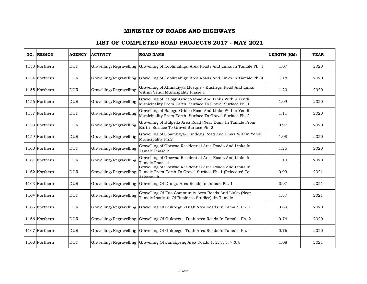| NO. REGION    | <b>AGENCY</b> | <b>ACTIVITY</b>         | <b>ROAD NAME</b>                                                                                                                           | LENGTH (KM) | <b>YEAR</b> |
|---------------|---------------|-------------------------|--------------------------------------------------------------------------------------------------------------------------------------------|-------------|-------------|
| 1153 Northern | <b>DUR</b>    | Gravelling/Regravelling | Gravelling of Koblimahigu Area Roads And Links In Tamale Ph. 1                                                                             | 1.07        | 2020        |
| 1154 Northern | <b>DUR</b>    | Gravelling/Regravelling | Gravelling of Koblimahigu Area Roads And Links In Tamale Ph. 4                                                                             | 1.18        | 2020        |
| 1155 Northern | <b>DUR</b>    | Gravelling/Regravelling | Gravelling of Ahmadiyya Mosque - Kushegu Road And Links<br>Within Yendi Municipality Phase 1                                               | 1.20        | 2020        |
| 1156 Northern | <b>DUR</b>    | Gravelling/Regravelling | Gravelling of Balogu-Gridco Road And Links Within Yendi<br>Municipality From Earth Surface To Gravel Surface Ph. 1                         | 1.09        | 2020        |
| 1157 Northern | <b>DUR</b>    | Gravelling/Regravelling | Gravelling of Balogu-Gridco Road And Links Within Yendi<br>Municipality From Earth Surface To Gravel Surface Ph. 2                         | 1.11        | 2020        |
| 1158 Northern | <b>DUR</b>    | Gravelling/Regravelling | Gravelling of Bulpeila Area Road (Near Dam) In Tamale From<br>Earth Surface To Gravel Surface Ph. 2                                        | 0.97        | 2020        |
| 1159 Northern | <b>DUR</b>    | Gravelling/Regravelling | Gravelling of Gbambaya-Gundogu Road And Links Within Yendi<br>Municipality Ph.2                                                            | 1.08        | 2020        |
| 1160 Northern | <b>DUR</b>    | Gravelling/Regravelling | Gravelling of Gbewaa Residential Area Roads And Links In<br>Tamale Phase 2                                                                 | 1.25        | 2020        |
| 1161 Northern | <b>DUR</b>    | Gravelling/Regravelling | Gravelling of Gbewaa Residential Area Roads And Links In<br>Tamale Phase 4                                                                 | 1.10        | 2020        |
| 1162 Northern | <b>DUR</b>    | Gravelling/Regravelling | Gravelling of Gbewaa Residential Area Roads And Links In<br>Tamale From Earth To Gravel Surface Ph. 1 (Relocated To<br><b>Iakaravili</b> ) | 0.99        | 2021        |
| 1163 Northern | <b>DUR</b>    |                         | Gravelling/Regravelling Gravelling Of Dungu Area Roads In Tamale Ph. 1                                                                     | 0.97        | 2021        |
| 1164 Northern | <b>DUR</b>    | Gravelling/Regravelling | Gravelling Of Fuo Community Area Roads And Links (Near<br>Tamale Institute Of Business Studies), In Tamale                                 | 1.37        | 2021        |
| 1165 Northern | <b>DUR</b>    | Gravelling/Regravelling | Gravelling Of Gukpegu -Tuah Area Roads In Tamale, Ph. 1                                                                                    | 0.89        | 2020        |
| 1166 Northern | <b>DUR</b>    | Gravelling/Regravelling | Gravelling Of Gukpegu -Tuah Area Roads In Tamale, Ph. 2                                                                                    | 0.74        | 2020        |
| 1167 Northern | <b>DUR</b>    | Gravelling/Regravelling | Gravelling Of Gukpegu - Tuah Area Roads In Tamale, Ph. 4                                                                                   | 0.76        | 2020        |
| 1168 Northern | <b>DUR</b>    |                         | Gravelling/Regravelling Gravelling Of Janakpeng Area Roads 1, 2, 3, 5, 7 & 8                                                               | 1.08        | 2021        |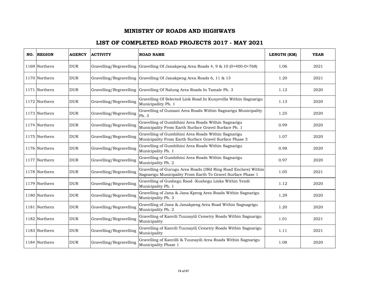| NO. | <b>REGION</b> | <b>AGENCY</b> | <b>ACTIVITY</b>         | <b>ROAD NAME</b>                                                                                                              | LENGTH (KM) | <b>YEAR</b> |
|-----|---------------|---------------|-------------------------|-------------------------------------------------------------------------------------------------------------------------------|-------------|-------------|
|     | 1169 Northern | <b>DUR</b>    |                         | Gravelling/Regravelling Gravelling Of Janakpeng Area Roads $4, 9 \& 10 (0+400-0+768)$                                         | 1.06        | 2021        |
|     | 1170 Northern | <b>DUR</b>    | Gravelling/Regravelling | Gravelling Of Janakpeng Area Roads 6, 11 & 13                                                                                 | 1.20        | 2021        |
|     | 1171 Northern | <b>DUR</b>    |                         | Gravelling/Regravelling Gravelling Of Nalung Area Roads In Tamale Ph. 3                                                       | 1.12        | 2020        |
|     | 1172 Northern | <b>DUR</b>    | Gravelling/Regravelling | Gravelling Of Selected Link Road In Kunyevilla Within Sagnarigu<br>Municipallity Ph. 1                                        | 1.13        | 2020        |
|     | 1173 Northern | <b>DUR</b>    | Gravelling/Regravelling | Gravelling of Gumani Area Roads Within Sagnarigu Municipality<br>Ph. 3                                                        | 1.25        | 2020        |
|     | 1174 Northern | <b>DUR</b>    | Gravelling/Regravelling | Gravelling of Gumbihini Area Roads Within Sagnarigu<br>Municipality From Earth Surface Gravel Surface Ph. 1                   | 0.99        | 2020        |
|     | 1175 Northern | <b>DUR</b>    | Gravelling/Regravelling | Gravelling of Gumbihini Area Roads Within Sagnarigu<br>Municipality From Earth Surface Gravel Surface Phase 3                 | 1.07        | 2020        |
|     | 1176 Northern | <b>DUR</b>    | Gravelling/Regravelling | Gravelling of Gumbihini Area Roads Within Sagnarigu<br>Municipality Ph. 1                                                     | 0.98        | 2020        |
|     | 1177 Northern | <b>DUR</b>    | Gravelling/Regravelling | Gravelling of Gumbihini Area Roads Within Sagnarigu<br>Municipality Ph. 2                                                     | 0.97        | 2020        |
|     | 1178 Northern | <b>DUR</b>    | Gravelling/Regravelling | Gravelling of Gurugu Area Roads (3Rd Ring Road Enclave) Within<br>Sagnarigu Municipality From Earth To Gravel Surface Phase 1 | 1.05        | 2021        |
|     | 1179 Northern | <b>DUR</b>    | Gravelling/Regravelling | Gravelling of Gushegu Raod -Kushegu Links Within Yendi<br>Municipality Ph. 1                                                  | 1.12        | 2020        |
|     | 1180 Northern | <b>DUR</b>    | Gravelling/Regravelling | Gravelling of Jana & Jana Kpeng Area Roads Within Sagnarigu<br>Municipality Ph. 3                                             | 1.29        | 2020        |
|     | 1181 Northern | <b>DUR</b>    | Gravelling/Regravelling | Gravelling of Jana & Janakpeng Area Road Within Sagnagrigu<br>Municipality Ph. 2                                              | 1.20        | 2020        |
|     | 1182 Northern | <b>DUR</b>    | Gravelling/Regravelling | Gravelling of Kanvili Tuunayili Cemetry Roads Within Sagnarigu<br>Municipality                                                | 1.01        | 2021        |
|     | 1183 Northern | <b>DUR</b>    | Gravelling/Regravelling | Gravelling of Kanvili Tuunayili Cemetry Roads Within Sagnarigu<br>Municipality                                                | 1.11        | 2021        |
|     | 1184 Northern | <b>DUR</b>    | Gravelling/Regravelling | Gravelling of Kanvilli & Tuunayili Area Roads Within Sagnarigu<br>Municipality Phase 1                                        | 1.08        | 2020        |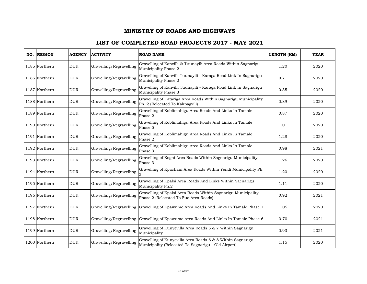| NO. REGION    | <b>AGENCY</b> | <b>ACTIVITY</b>         | <b>ROAD NAME</b>                                                                                                  | LENGTH (KM) | <b>YEAR</b> |
|---------------|---------------|-------------------------|-------------------------------------------------------------------------------------------------------------------|-------------|-------------|
| 1185 Northern | <b>DUR</b>    | Gravelling/Regravelling | Gravelling of Kanvilli & Tuunayili Area Roads Within Sagnarigu<br>Municipality Phase 2                            | 1.20        | 2020        |
| 1186 Northern | <b>DUR</b>    | Gravelling/Regravelling | Gravelling of Kanvilli Tuunayili - Karaga Road Link In Sagnarigu<br>Municipality Phase 2                          | 0.71        | 2020        |
| 1187 Northern | <b>DUR</b>    | Gravelling/Regravelling | Gravelling of Kanvilli Tuunayili - Karaga Road Link In Sagnarigu<br>Municipality Phase 3                          | 0.35        | 2020        |
| 1188 Northern | <b>DUR</b>    | Gravelling/Regravelling | Gravelling of Katariga Area Roads Within Sagnarigu Municipality<br>Ph. 2 (Relocated To Kakpagyili)                | 0.89        | 2020        |
| 1189 Northern | DUR           | Gravelling/Regravelling | Gravelling of Koblimahigu Area Roads And Links In Tamale<br>Phase 2                                               | 0.87        | 2020        |
| 1190 Northern | <b>DUR</b>    | Gravelling/Regravelling | Gravelling of Koblimahigu Area Roads And Links In Tamale<br>Phase 5                                               | 1.01        | 2020        |
| 1191 Northern | <b>DUR</b>    | Gravelling/Regravelling | Gravelling of Koblimahigu Area Roads And Links In Tamale<br>Phase $\sqrt{2}$                                      | 1.28        | 2020        |
| 1192 Northern | <b>DUR</b>    | Gravelling/Regravelling | Gravelling of Koblimahigu Area Roads And Links In Tamale<br>Phase 3                                               | 0.98        | 2021        |
| 1193 Northern | <b>DUR</b>    | Gravelling/Regravelling | Gravelling of Kogni Area Roads Within Sagnarigu Municipality<br>Phase 3                                           | 1.26        | 2020        |
| 1194 Northern | <b>DUR</b>    | Gravelling/Regravelling | Gravelling of Kpachani Area Roads Within Yendi Municipality Ph.                                                   | 1.20        | 2020        |
| 1195 Northern | <b>DUR</b>    | Gravelling/Regravelling | Gravelling of Kpalsi Area Roads And Links Within Sacnarigu<br>Municipality Ph.2                                   | 1.11        | 2020        |
| 1196 Northern | <b>DUR</b>    | Gravelling/Regravelling | Gravelling of Kpalsi Area Roads Within Sagnarigu Municipality<br>Phase 2 (Relocated To Fuo Area Roads)            | 0.92        | 2021        |
| 1197 Northern | <b>DUR</b>    | Gravelling/Regravelling | Gravelling of Kpawumo Area Roads And Links In Tamale Phase 1                                                      | 1.05        | 2020        |
| 1198 Northern | <b>DUR</b>    | Gravelling/Regravelling | Gravelling of Kpawumo Area Roads And Links In Tamale Phase 6                                                      | 0.70        | 2021        |
| 1199 Northern | <b>DUR</b>    | Gravelling/Regravelling | Gravelling of Kunyevilla Area Roads 5 & 7 Within Sagnarigu<br>Municipality                                        | 0.93        | 2021        |
| 1200 Northern | <b>DUR</b>    | Gravelling/Regravelling | Gravelling of Kunyevilla Area Roads 6 & 8 Within Sagnarigu<br>Municipality (Relocated To Sagnarigu - Old Airport) | 1.15        | 2020        |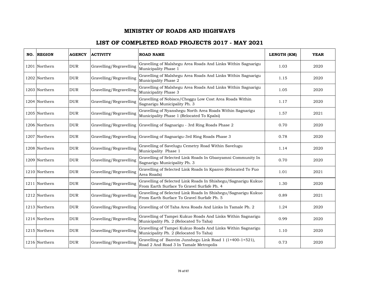| NO. REGION    | <b>AGENCY</b> | <b>ACTIVITY</b>         | <b>ROAD NAME</b>                                                                                            | LENGTH (KM) | <b>YEAR</b> |
|---------------|---------------|-------------------------|-------------------------------------------------------------------------------------------------------------|-------------|-------------|
| 1201 Northern | <b>DUR</b>    | Gravelling/Regravelling | Gravelling of Malshegu Area Roads And Links Within Sagnarigu<br>Municipality Phase 1                        | 1.03        | 2020        |
| 1202 Northern | <b>DUR</b>    | Gravelling/Regravelling | Gravelling of Malshegu Area Roads And Links Within Sagnarigu<br>Municipality Phase 2                        | 1.15        | 2020        |
| 1203 Northern | <b>DUR</b>    | Gravelling/Regravelling | Gravelling of Malshegu Area Roads And Links Within Sagnarigu<br>Municipality Phase 3                        | 1.05        | 2020        |
| 1204 Northern | <b>DUR</b>    | Gravelling/Regravelling | Gravelling of Nobisco/Choggu Low Cost Area Roads Within<br>Sagnarigu Municipality Ph. 3                     | 1.17        | 2020        |
| 1205 Northern | <b>DUR</b>    | Gravelling/Regravelling | Gravelling of Nyanshegu North Area Roads Within Sagnarigu<br>Municipality Phase 1 (Relocated To Kpalsi)     | 1.57        | 2021        |
| 1206 Northern | <b>DUR</b>    | Gravelling/Regravelling | Gravelling of Sagnarigu - 3rd Ring Roads Phase 2                                                            | 0.70        | 2020        |
| 1207 Northern | <b>DUR</b>    | Gravelling/Regravelling | Gravelling of Sagnarigu-3rd Ring Roads Phase 3                                                              | 0.78        | 2020        |
| 1208 Northern | <b>DUR</b>    | Gravelling/Regravelling | Gravelling of Savelugu Cemetry Road Within Savelugu<br>Municipality Phase 1                                 | 1.14        | 2020        |
| 1209 Northern | <b>DUR</b>    | Gravelling/Regravelling | Gravelling of Selected Link Roads In Gbanyamni Community In<br>Sagnarigu Municipality Ph. 3                 | 0.70        | 2020        |
| 1210 Northern | <b>DUR</b>    | Gravelling/Regravelling | Gravelling of Selected Link Roads In Kpanvo (Relocated To Fuo<br>Area Roads)                                | 1.01        | 2021        |
| 1211 Northern | <b>DUR</b>    | Gravelling/Regravelling | Gravelling of Selected Link Roads In Shishegu/Sagnarigu Kukuo<br>From Earth Surface To Gravel Surfafe Ph. 4 | 1.30        | 2020        |
| 1212 Northern | <b>DUR</b>    | Gravelling/Regravelling | Gravelling of Selected Link Roads In Shishegu/Sagnarigu Kukuo<br>From Earth Surface To Gravel Surfafe Ph. 5 | 0.89        | 2021        |
| 1213 Northern | <b>DUR</b>    | Gravelling/Regravelling | Gravelling of Of Taha Area Roads And Links In Tamale Ph. 2                                                  | 1.24        | 2020        |
| 1214 Northern | <b>DUR</b>    | Gravelling/Regravelling | Gravelling of Tampei Kukuo Roads And Links Within Sagnarigu<br>Municipality Ph. 2 (Relocated To Taha)       | 0.99        | 2020        |
| 1215 Northern | <b>DUR</b>    | Gravelling/Regravelling | Gravelling of Tampei Kukuo Roads And Links Within Sagnarigu<br>Municipality Ph. 2 (Relocated To Taha)       | 1.10        | 2020        |
| 1216 Northern | <b>DUR</b>    | Gravelling/Regravelling | Gravelling of Banvim Junshegu Link Road 1 (1+400-1+521),<br>Road 2 And Road 3 In Tamale Metropolis          | 0.73        | 2020        |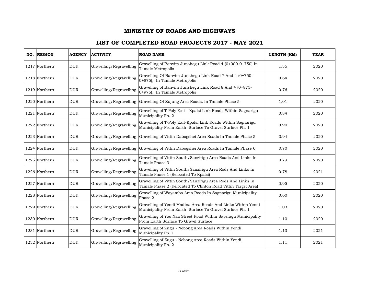| NO. REGION    | <b>AGENCY</b> | <b>ACTIVITY</b>         | <b>ROAD NAME</b>                                                                                                             | LENGTH (KM) | <b>YEAR</b> |
|---------------|---------------|-------------------------|------------------------------------------------------------------------------------------------------------------------------|-------------|-------------|
| 1217 Northern | <b>DUR</b>    | Gravelling/Regravelling | Gravelling of Banvim Junshegu Link Road 4 (0+000-0+750) In<br>Tamale Metropolis                                              | 1.35        | 2020        |
| 1218 Northern | <b>DUR</b>    | Gravelling/Regravelling | Gravelling Of Banvim Junshegu Link Road 7 And 4 (0+750-<br>0+875), In Tamale Metropolis                                      | 0.64        | 2020        |
| 1219 Northern | <b>DUR</b>    | Gravelling/Regravelling | Gravelling of Banvim Junshegu Link Road 8 And 4 (0+875-<br>0+975), In Tamale Metropolis                                      | 0.76        | 2020        |
| 1220 Northern | <b>DUR</b>    | Gravelling/Regravelling | Gravelling Of Zujung Area Roads, In Tamale Phase 5                                                                           | 1.01        | 2020        |
| 1221 Northern | <b>DUR</b>    | Gravelling/Regravelling | Gravelling of T-Poly Exit - Kpalsi Link Roads Within Sagnarigu<br>Municipality Ph. 2                                         | 0.84        | 2020        |
| 1222 Northern | <b>DUR</b>    | Gravelling/Regravelling | Gravelling of T-Poly Exit-Kpalsi Link Roads Within Sagnarigu<br>Municipality From Earth Surface To Gravel Surface Ph. 1      | 0.90        | 2020        |
| 1223 Northern | <b>DUR</b>    | Gravelling/Regravelling | Gravelling of Vittin Dabogshei Area Roads In Tamale Phase 5                                                                  | 0.94        | 2020        |
| 1224 Northern | <b>DUR</b>    |                         | Gravelling/Regravelling Gravelling of Vittin Dabogshei Area Roads In Tamale Phase 6                                          | 0.70        | 2020        |
| 1225 Northern | <b>DUR</b>    | Gravelling/Regravelling | Gravelling of Vittin South/Sanzirigu Area Roads And Links In<br>Tamale Phase 3                                               | 0.79        | 2020        |
| 1226 Northern | <b>DUR</b>    | Gravelling/Regravelling | Gravelling of Vittin South/Sanzirigu Area Rods And Links In<br>Tamale Phase 1 (Relocated To Kpalsi)                          | 0.78        | 2021        |
| 1227 Northern | <b>DUR</b>    | Gravelling/Regravelling | Gravelling of Vittin South/Sanzirigu Area Rods And Links In<br>Tamale Phase 2 (Relocated To Clinton Road Vittin Target Area) | 0.95        | 2020        |
| 1228 Northern | <b>DUR</b>    | Gravelling/Regravelling | Gravelling of Wayamba Area Roads In Sagnarigu Municipality<br>Phase 2                                                        | 0.60        | 2020        |
| 1229 Northern | <b>DUR</b>    | Gravelling/Regravelling | Gravelling of Yendi Madina Area Roads And Links Within Yendi<br>Municipality From Earth Surface To Gravel Surface Ph. 1      | 1.03        | 2020        |
| 1230 Northern | <b>DUR</b>    | Gravelling/Regravelling | Gravelling of Yoo Naa Street Road Within Savelugu Municipality<br>From Earth Surface To Gravel Surface                       | 1.10        | 2020        |
| 1231 Northern | <b>DUR</b>    | Gravelling/Regravelling | Gravelling of Zugu - Nebong Area Roads Within Yendi<br>Municipality Ph. 1                                                    | 1.13        | 2021        |
| 1232 Northern | <b>DUR</b>    | Gravelling/Regravelling | Gravelling of Zugu - Nebong Area Roads Within Yendi<br>Municipality Ph. 2                                                    | 1.11        | 2021        |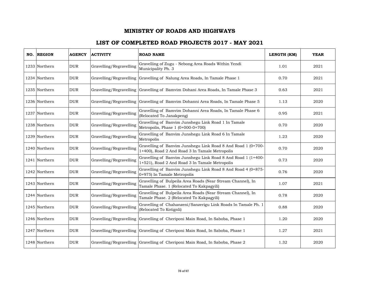| NO. REGION    | <b>AGENCY</b> | <b>ACTIVITY</b>         | <b>ROAD NAME</b>                                                                                               | LENGTH (KM) | <b>YEAR</b> |
|---------------|---------------|-------------------------|----------------------------------------------------------------------------------------------------------------|-------------|-------------|
| 1233 Northern | <b>DUR</b>    | Gravelling/Regravelling | Gravelling of Zugu - Nebong Area Roads Within Yendi<br>Municipality Ph. 3                                      | 1.01        | 2021        |
| 1234 Northern | DUR           | Gravelling/Regravelling | Gravelling of Nalung Area Roads, In Tamale Phase 1                                                             | 0.70        | 2021        |
| 1235 Northern | <b>DUR</b>    |                         | Gravelling/Regravelling Gravelling of Bamvim Dohani Area Roads, In Tamale Phase 3                              | 0.63        | 2021        |
| 1236 Northern | <b>DUR</b>    |                         | Gravelling/Regravelling Gravelling of Bamvim Dohanni Area Roads, In Tamale Phase 5                             | 1.13        | 2020        |
| 1237 Northern | <b>DUR</b>    | Gravelling/Regravelling | Gravelling of Bamvim Dohanni Area Roads, In Tamale Phase 6<br>(Relocated To Janakpeng)                         | 0.95        | 2021        |
| 1238 Northern | <b>DUR</b>    | Gravelling/Regravelling | Gravelling of Banvim Junshegu Link Road 1 In Tamale<br>Metropolis, Phase $1(0+000-0+700)$                      | 0.70        | 2020        |
| 1239 Northern | <b>DUR</b>    | Gravelling/Regravelling | Gravelling of Banvim Junshegu Link Road 6 In Tamale<br>Metropolis                                              | 1.23        | 2020        |
| 1240 Northern | <b>DUR</b>    | Gravelling/Regravelling | Gravelling of Banvim Junshegu Link Road 8 And Road 1 (0+700-<br>1+400), Road 2 And Road 3 In Tamale Metropolis | 0.70        | 2020        |
| 1241 Northern | <b>DUR</b>    | Gravelling/Regravelling | Gravelling of Banvim Junshegu Link Road 8 And Road 1 (1+400-<br>1+521), Road 2 And Road 3 In Tamale Metropolis | 0.73        | 2020        |
| 1242 Northern | <b>DUR</b>    | Gravelling/Regravelling | Gravelling of Banvim Junshegu Link Road 8 And Road 4 (0+875-<br>0+975) In Tamale Metropolis                    | 0.76        | 2020        |
| 1243 Northern | <b>DUR</b>    | Gravelling/Regravelling | Gravelling of Bulpeila Area Roads (Near Stream Channel), In<br>Tamale Phase. 1 (Relocated To Kakpagyili)       | 1.07        | 2021        |
| 1244 Northern | <b>DUR</b>    | Gravelling/Regravelling | Gravelling of Bulpeila Area Roads (Near Stream Channel), In<br>Tamale Phase. 2 (Relocated To Kakpagyili)       | 0.78        | 2020        |
| 1245 Northern | <b>DUR</b>    | Gravelling/Regravelling | Gravelling of Chahanzeni/Sanzerigu Link Roads In Tamale Ph. 1<br>(Relocated To Kotignli)                       | 0.88        | 2020        |
| 1246 Northern | <b>DUR</b>    | Gravelling/Regravelling | Gravelling of Cheriponi Main Road, In Saboba, Phase 1                                                          | 1.20        | 2020        |
| 1247 Northern | <b>DUR</b>    |                         | Gravelling/Regravelling Gravelling of Cheriponi Main Road, In Saboba, Phase 1                                  | 1.27        | 2021        |
| 1248 Northern | <b>DUR</b>    |                         | Gravelling/Regravelling Gravelling of Cheriponi Main Road, In Saboba, Phase 2                                  | 1.32        | 2020        |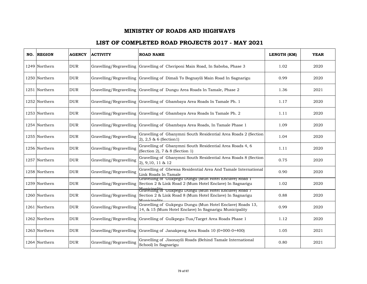| NO. REGION    | <b>AGENCY</b> | <b>ACTIVITY</b>         | <b>ROAD NAME</b>                                                                                                                                    | LENGTH (KM) | <b>YEAR</b> |
|---------------|---------------|-------------------------|-----------------------------------------------------------------------------------------------------------------------------------------------------|-------------|-------------|
| 1249 Northern | <b>DUR</b>    | Gravelling/Regravelling | Gravelling of Cheriponi Main Road, In Saboba, Phase 3                                                                                               | 1.02        | 2020        |
| 1250 Northern | <b>DUR</b>    |                         | Gravelling/Regravelling Gravelling of Dimali To Bognayili Main Road In Sagnarigu                                                                    | 0.99        | 2020        |
| 1251 Northern | <b>DUR</b>    | Gravelling/Regravelling | Gravelling of Dungu Area Roads In Tamale, Phase 2                                                                                                   | 1.36        | 2021        |
| 1252 Northern | <b>DUR</b>    |                         | Gravelling/Regravelling Gravelling of Gbambaya Area Roads In Tamale Ph. 1                                                                           | 1.17        | 2020        |
| 1253 Northern | <b>DUR</b>    | Gravelling/Regravelling | Gravelling of Gbambaya Area Roads In Tamale Ph. 2                                                                                                   | 1.11        | 2020        |
| 1254 Northern | <b>DUR</b>    | Gravelling/Regravelling | Gravelling of Gbambaya Area Roads, In Tamale Phase 1                                                                                                | 1.09        | 2020        |
| 1255 Northern | <b>DUR</b>    | Gravelling/Regravelling | Gravelling of Gbanymni South Residential Area Roads 2 (Section<br>$(2), 2, 5 \& 6$ (Section 1)                                                      | 1.04        | 2020        |
| 1256 Northern | <b>DUR</b>    | Gravelling/Regravelling | Gravelling of Gbanymni South Residential Area Roads 4, 6<br>(Section 2), 7 & 8 (Section 1)                                                          | 1.11        | 2020        |
| 1257 Northern | <b>DUR</b>    | Gravelling/Regravelling | Gravelling of Gbanymni South Residential Area Roads 8 (Section<br>2), 9,10, 11 & 12                                                                 | 0.75        | 2020        |
| 1258 Northern | <b>DUR</b>    | Gravelling/Regravelling | Gravelling of Gbewaa Residential Area And Tamale International<br>Link Roads In Tamale                                                              | 0.90        | 2020        |
| 1259 Northern | <b>DUR</b>    | Gravelling/Regravelling | Gravelling of Gukpegu Dungu (Mun Hotel Enclave) Road I<br>Section 2 & Link Road 2 (Mum Hotel Enclave) In Sagnarigu                                  | 1.02        | 2020        |
| 1260 Northern | <b>DUR</b>    | Gravelling/Regravelling | Municipality<br>Gravelling of  Gukpegu Dungu (Mun Hotel Enclave) Road 7<br>Section 2 & Link Road 8 (Mum Hotel Enclave) In Sagnarigu<br>Municinality | 0.88        | 2020        |
| 1261 Northern | <b>DUR</b>    | Gravelling/Regravelling | Gravelling of Gukpegu Dungu (Mun Hotel Enclave) Roads 13,<br>14, & 15 (Mum Hotel Enclave) In Sagnarigu Municipality                                 | 0.99        | 2020        |
| 1262 Northern | <b>DUR</b>    | Gravelling/Regravelling | Gravelling of Gulkpegu-Tua/Target Area Roads Phase 1                                                                                                | 1.12        | 2020        |
| 1263 Northern | <b>DUR</b>    | Gravelling/Regravelling | Gravelling of Janakpeng Area Roads 10 (0+000-0+400)                                                                                                 | 1.05        | 2021        |
| 1264 Northern | <b>DUR</b>    | Gravelling/Regravelling | Gravelling of Jisonayili Roads (Behind Tamale International<br>School) In Sagnarigu                                                                 | 0.80        | 2021        |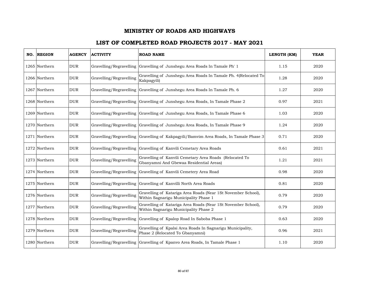| NO. REGION    | <b>AGENCY</b> | <b>ACTIVITY</b>         | <b>ROAD NAME</b>                                                                                       | LENGTH (KM) | <b>YEAR</b> |
|---------------|---------------|-------------------------|--------------------------------------------------------------------------------------------------------|-------------|-------------|
| 1265 Northern | <b>DUR</b>    | Gravelling/Regravelling | Gravelling of Junshegu Area Roads In Tamale Ph' 1                                                      | 1.15        | 2020        |
| 1266 Northern | <b>DUR</b>    | Gravelling/Regravelling | Gravelling of Junshegu Area Roads In Tamale Ph. 4(Relocated To<br>Kakpagyili)                          | 1.28        | 2020        |
| 1267 Northern | <b>DUR</b>    | Gravelling/Regravelling | Gravelling of Junshegu Area Roads In Tamale Ph. 6                                                      | 1.27        | 2020        |
| 1268 Northern | <b>DUR</b>    |                         | Gravelling/Regravelling Gravelling of Junshegu Area Roads, In Tamale Phase 2                           | 0.97        | 2021        |
| 1269 Northern | <b>DUR</b>    | Gravelling/Regravelling | Gravelling of Junshegu Area Roads, In Tamale Phase 6                                                   | 1.03        | 2020        |
| 1270 Northern | <b>DUR</b>    |                         | Gravelling/Regravelling Gravelling of Junshegu Area Roads, In Tamale Phase 9                           | 1.24        | 2020        |
| 1271 Northern | <b>DUR</b>    | Gravelling/Regravelling | Gravelling of Kakpagyili/Bamvim Area Roads, In Tamale Phase 3                                          | 0.71        | 2020        |
| 1272 Northern | <b>DUR</b>    | Gravelling/Regravelling | Gravelling of Kanvili Cemetary Area Roads                                                              | 0.61        | 2021        |
| 1273 Northern | <b>DUR</b>    | Gravelling/Regravelling | Gravelling of Kanvili Cemetary Area Roads (Relocated To<br>Gbanyamni And Gbewaa Residential Areas)     | 1.21        | 2021        |
| 1274 Northern | <b>DUR</b>    | Gravelling/Regravelling | Gravelling of Kanvili Cemetery Area Road                                                               | 0.98        | 2020        |
| 1275 Northern | <b>DUR</b>    | Gravelling/Regravelling | Gravelling of Kanvilli North Area Roads                                                                | 0.81        | 2020        |
| 1276 Northern | <b>DUR</b>    | Gravelling/Regravelling | Gravelling of Katariga Area Roads (Near 1St November School),<br>Within Sagnarigu Municipality Phase 1 | 0.79        | 2020        |
| 1277 Northern | <b>DUR</b>    | Gravelling/Regravelling | Gravelling of Katariga Area Roads (Near 1St November School),<br>Within Sagnarigu Municipality Phase 2 | 0.79        | 2020        |
| 1278 Northern | <b>DUR</b>    | Gravelling/Regravelling | Gravelling of Kpalop Road In Saboba Phase 1                                                            | 0.63        | 2020        |
| 1279 Northern | <b>DUR</b>    | Gravelling/Regravelling | Gravelling of Kpalsi Area Roads In Sagnarigu Municipality,<br>Phase 2 (Relocated To Gbanyamni)         | 0.96        | 2021        |
| 1280 Northern | <b>DUR</b>    | Gravelling/Regravelling | Gravelling of Kpanvo Area Roads, In Tamale Phase 1                                                     | 1.10        | 2020        |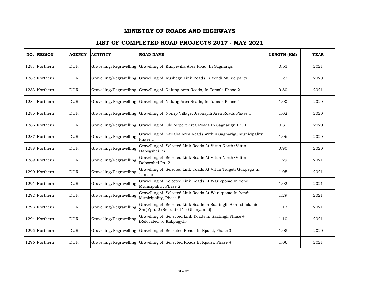| NO. REGION    | <b>AGENCY</b> | <b>ACTIVITY</b>         | <b>ROAD NAME</b>                                                                                      | LENGTH (KM) | <b>YEAR</b> |
|---------------|---------------|-------------------------|-------------------------------------------------------------------------------------------------------|-------------|-------------|
| 1281 Northern | <b>DUR</b>    | Gravelling/Regravelling | Gravelling of Kunyevilla Area Road, In Sagnarigu                                                      | 0.63        | 2021        |
| 1282 Northern | <b>DUR</b>    | Gravelling/Regravelling | Gravelling of Kushegu Link Roads In Yendi Municipality                                                | 1.22        | 2020        |
| 1283 Northern | <b>DUR</b>    | Gravelling/Regravelling | Gravelling of Nalung Area Roads, In Tamale Phase 2                                                    | 0.80        | 2021        |
| 1284 Northern | <b>DUR</b>    |                         | Gravelling/Regravelling Gravelling of Nalung Area Roads, In Tamale Phase 4                            | 1.00        | 2020        |
| 1285 Northern | <b>DUR</b>    | Gravelling/Regravelling | Gravelling of Norrip Village/Jisonayili Area Roads Phase 1                                            | 1.02        | 2020        |
| 1286 Northern | <b>DUR</b>    | Gravelling/Regravelling | Gravelling of Old Airport Area Roads In Sagnarigu Ph. 1                                               | 0.81        | 2020        |
| 1287 Northern | <b>DUR</b>    | Gravelling/Regravelling | Gravelling of Sawaba Area Roads Within Sagnarigu Municipality<br>Phase 1                              | 1.06        | 2020        |
| 1288 Northern | <b>DUR</b>    | Gravelling/Regravelling | Gravelling of Selected Link Roads At Vittin North/Vittin<br>Dabogshei Ph. 1                           | 0.90        | 2020        |
| 1289 Northern | <b>DUR</b>    | Gravelling/Regravelling | Gravelling of Selected Link Roads At Vittin North/Vittin<br>Dabogshei Ph. 2                           | 1.29        | 2021        |
| 1290 Northern | <b>DUR</b>    | Gravelling/Regravelling | Gravelling of Selected Link Roads At Vittin Target/Gukpegu In<br>Tamale                               | 1.05        | 2021        |
| 1291 Northern | <b>DUR</b>    | Gravelling/Regravelling | Gravelling of Selected Link Roads At Warikpomo In Yendi<br>Municipality, Phase 2                      | 1.02        | 2021        |
| 1292 Northern | DUR           | Gravelling/Regravelling | Gravelling of Selected Link Roads At Warikpomo In Yendi<br>Municipality, Phase 5                      | 1.29        | 2021        |
| 1293 Northern | <b>DUR</b>    | Gravelling/Regravelling | Gravelling of Selected Link Roads In Saatingli (Behind Islamic<br>Shs)Vph. 2 (Relocated To Gbanyamni) | 1.13        | 2021        |
| 1294 Northern | <b>DUR</b>    | Gravelling/Regravelling | Gravelling of Sellected Link Roads In Saatingli Phase 4<br>(Relocated To Kakpagyili)                  | 1.10        | 2021        |
| 1295 Northern | <b>DUR</b>    | Gravelling/Regravelling | Gravelling of Sellected Roads In Kpalsi, Phase 3                                                      | 1.05        | 2020        |
| 1296 Northern | <b>DUR</b>    |                         | Gravelling/Regravelling Gravelling of Sellected Roads In Kpalsi, Phase 4                              | 1.06        | 2021        |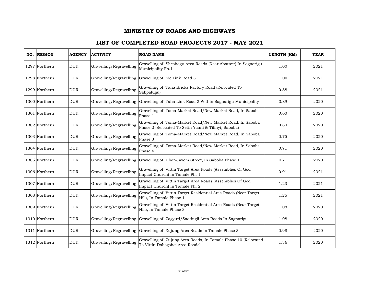| NO. REGION    | <b>AGENCY</b> | <b>ACTIVITY</b>         | <b>ROAD NAME</b>                                                                                                  | LENGTH (KM) | <b>YEAR</b> |
|---------------|---------------|-------------------------|-------------------------------------------------------------------------------------------------------------------|-------------|-------------|
| 1297 Northern | <b>DUR</b>    | Gravelling/Regravelling | Gravelling of Sheshagu Area Roads (Near Abattoir) In Sagnarigu<br>Municipality Ph.1                               | 1.00        | 2021        |
| 1298 Northern | <b>DUR</b>    | Gravelling/Regravelling | Gravelling of Sic Link Road 3                                                                                     | 1.00        | 2021        |
| 1299 Northern | <b>DUR</b>    | Gravelling/Regravelling | Gravelling of Taha Bricks Factory Road (Relocated To<br>Sakpalugu)                                                | 0.88        | 2021        |
| 1300 Northern | <b>DUR</b>    |                         | Gravelling/Regravelling Gravelling of Taha Link Road 2 Within Sagnarigu Municipality                              | 0.89        | 2020        |
| 1301 Northern | <b>DUR</b>    | Gravelling/Regravelling | Gravelling of Toma-Market Road/New Market Road, In Saboba<br>Phase 1                                              | 0.60        | 2020        |
| 1302 Northern | <b>DUR</b>    | Gravelling/Regravelling | Gravelling of Toma-Market Road/New Market Road, In Saboba<br>Phase 2 (Relocated To Setin Yaani & Tilinyi, Saboba) | 0.80        | 2020        |
| 1303 Northern | <b>DUR</b>    | Gravelling/Regravelling | Gravelling of Toma-Market Road/New Market Road, In Saboba<br>Phase 3                                              | 0.75        | 2020        |
| 1304 Northern | <b>DUR</b>    | Gravelling/Regravelling | Gravelling of Toma-Market Road/New Market Road, In Saboba<br>Phase 4                                              | 0.71        | 2020        |
| 1305 Northern | <b>DUR</b>    | Gravelling/Regravelling | Gravelling of Ubor-Jayom Street, In Saboba Phase 1                                                                | 0.71        | 2020        |
| 1306 Northern | <b>DUR</b>    | Gravelling/Regravelling | Gravelling of Vittin Target Area Roads (Assemblies Of God<br>Impact Church) In Tamale Ph. 1                       | 0.91        | 2021        |
| 1307 Northern | <b>DUR</b>    | Gravelling/Regravelling | Gravelling of Vittin Target Area Roads (Assemblies Of God<br>Impact Church) In Tamale Ph. 2                       | 1.23        | 2021        |
| 1308 Northern | <b>DUR</b>    | Gravelling/Regravelling | Gravelling of Vittin Target Residential Area Roads (Near Target<br>Hill), In Tamale Phase 1                       | 1.25        | 2021        |
| 1309 Northern | <b>DUR</b>    | Gravelling/Regravelling | Gravelling of Vittin Target Residential Area Roads (Near Target<br>Hill), In Tamale Phase 3                       | 1.08        | 2020        |
| 1310 Northern | <b>DUR</b>    | Gravelling/Regravelling | Gravelling of Zagyuri/Saatingli Area Roads In Sagnarigu                                                           | 1.08        | 2020        |
| 1311 Northern | <b>DUR</b>    |                         | Gravelling/Regravelling Gravelling of Zujung Area Roads In Tamale Phase 3                                         | 0.98        | 2020        |
| 1312 Northern | <b>DUR</b>    | Gravelling/Regravelling | Gravelling of Zujung Area Roads, In Tamale Phase 10 (Relocated<br>To Vittin Dabogshei Area Roads)                 | 1.36        | 2020        |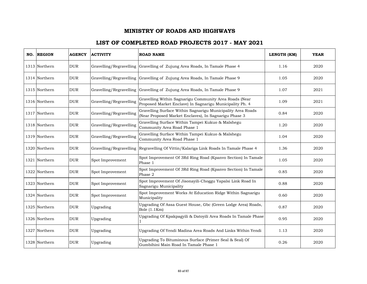| NO. REGION    | <b>AGENCY</b> | <b>ACTIVITY</b>         | <b>ROAD NAME</b>                                                                                                     | LENGTH (KM) | <b>YEAR</b> |
|---------------|---------------|-------------------------|----------------------------------------------------------------------------------------------------------------------|-------------|-------------|
| 1313 Northern | <b>DUR</b>    |                         | Gravelling/Regravelling Gravelling of Zujung Area Roads, In Tamale Phase 4                                           | 1.16        | 2020        |
| 1314 Northern | <b>DUR</b>    |                         | Gravelling/Regravelling Gravelling of Zujung Area Roads, In Tamale Phase 9                                           | 1.05        | 2020        |
| 1315 Northern | <b>DUR</b>    | Gravelling/Regravelling | Gravelling of Zujung Area Roads, In Tamale Phase 9                                                                   | 1.07        | 2021        |
| 1316 Northern | <b>DUR</b>    | Gravelling/Regravelling | Gravelling Within Sagnarigu Community Area Roads (Near<br>Proposed Market Enclave) In Sagnarigu Municipality Ph. 4   | 1.09        | 2021        |
| 1317 Northern | <b>DUR</b>    | Gravelling/Regravelling | Gravelling Surface Within Sagnarigu Municipality Area Roads<br>(Near Proposed Market Enclaves), In Sagnarigu Phase 3 | 0.84        | 2020        |
| 1318 Northern | <b>DUR</b>    | Gravelling/Regravelling | Gravelling Surface Within Tampei Kukuo & Malshegu<br>Community Area Road Phase 1                                     | 1.20        | 2020        |
| 1319 Northern | <b>DUR</b>    | Gravelling/Regravelling | Gravelling Surface Within Tampei Kukuo & Malshegu<br>Community Area Road Phase 1                                     | 1.04        | 2020        |
| 1320 Northern | <b>DUR</b>    | Gravelling/Regravelling | Regravelling Of Vittin/Kalariga Link Roads In Tamale Phase 4                                                         | 1.36        | 2020        |
| 1321 Northern | <b>DUR</b>    | Spot Improvement        | Spot Improvement Of 3Rd Ring Road (Kpanvo Section) In Tamale<br>Phase 1                                              | 1.05        | 2020        |
| 1322 Northern | <b>DUR</b>    | Spot Improvement        | Spot Improvement Of 3Rd Ring Road (Kpanvo Section) In Tamale<br>Phase 2                                              | 0.85        | 2020        |
| 1323 Northern | <b>DUR</b>    | Spot Improvement        | Spot Improvement Of Jisonayili-Choggu Yapalsi Link Road In<br>Sagnarigu Municipality                                 | 0.88        | 2020        |
| 1324 Northern | <b>DUR</b>    | Spot Improvement        | Spot Improvement Works At Education Ridge Within Sagnarigu<br>Municipality                                           | 0.60        | 2020        |
| 1325 Northern | <b>DUR</b>    | Upgrading               | Upgrading Of Assa Guest House, Gbc (Green Lodge Area) Roads,<br>Bole (1.1Km)                                         | 0.87        | 2020        |
| 1326 Northern | <b>DUR</b>    | Upgrading               | Upgrading Of Kpakpagyili & Datoyili Area Roads In Tamale Phase                                                       | 0.95        | 2020        |
| 1327 Northern | <b>DUR</b>    | Upgrading               | Upgrading Of Yendi Madina Area Roads And Links Within Yendi                                                          | 1.13        | 2020        |
| 1328 Northern | <b>DUR</b>    | Upgrading               | Upgrading To Bituminous Surface (Primer Seal & Seal) Of<br>Gumbihini Main Road In Tamale Phase 1                     | 0.26        | 2020        |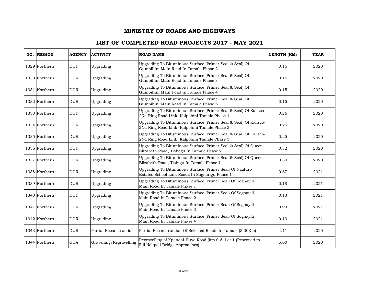| NO. REGION    | <b>AGENCY</b> | <b>ACTIVITY</b>         | <b>ROAD NAME</b>                                                                                                 | LENGTH (KM) | <b>YEAR</b> |
|---------------|---------------|-------------------------|------------------------------------------------------------------------------------------------------------------|-------------|-------------|
| 1329 Northern | <b>DUR</b>    | Upgrading               | Upgrading To Bituminous Surface (Primer Seal & Seal) Of<br>Gumbihini Main Road In Tamale Phase 2                 | 0.15        | 2020        |
| 1330 Northern | <b>DUR</b>    | Upgrading               | Upgrading To Bituminous Surface (Primer Seal & Seal) Of<br>Gumbihini Main Road In Tamale Phase 3                 | 0.15        | 2020        |
| 1331 Northern | <b>DUR</b>    | Upgrading               | Upgrading To Bituminous Surface (Primer Seal & Seal) Of<br>Gumbihini Main Road In Tamale Phase 4                 | 0.15        | 2020        |
| 1332 Northern | <b>DUR</b>    | Upgrading               | Upgrading To Bituminous Surface (Primer Seal & Seal) Of<br>Gumbihini Main Road In Tamale Phase 5                 | 0.15        | 2020        |
| 1333 Northern | <b>DUR</b>    | Upgrading               | Upgrading To Bituminous Surface (Primer Seal & Seal) Of Kalisco-<br>2Nd Ring Road Link, Kalpohini Tamale Phase 1 | 0.26        | 2020        |
| 1334 Northern | <b>DUR</b>    | Upgrading               | Upgrading To Bituminous Surface (Primer Seal & Seal) Of Kalisco-<br>2Nd Ring Road Link, Kalpohini Tamale Phase 2 | 0.25        | 2020        |
| 1335 Northern | <b>DUR</b>    | Upgrading               | Upgrading To Bituminous Surface (Primer Seal & Seal) Of Kalisco-<br>2Nd Ring Road Link, Kalpohini Tamale Phase 3 | 0.25        | 2020        |
| 1336 Northern | <b>DUR</b>    | Upgrading               | Upgrading To Bituminous Surface (Primer Seal & Seal) Of Queen<br>Elizabeth Road, Tishegu In Tamale Phase 2       | 0.32        | 2020        |
| 1337 Northern | <b>DUR</b>    | Upgrading               | Upgrading To Bituminous Surface (Primer Seal & Seal) Of Queen<br>Elizabeth Road, Tishigu In Tamale Phase 1       | 0.30        | 2020        |
| 1338 Northern | <b>DUR</b>    | Upgrading               | Upgrading To Bituminous Surface (Primer Seal) Of Naaluro<br>Estates School Link Roads In Sagnarigu Phase 1       | 0.87        | 2021        |
| 1339 Northern | <b>DUR</b>    | Upgrading               | Upgrading To Bituminous Surface (Primer Seal) Of Sognayili<br>Main Road In Tamale Phase 1                        | 0.18        | 2021        |
| 1340 Northern | <b>DUR</b>    | Upgrading               | Upgrading To Bituminous Surface (Primer Seal) Of Sognayili<br>Main Road In Tamale Phase 2                        | 0.13        | 2021        |
| 1341 Northern | <b>DUR</b>    | Upgrading               | Upgrading To Bituminous Surface (Primer Seal) Of Sognayili<br>Main Road In Tamale Phase 3                        | 0.93        | 2021        |
| 1342 Northern | <b>DUR</b>    | Upgrading               | Upgrading To Bituminous Surface (Primer Seal) Of Sognayili<br>Main Road In Tamale Phase 4                        | 0.13        | 2021        |
| 1343 Northern | <b>DUR</b>    | Partial Reconstruction  | Partial Reconstruction Of Selected Roads In Tamale (5.00Km)                                                      | 4.11        | 2020        |
| 1344 Northern | <b>GHA</b>    | Gravelling/Regravelling | Regravelling of Kpandai-Buya Road (km 0-5) Lot 1 (Rescoped to<br>Fill Nakpali Bridge Approaches)                 | 5.00        | 2020        |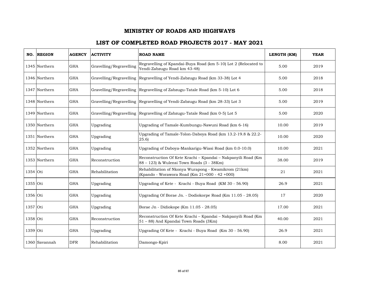|          | NO. REGION    | <b>AGENCY</b> | <b>ACTIVITY</b>         | <b>ROAD NAME</b>                                                                                           | LENGTH (KM) | <b>YEAR</b> |
|----------|---------------|---------------|-------------------------|------------------------------------------------------------------------------------------------------------|-------------|-------------|
|          | 1345 Northern | <b>GHA</b>    | Gravelling/Regravelling | Regravelling of Kpandai-Buya Road (km 5-10) Lot 2 (Relocated to<br>Yendi-Zabzugu Road km 43-48)            | 5.00        | 2019        |
|          | 1346 Northern | <b>GHA</b>    |                         | Gravelling/Regravelling Regravelling of Yendi-Zabzugu Road (km 33-38) Lot 4                                | 5.00        | 2018        |
|          | 1347 Northern | <b>GHA</b>    |                         | Gravelling/Regravelling Regravelling of Zabzugu-Tatale Road (km 5-10) Lot 6                                | 5.00        | 2018        |
|          | 1348 Northern | <b>GHA</b>    |                         | Gravelling/Regravelling Regravelling of Yendi-Zabzugu Road (km 28-33) Lot 3                                | 5.00        | 2019        |
|          | 1349 Northern | <b>GHA</b>    |                         | Gravelling/Regravelling Regravelling of Zabzugu-Tatale Road (km 0-5) Lot 5                                 | 5.00        | 2020        |
|          | 1350 Northern | <b>GHA</b>    | Upgrading               | Upgrading of Tamale-Kumbungu-Nawuni Road (km 6-16)                                                         | 10.00       | 2019        |
|          | 1351 Northern | <b>GHA</b>    | Upgrading               | Upgrading of Tamale-Tolon-Daboya Road (km 13.2-19.8 & 22.2-<br>(25.6)                                      | 10.00       | 2020        |
|          | 1352 Northern | <b>GHA</b>    | Upgrading               | Upgrading of Daboya-Mankarigu-Wiasi Road (km 0.0-10.0)                                                     | 10.00       | 2021        |
|          | 1353 Northern | <b>GHA</b>    | Reconstruction          | Reconstruction Of Kete Krachi - Kpandai - Nakpanyili Road (Km<br>88 - 123) & Wulensi Town Roads (3 - 38Km) | 38.00       | 2019        |
| 1354 Oti |               | <b>GHA</b>    | Rehabilitation          | Rehabilitation of Nkonya Wurapong - Kwamikrom (21km)<br>(Kpando - Worawora Road (Km 21+000 - 42 +000)      | 21          | 2021        |
| 1355 Oti |               | <b>GHA</b>    | Upgrading               | Upgrading of Kete - Krachi - Buya Road (KM 30 - 56.90)                                                     | 26.9        | 2021        |
| 1356 Oti |               | <b>GHA</b>    | Upgrading               | Upgrading Of Borae Jn. - Dodiokorpe Road (Km 11.05 - 28.05)                                                | 17          | 2020        |
| 1357 Oti |               | <b>GHA</b>    | Upgrading               | Borae Jn - Didiokope (Km 11.05 - 28.05)                                                                    | 17.00       | 2021        |
| 1358 Oti |               | <b>GHA</b>    | Reconstruction          | Reconstruction Of Kete Krachi - Kpandai - Nakpanyili Road (Km<br>51 - 88) And Kpandai Town Roads (3Km)     | 40.00       | 2021        |
| 1359 Oti |               | <b>GHA</b>    | Upgrading               | Upgrading Of Kete - Krachi - Buya Road (Km 30 - 56.90)                                                     | 26.9        | 2021        |
|          | 1360 Savannah | <b>DFR</b>    | Rehabilitation          | Damongo-Kpiri                                                                                              | 8.00        | 2021        |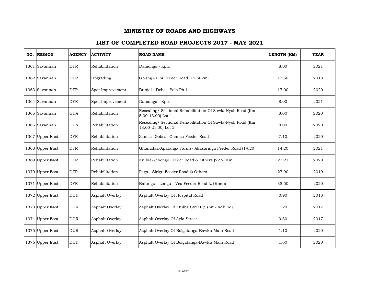| NO. REGION      | <b>AGENCY</b> | <b>ACTIVITY</b>  | <b>ROAD NAME</b>                                                                  | LENGTH (KM) | <b>YEAR</b> |
|-----------------|---------------|------------------|-----------------------------------------------------------------------------------|-------------|-------------|
| 1361 Savannah   | <b>DFR</b>    | Rehabilitation   | Damongo - Kpiri                                                                   | 8.00        | 2021        |
| 1362 Savannah   | <b>DFR</b>    | Upgrading        | Gbung - Libi Feeder Road (12.50km)                                                | 12.50       | 2018        |
| 1363 Savannah   | <b>DFR</b>    | Spot Improvement | Bunjai - Deba - Yala Ph.1                                                         | 17.00       | 2020        |
| 1364 Savannah   | <b>DFR</b>    | Spot Improvement | Damongo - Kpiri                                                                   | 8.00        | 2021        |
| 1365 Savannah   | <b>GHA</b>    | Rehabilitation   | Resealing/ Sectional Rehabilitation Of Sawla-Nyoli Road (Km<br>5.00-13.00) Lot 1  | 8.00        | 2020        |
| 1366 Savannah   | <b>GHA</b>    | Rehabilitation   | Resealing/ Sectional Rehabilitation Of Sawla-Nyoli Road (Km<br>13.00-21.00) Lot 2 | 8.00        | 2020        |
| 1367 Upper East | <b>DFR</b>    | Rehabilitation   | Zamsa- Gobsa- Chansa Feeder Road                                                  | 7.10        | 2020        |
| 1368 Upper East | <b>DFR</b>    | Rehabilitation   | Ghanadaa-Apatanga Farms- Akasaringa Feeder Road (14.20                            | 14.20       | 2021        |
| 1369 Upper East | <b>DFR</b>    | Rehabilitation   | Kulbia-Yebongo Feeder Road & Others (22.21Km)                                     | 22.21       | 2020        |
| 1370 Upper East | <b>DFR</b>    | Rehabilitation   | Paga - Sirigu Feeder Road & Others                                                | 27.90       | 2019        |
| 1371 Upper East | <b>DFR</b>    | Rehabilitation   | Balungu - Longu - Vea Feeder Road & Others                                        | 38.50       | 2020        |
| 1372 Upper East | <b>DUR</b>    | Asphalt Overlay  | Asphalt Overlay Of Hospital Road                                                  | 0.90        | 2018        |
| 1373 Upper East | <b>DUR</b>    | Asphalt Overlay  | Asphalt Overlay Of Atulba Street (Ssnit - Adb Rd)                                 | 1.20        | 2017        |
| 1374 Upper East | <b>DUR</b>    | Asphalt Overlay  | Asphalt Overlay Of Ayia Street                                                    | 0.30        | 2017        |
| 1375 Upper East | <b>DUR</b>    | Asphalt Overlay  | Asphalt Overlay Of Bolgatanga-Bawku Main Road                                     | 1.10        | 2020        |
| 1376 Upper East | <b>DUR</b>    | Asphalt Overlay  | Asphalt Overlay Of Bolgatanga-Bawku Main Road                                     | 1.60        | 2020        |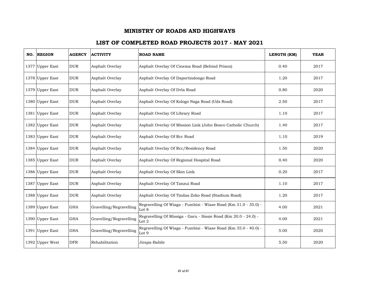| NO. REGION      | <b>AGENCY</b> | <b>ACTIVITY</b>         | <b>ROAD NAME</b>                                                           | LENGTH (KM) | <b>YEAR</b> |
|-----------------|---------------|-------------------------|----------------------------------------------------------------------------|-------------|-------------|
| 1377 Upper East | <b>DUR</b>    | Asphalt Overlay         | Asphalt Overlay Of Cinema Road (Behind Prison)                             | 0.40        | 2017        |
| 1378 Upper East | <b>DUR</b>    | Asphalt Overlay         | Asphalt Overlay Of Daportindongo Road                                      | 1.20        | 2017        |
| 1379 Upper East | <b>DUR</b>    | Asphalt Overlay         | Asphalt Overlay Of Dvla Road                                               | 0.80        | 2020        |
| 1380 Upper East | <b>DUR</b>    | Asphalt Overlay         | Asphalt Overlay Of Kologo Naga Road (Uds Road)                             | 2.50        | 2017        |
| 1381 Upper East | <b>DUR</b>    | Asphalt Overlay         | Asphalt Overlay Of Library Road                                            | 1.10        | 2017        |
| 1382 Upper East | <b>DUR</b>    | Asphalt Overlay         | Asphalt Overlay Of Mission Link (John Bosco Catholic Church)               | 1.40        | 2017        |
| 1383 Upper East | <b>DUR</b>    | Asphalt Overlay         | Asphalt Overlay Of Rcc Road                                                | 1.10        | 2019        |
| 1384 Upper East | <b>DUR</b>    | Asphalt Overlay         | Asphalt Overlay Of Rcc/Residency Road                                      | 1.50        | 2020        |
| 1385 Upper East | <b>DUR</b>    | Asphalt Overlay         | Asphalt Overlay Of Regional Hospital Road                                  | 0.40        | 2020        |
| 1386 Upper East | <b>DUR</b>    | Asphalt Overlay         | Asphalt Overlay Of Skin Link                                               | 0.20        | 2017        |
| 1387 Upper East | <b>DUR</b>    | Asphalt Overlay         | Asphalt Overlay Of Tanzui Road                                             | 1.10        | 2017        |
| 1388 Upper East | <b>DUR</b>    | Asphalt Overlay         | Asphalt Overlay Of Tindaa Zoko Road (Stadium Road)                         | 1.20        | 2017        |
| 1389 Upper East | <b>GHA</b>    | Gravelling/Regravelling | Regravelling Of Wiaga - Fumbisi - Wiase Road (Km 31.0 - 35.0) -<br>Lot 8   | 4.00        | 2021        |
| 1390 Upper East | <b>GHA</b>    | Gravelling/Regravelling | Regravelling Of Missiga - Garu - Sissie Road (Km 20.0 - 24.0) -<br>Lot $2$ | 4.00        | 2021        |
| 1391 Upper East | <b>GHA</b>    | Gravelling/Regravelling | Regravelling Of Wiaga - Fumbisi - Wiase Road (Km 35.0 - 40.0) -<br>Lot 9   | 5.00        | 2020        |
| 1392 Upper West | <b>DFR</b>    | Rehabilitation          | Jirapa-Babile                                                              | 5.50        | 2020        |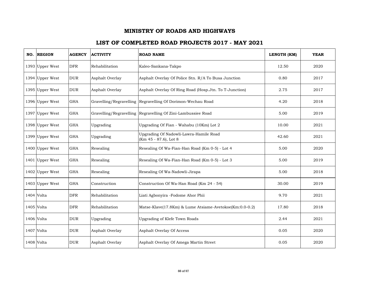| NO. REGION      | <b>AGENCY</b> | <b>ACTIVITY</b> | <b>ROAD NAME</b>                                                | LENGTH (KM) | <b>YEAR</b> |
|-----------------|---------------|-----------------|-----------------------------------------------------------------|-------------|-------------|
| 1393 Upper West | <b>DFR</b>    | Rehabilitation  | Kaleo-Sankana-Takpo                                             | 12.50       | 2020        |
| 1394 Upper West | <b>DUR</b>    | Asphalt Overlay | Asphalt Overlay Of Police Stn. R/A To Busa Junction             | 0.80        | 2017        |
| 1395 Upper West | <b>DUR</b>    | Asphalt Overlay | Asphalt Overlay Of Ring Road (Hosp.Jtn. To T-Junction)          | 2.75        | 2017        |
| 1396 Upper West | <b>GHA</b>    |                 | Gravelling/Regravelling Regravelling Of Dorimon-Wechau Road     | 4.20        | 2018        |
| 1397 Upper West | <b>GHA</b>    |                 | Gravelling/Regravelling Regravelling Of Zini-Lambussiee Road    | 5.00        | 2019        |
| 1398 Upper West | <b>GHA</b>    | Upgrading       | Upgrading Of Fian - Wahabu (10Km) Lot 2                         | 10.00       | 2021        |
| 1399 Upper West | <b>GHA</b>    | Upgrading       | Upgrading Of Nadowli-Lawra-Hamile Road<br>(Km 45 - 87.6), Lot 8 | 42.60       | 2021        |
| 1400 Upper West | <b>GHA</b>    | Resealing       | Resealing Of Wa-Fian-Han Road (Km 0-5) - Lot 4                  | 5.00        | 2020        |
| 1401 Upper West | <b>GHA</b>    | Resealing       | Resealing Of Wa-Fian-Han Road (Km 0-5) - Lot 3                  | 5.00        | 2019        |
| 1402 Upper West | <b>GHA</b>    | Resealing       | Resealing Of Wa-Nadowli-Jirapa                                  | 5.00        | 2018        |
| 1403 Upper West | <b>GHA</b>    | Construction    | Construction Of Wa-Han Road (Km 24 - 54)                        | 30.00       | 2019        |
| 1404 Volta      | <b>DFR</b>    | Rehabilitation  | Liati Agbonyira -Fodome Ahor Phii                               | 9.70        | 2021        |
| 1405 Volta      | <b>DFR</b>    | Rehabilitation  | Matse-Klave(17.8Km) & Lume Atsiame-Avetokoe(Km:0.0-0.2)         | 17.80       | 2018        |
| 1406 Volta      | <b>DUR</b>    | Upgrading       | Upgrading of Klefe Town Roads                                   | 2.44        | 2021        |
| 1407 Volta      | <b>DUR</b>    | Asphalt Overlay | Asphalt Overlay Of Access                                       | 0.05        | 2020        |
| 1408 Volta      | <b>DUR</b>    | Asphalt Overlay | Asphalt Overlay Of Amega Martin Street                          | 0.05        | 2020        |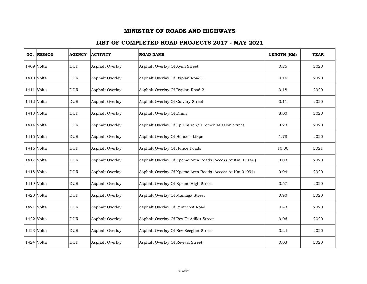| NO. REGION | <b>AGENCY</b> | <b>ACTIVITY</b> | <b>ROAD NAME</b>                                         | LENGTH (KM) | <b>YEAR</b> |
|------------|---------------|-----------------|----------------------------------------------------------|-------------|-------------|
| 1409 Volta | <b>DUR</b>    | Asphalt Overlay | Asphalt Overlay Of Ayim Street                           | 0.25        | 2020        |
| 1410 Volta | <b>DUR</b>    | Asphalt Overlay | Asphalt Overlay Of Byplan Road 1                         | 0.16        | 2020        |
| 1411 Volta | <b>DUR</b>    | Asphalt Overlay | Asphalt Overlay Of Byplan Road 2                         | 0.18        | 2020        |
| 1412 Volta | <b>DUR</b>    | Asphalt Overlay | Asphalt Overlay Of Calvary Street                        | 0.11        | 2020        |
| 1413 Volta | <b>DUR</b>    | Asphalt Overlay | Asphalt Overlay Of Dhmr                                  | 8.00        | 2020        |
| 1414 Volta | <b>DUR</b>    | Asphalt Overlay | Asphalt Overlay Of Ep Church/ Bremen Mission Street      | 0.23        | 2020        |
| 1415 Volta | <b>DUR</b>    | Asphalt Overlay | Asphalt Overlay Of Hohoe - Likpe                         | 1.78        | 2020        |
| 1416 Volta | <b>DUR</b>    | Asphalt Overlay | Asphalt Overlay Of Hohoe Roads                           | 10.00       | 2021        |
| 1417 Volta | <b>DUR</b>    | Asphalt Overlay | Asphalt Overlay Of Kpeme Area Roads (Access At Km 0+034) | 0.03        | 2020        |
| 1418 Volta | <b>DUR</b>    | Asphalt Overlay | Asphalt Overlay Of Kpeme Area Roads (Access At Km 0+094) | 0.04        | 2020        |
| 1419 Volta | <b>DUR</b>    | Asphalt Overlay | Asphalt Overlay Of Kpeme High Street                     | 0.57        | 2020        |
| 1420 Volta | <b>DUR</b>    | Asphalt Overlay | Asphalt Overlay Of Mamaga Street                         | 0.90        | 2020        |
| 1421 Volta | <b>DUR</b>    | Asphalt Overlay | Asphalt Overlay Of Pentecost Road                        | 0.43        | 2020        |
| 1422 Volta | <b>DUR</b>    | Asphalt Overlay | Asphalt Overlay Of Rev Et Adiku Street                   | 0.06        | 2020        |
| 1423 Volta | <b>DUR</b>    | Asphalt Overlay | Asphalt Overlay Of Rev Seegher Street                    | 0.24        | 2020        |
| 1424 Volta | <b>DUR</b>    | Asphalt Overlay | Asphalt Overlay Of Revival Street                        | 0.03        | 2020        |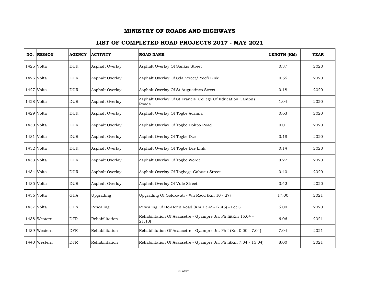| NO. REGION   | <b>AGENCY</b> | <b>ACTIVITY</b> | <b>ROAD NAME</b>                                                      | LENGTH (KM) | <b>YEAR</b> |
|--------------|---------------|-----------------|-----------------------------------------------------------------------|-------------|-------------|
| 1425 Volta   | <b>DUR</b>    | Asphalt Overlay | Asphalt Overlay Of Sankis Street                                      | 0.37        | 2020        |
| 1426 Volta   | <b>DUR</b>    | Asphalt Overlay | Asphalt Overlay Of Sda Street/ Yoofi Link                             | 0.55        | 2020        |
| 1427 Volta   | <b>DUR</b>    | Asphalt Overlay | Asphalt Overlay Of St Augustines Street                               | 0.18        | 2020        |
| 1428 Volta   | <b>DUR</b>    | Asphalt Overlay | Asphalt Overlay Of St Francis College Of Education Campus<br>Roads    | 1.04        | 2020        |
| 1429 Volta   | <b>DUR</b>    | Asphalt Overlay | Asphalt Overlay Of Togbe Adzima                                       | 0.63        | 2020        |
| 1430 Volta   | <b>DUR</b>    | Asphalt Overlay | Asphalt Overlay Of Togbe Dokpo Road                                   | 0.01        | 2020        |
| 1431 Volta   | <b>DUR</b>    | Asphalt Overlay | Asphalt Overlay Of Togbe Dze                                          | 0.18        | 2020        |
| 1432 Volta   | <b>DUR</b>    | Asphalt Overlay | Asphalt Overlay Of Togbe Dze Link                                     | 0.14        | 2020        |
| 1433 Volta   | <b>DUR</b>    | Asphalt Overlay | Asphalt Overlay Of Togbe Worde                                        | 0.27        | 2020        |
| 1434 Volta   | <b>DUR</b>    | Asphalt Overlay | Asphalt Overlay Of Togbega Gabusu Street                              | 0.40        | 2020        |
| 1435 Volta   | <b>DUR</b>    | Asphalt Overlay | Asphalt Overlay Of Vule Street                                        | 0.42        | 2020        |
| 1436 Volta   | <b>GHA</b>    | Upgrading       | Upgrading Of Golokwati - Wli Raod (Km 10 - 27)                        | 17.00       | 2021        |
| 1437 Volta   | <b>GHA</b>    | Resealing       | Resealing Of Ho-Denu Road (Km 12.45-17.45) - Lot 3                    | 5.00        | 2020        |
| 1438 Western | <b>DFR</b>    | Rehabilitation  | Rehabilitation Of Asaasetre - Gyampre Jn. Ph Iii(Km 15.04 -<br>21.10) | 6.06        | 2021        |
| 1439 Western | <b>DFR</b>    | Rehabilitation  | Rehabilitation Of Asaasetre - Gyampre Jn. Ph I (Km 0.00 - 7.04)       | 7.04        | 2021        |
| 1440 Western | <b>DFR</b>    | Rehabilitation  | Rehabilitation Of Asaasetre - Gyampre Jn. Ph Ii(Km 7.04 - 15.04)      | 8.00        | 2021        |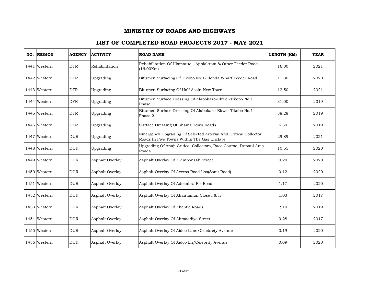| NO. | <b>REGION</b> | <b>AGENCY</b> | <b>ACTIVITY</b> | <b>ROAD NAME</b>                                                                                              | LENGTH (KM) | <b>YEAR</b> |
|-----|---------------|---------------|-----------------|---------------------------------------------------------------------------------------------------------------|-------------|-------------|
|     | 1441 Western  | <b>DFR</b>    | Rehabilitation  | Rehabilitation Of Hiamatuo - Appiakrom & Other Feeder Road<br>(16.00Km)                                       | 16.00       | 2021        |
|     | 1442 Western  | <b>DFR</b>    | Upgrading       | Bitumen Surfacing Of Tikobo No.1-Elenda Wharf Feeder Road                                                     | 11.30       | 2020        |
|     | 1443 Western  | <b>DFR</b>    | Upgrading       | Bitumen Surfacing Of Half Assin-New Town                                                                      | 12.50       | 2021        |
|     | 1444 Western  | <b>DFR</b>    | Upgrading       | Bitumen Surface Dressing Of Alabokazo-Ekwei-Tikobo No.1<br>Phase 1                                            | 31.00       | 2019        |
|     | 1445 Western  | <b>DFR</b>    | Upgrading       | Bitumen Surface Dressing Of Alabokazo-Ekwei-Tikobo No.1<br>Phase 2                                            | 38.28       | 2019        |
|     | 1446 Western  | <b>DFR</b>    | Upgrading       | Surface Dressing Of Shama Town Roads                                                                          | 6.30        | 2019        |
|     | 1447 Western  | <b>DUR</b>    | Upgrading       | Emergency Upgrading Of Selected Arterial And Critical Collector<br>Roads In Five Towns Within The Gas Enclave | 29.89       | 2021        |
|     | 1448 Western  | <b>DUR</b>    | Upgrading       | Upgrading Of Anaji Critical Collectors, Race Course, Dupaul Area<br>Roads                                     | 10.55       | 2020        |
|     | 1449 Western  | <b>DUR</b>    | Asphalt Overlay | Asphalt Overlay Of A.Amponsah Street                                                                          | 0.20        | 2020        |
|     | 1450 Western  | <b>DUR</b>    | Asphalt Overlay | Asphalt Overlay Of Access Road Lhs(Ssnit Road)                                                                | 0.12        | 2020        |
|     | 1451 Western  | <b>DUR</b>    | Asphalt Overlay | Asphalt Overlay Of Adiembra Fie Road                                                                          | 1.17        | 2020        |
|     | 1452 Western  | <b>DUR</b>    | Asphalt Overlay | Asphalt Overlay Of Ahantaman Close I & Ii                                                                     | 1.03        | 2017        |
|     | 1453 Western  | <b>DUR</b>    | Asphalt Overlay | Asphalt Overlay Of Ahenfie Roads                                                                              | 2.10        | 2019        |
|     | 1454 Western  | <b>DUR</b>    | Asphalt Overlay | Asphalt Overlay Of Ahmaddiya Street                                                                           | 0.28        | 2017        |
|     | 1455 Western  | <b>DUR</b>    | Asphalt Overlay | Asphalt Overlay Of Aidoo Lane/Celebrety Avenue                                                                | 0.19        | 2020        |
|     | 1456 Western  | <b>DUR</b>    | Asphalt Overlay | Asphalt Overlay Of Aidoo Ln/Celebrity Avenue                                                                  | 0.09        | 2020        |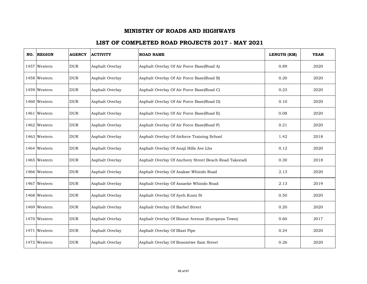| NO. REGION   | <b>AGENCY</b> | <b>ACTIVITY</b> | <b>ROAD NAME</b>                                      | LENGTH (KM) | <b>YEAR</b> |
|--------------|---------------|-----------------|-------------------------------------------------------|-------------|-------------|
| 1457 Western | <b>DUR</b>    | Asphalt Overlay | Asphalt Overlay Of Air Force Base(Road A)             | 0.89        | 2020        |
| 1458 Western | <b>DUR</b>    | Asphalt Overlay | Asphalt Overlay Of Air Force Base(Road B)             | 0.20        | 2020        |
| 1459 Western | <b>DUR</b>    | Asphalt Overlay | Asphalt Overlay Of Air Force Base(Road C)             | 0.23        | 2020        |
| 1460 Western | <b>DUR</b>    | Asphalt Overlay | Asphalt Overlay Of Air Force Base(Road D)             | 0.10        | 2020        |
| 1461 Western | <b>DUR</b>    | Asphalt Overlay | Asphalt Overlay Of Air Force Base(Road E)             | 0.08        | 2020        |
| 1462 Western | <b>DUR</b>    | Asphalt Overlay | Asphalt Overlay Of Air Force Base(Road F)             | 0.21        | 2020        |
| 1463 Western | <b>DUR</b>    | Asphalt Overlay | Asphalt Overlay Of Airforce Training School           | 1.42        | 2018        |
| 1464 Western | <b>DUR</b>    | Asphalt Overlay | Asphalt Overlay Of Anaji Hills Ave Lhs                | 0.12        | 2020        |
| 1465 Western | <b>DUR</b>    | Asphalt Overlay | Asphalt Overlay Of Anchovy Street Beach Road Takoradi | 0.30        | 2018        |
| 1466 Western | <b>DUR</b>    | Asphalt Overlay | Asphalt Overlay Of Asakae-Whindo Road                 | 2.13        | 2020        |
| 1467 Western | <b>DUR</b>    | Asphalt Overlay | Asphalt Overlay Of Assaeke Whindo Road                | 2.13        | 2019        |
| 1468 Western | <b>DUR</b>    | Asphalt Overlay | Asphalt Overlay Of Ayeh Kumi St                       | 0.50        | 2020        |
| 1469 Western | <b>DUR</b>    | Asphalt Overlay | Asphalt Overlay Of Barbel Street                      | 0.20        | 2020        |
| 1470 Western | <b>DUR</b>    | Asphalt Overlay | Asphalt Overlay Of Bissue Avenue (European Town)      | 0.60        | 2017        |
| 1471 Western | <b>DUR</b>    | Asphalt Overlay | Asphalt Overlay Of Blast Pipe                         | 0.24        | 2020        |
| 1472 Western | <b>DUR</b>    | Asphalt Overlay | Asphalt Overlay Of Bosomtwe Sam Street                | 0.26        | 2020        |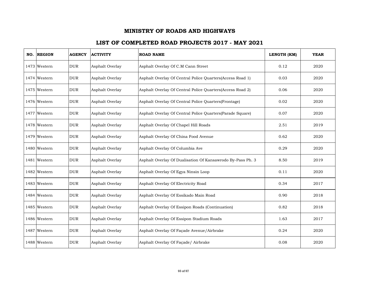| NO. REGION   | <b>AGENCY</b> | <b>ACTIVITY</b> | <b>ROAD NAME</b>                                           | LENGTH (KM) | <b>YEAR</b> |
|--------------|---------------|-----------------|------------------------------------------------------------|-------------|-------------|
| 1473 Western | <b>DUR</b>    | Asphalt Overlay | Asphalt Overlay Of C.M Cann Street                         | 0.12        | 2020        |
| 1474 Western | <b>DUR</b>    | Asphalt Overlay | Asphalt Overlay Of Central Police Quarters(Access Road 1)  | 0.03        | 2020        |
| 1475 Western | <b>DUR</b>    | Asphalt Overlay | Asphalt Overlay Of Central Police Quarters(Access Road 2)  | 0.06        | 2020        |
| 1476 Western | <b>DUR</b>    | Asphalt Overlay | Asphalt Overlay Of Central Police Quarters(Frontage)       | 0.02        | 2020        |
| 1477 Western | <b>DUR</b>    | Asphalt Overlay | Asphalt Overlay Of Central Police Quarters(Parade Square)  | 0.07        | 2020        |
| 1478 Western | <b>DUR</b>    | Asphalt Overlay | Asphalt Overlay Of Chapel Hill Roads                       | 2.51        | 2019        |
| 1479 Western | <b>DUR</b>    | Asphalt Overlay | Asphalt Overlay Of China Food Avenue                       | 0.62        | 2020        |
| 1480 Western | <b>DUR</b>    | Asphalt Overlay | Asphalt Overlay Of Columbia Ave                            | 0.29        | 2020        |
| 1481 Western | <b>DUR</b>    | Asphalt Overlay | Asphalt Overlay Of Dualisation Of Kansawrodo By-Pass Ph. 3 | 8.50        | 2019        |
| 1482 Western | <b>DUR</b>    | Asphalt Overlay | Asphalt Overlay Of Egya Ninsin Loop                        | 0.11        | 2020        |
| 1483 Western | <b>DUR</b>    | Asphalt Overlay | Asphalt Overlay Of Electricity Road                        | 0.34        | 2017        |
| 1484 Western | <b>DUR</b>    | Asphalt Overlay | Asphalt Overlay Of Essikado Main Road                      | 0.90        | 2018        |
| 1485 Western | <b>DUR</b>    | Asphalt Overlay | Asphalt Overlay Of Essipon Roads (Continuation)            | 0.82        | 2018        |
| 1486 Western | <b>DUR</b>    | Asphalt Overlay | Asphalt Overlay Of Essipon Stadium Roads                   | 1.63        | 2017        |
| 1487 Western | <b>DUR</b>    | Asphalt Overlay | Asphalt Overlay Of Façade Avenue/Airbrake                  | 0.24        | 2020        |
| 1488 Western | <b>DUR</b>    | Asphalt Overlay | Asphalt Overlay Of Façade/ Airbrake                        | 0.08        | 2020        |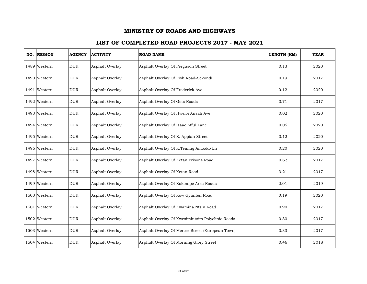| NO. REGION   | <b>AGENCY</b> | <b>ACTIVITY</b> | <b>ROAD NAME</b>                                 | LENGTH (KM) | <b>YEAR</b> |
|--------------|---------------|-----------------|--------------------------------------------------|-------------|-------------|
| 1489 Western | <b>DUR</b>    | Asphalt Overlay | Asphalt Overlay Of Ferguson Street               | 0.13        | 2020        |
| 1490 Western | <b>DUR</b>    | Asphalt Overlay | Asphalt Overlay Of Fish Road-Sekondi             | 0.19        | 2017        |
| 1491 Western | <b>DUR</b>    | Asphalt Overlay | Asphalt Overlay Of Frederick Ave                 | 0.12        | 2020        |
| 1492 Western | <b>DUR</b>    | Asphalt Overlay | Asphalt Overlay Of Gsts Roads                    | 0.71        | 2017        |
| 1493 Western | <b>DUR</b>    | Asphalt Overlay | Asphalt Overlay Of Hweloi Ansah Ave              | 0.02        | 2020        |
| 1494 Western | <b>DUR</b>    | Asphalt Overlay | Asphalt Overlay Of Isaac Afful Lane              | 0.05        | 2020        |
| 1495 Western | <b>DUR</b>    | Asphalt Overlay | Asphalt Overlay Of K. Appiah Street              | 0.12        | 2020        |
| 1496 Western | <b>DUR</b>    | Asphalt Overlay | Asphalt Overlay Of K.Teming Amoako Ln            | 0.20        | 2020        |
| 1497 Western | <b>DUR</b>    | Asphalt Overlay | Asphalt Overlay Of Ketan Prisons Road            | 0.62        | 2017        |
| 1498 Western | <b>DUR</b>    | Asphalt Overlay | Asphalt Overlay Of Ketan Road                    | 3.21        | 2017        |
| 1499 Western | <b>DUR</b>    | Asphalt Overlay | Asphalt Overlay Of Kokompe Area Roads            | 2.01        | 2019        |
| 1500 Western | <b>DUR</b>    | Asphalt Overlay | Asphalt Overlay Of Kow Gyanten Road              | 0.19        | 2020        |
| 1501 Western | <b>DUR</b>    | Asphalt Overlay | Asphalt Overlay Of Kwamina Ntsin Road            | 0.90        | 2017        |
| 1502 Western | <b>DUR</b>    | Asphalt Overlay | Asphalt Overlay Of Kwesimintsim Polyclinic Roads | 0.30        | 2017        |
| 1503 Western | <b>DUR</b>    | Asphalt Overlay | Asphalt Overlay Of Mercer Street (European Town) | 0.33        | 2017        |
| 1504 Western | <b>DUR</b>    | Asphalt Overlay | Asphalt Overlay Of Morning Glory Street          | 0.46        | 2018        |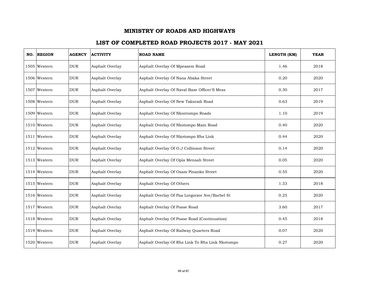| NO. REGION   | <b>AGENCY</b> | <b>ACTIVITY</b> | <b>ROAD NAME</b>                                 | LENGTH (KM) | <b>YEAR</b> |
|--------------|---------------|-----------------|--------------------------------------------------|-------------|-------------|
| 1505 Western | <b>DUR</b>    | Asphalt Overlay | Asphalt Overlay Of Mpeasem Road                  | 1.46        | 2018        |
| 1506 Western | <b>DUR</b>    | Asphalt Overlay | Asphalt Overlay Of Nana Abaka Street             | 0.20        | 2020        |
| 1507 Western | <b>DUR</b>    | Asphalt Overlay | Asphalt Overlay Of Naval Base Officer'S Mess     | 0.30        | 2017        |
| 1508 Western | <b>DUR</b>    | Asphalt Overlay | Asphalt Overlay Of New Takoradi Road             | 0.63        | 2019        |
| 1509 Western | <b>DUR</b>    | Asphalt Overlay | Asphalt Overlay Of Nkontompo Roads               | 1.10        | 2019        |
| 1510 Western | <b>DUR</b>    | Asphalt Overlay | Asphalt Overlay Of Nkotompo Main Road            | 0.40        | 2020        |
| 1511 Western | <b>DUR</b>    | Asphalt Overlay | Asphalt Overlay Of Nkotompo Rhs Link             | 0.44        | 2020        |
| 1512 Western | <b>DUR</b>    | Asphalt Overlay | Asphalt Overlay Of O.J Collinson Street          | 0.14        | 2020        |
| 1513 Western | <b>DUR</b>    | Asphalt Overlay | Asphalt Overlay Of Opia Mensah Street            | 0.05        | 2020        |
| 1514 Western | <b>DUR</b>    | Asphalt Overlay | Asphalt Overlay Of Osam Pinanko Street           | 0.55        | 2020        |
| 1515 Western | <b>DUR</b>    | Asphalt Overlay | Asphalt Overlay Of Others                        | 1.33        | 2018        |
| 1516 Western | <b>DUR</b>    | Asphalt Overlay | Asphalt Overlay Of Paa Lorgorzor Ave/Barbel St   | 0.25        | 2020        |
| 1517 Western | <b>DUR</b>    | Asphalt Overlay | Asphalt Overlay Of Poase Road                    | 3.60        | 2017        |
| 1518 Western | <b>DUR</b>    | Asphalt Overlay | Asphalt Overlay Of Poase Road (Continuation)     | 0.45        | 2018        |
| 1519 Western | <b>DUR</b>    | Asphalt Overlay | Asphalt Overlay Of Railway Quarters Road         | 0.07        | 2020        |
| 1520 Western | <b>DUR</b>    | Asphalt Overlay | Asphalt Overlay Of Rhs Link To Rhs Link Nkotompo | 0.27        | 2020        |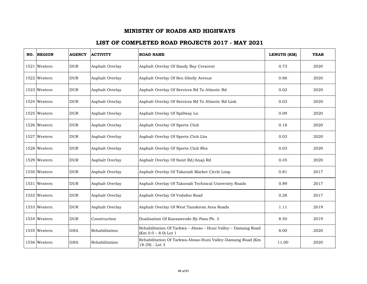| NO. | <b>REGION</b> | <b>AGENCY</b> | <b>ACTIVITY</b> | <b>ROAD NAME</b>                                                                       | LENGTH (KM) | <b>YEAR</b> |
|-----|---------------|---------------|-----------------|----------------------------------------------------------------------------------------|-------------|-------------|
|     | 1521 Western  | <b>DUR</b>    | Asphalt Overlay | Asphalt Overlay Of Sandy Bay Crescent                                                  | 0.73        | 2020        |
|     | 1522 Western  | <b>DUR</b>    | Asphalt Overlay | Asphalt Overlay Of Sen Ghelly Avenue                                                   | 0.86        | 2020        |
|     | 1523 Western  | $_{\rm DUR}$  | Asphalt Overlay | Asphalt Overlay Of Services Rd To Atlantic Rd                                          | 0.02        | 2020        |
|     | 1524 Western  | <b>DUR</b>    | Asphalt Overlay | Asphalt Overlay Of Services Rd To Atlantic Rd Link                                     | 0.03        | 2020        |
|     | 1525 Western  | <b>DUR</b>    | Asphalt Overlay | Asphalt Overlay Of Spillway Ln                                                         | 0.09        | 2020        |
|     | 1526 Western  | <b>DUR</b>    | Asphalt Overlay | Asphalt Overlay Of Sports Club                                                         | 0.18        | 2020        |
|     | 1527 Western  | <b>DUR</b>    | Asphalt Overlay | Asphalt Overlay Of Sports Club Lhs                                                     | 0.03        | 2020        |
|     | 1528 Western  | <b>DUR</b>    | Asphalt Overlay | Asphalt Overlay Of Sports Club Rhs                                                     | 0.03        | 2020        |
|     | 1529 Western  | <b>DUR</b>    | Asphalt Overlay | Asphalt Overlay Of Ssnit Rd/Anaji Rd                                                   | 0.45        | 2020        |
|     | 1530 Western  | <b>DUR</b>    | Asphalt Overlay | Asphalt Overlay Of Takoradi Market Circle Loop                                         | 0.81        | 2017        |
|     | 1531 Western  | <b>DUR</b>    | Asphalt Overlay | Asphalt Overlay Of Takoradi Technical University Roads                                 | 0.89        | 2017        |
|     | 1532 Western  | <b>DUR</b>    | Asphalt Overlay | Asphalt Overlay Of Vodafon Road                                                        | 0.28        | 2017        |
|     | 1533 Western  | <b>DUR</b>    | Asphalt Overlay | Asphalt Overlay Of West Tanokrom Area Roads                                            | 1.11        | 2019        |
|     | 1534 Western  | <b>DUR</b>    | Construction    | Dualisation Of Kansawrodo By-Pass Ph. 3                                                | 8.50        | 2019        |
|     | 1535 Western  | <b>GHA</b>    | Rehabilitation  | Rehabilitation Of Tarkwa - Aboso - Huni Valley - Damang Road<br>$(Km 0.0 - 8.0)$ Lot 1 | 8.00        | 2020        |
|     | 1536 Western  | <b>GHA</b>    | Rehabilitation  | Rehabilitation Of Tarkwa-Aboso-Huni Valley-Damang Road (Km<br>18-29) - Lot 3           | 11.00       | 2020        |